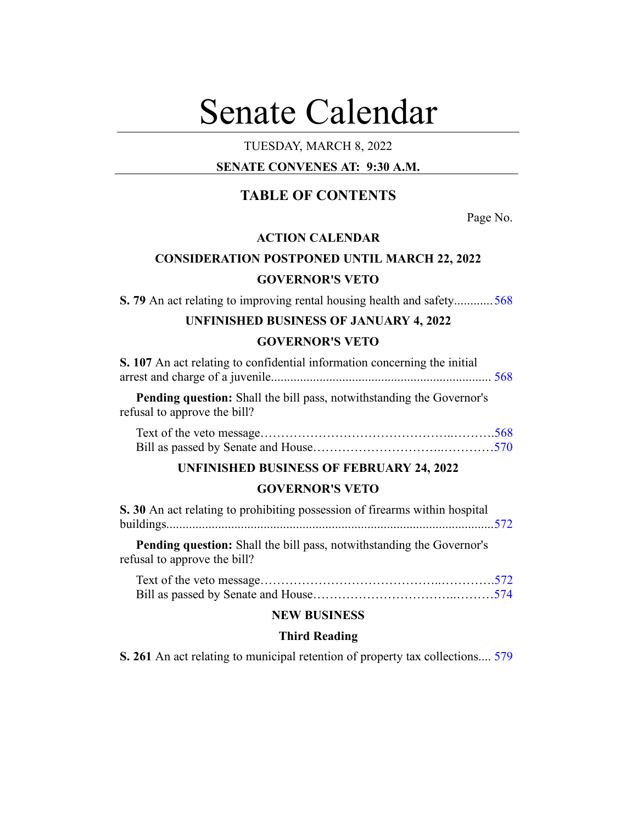# Senate Calendar

# TUESDAY, MARCH 8, 2022

# **SENATE CONVENES AT: 9:30 A.M.**

# **TABLE OF CONTENTS**

Page No.

# **ACTION CALENDAR**

# **CONSIDERATION POSTPONED UNTIL MARCH 22, 2022**

# **GOVERNOR'S VETO**

**S. 79** An act relating to improving rental housing health and safety............[568](#page-2-0)

# **UNFINISHED BUSINESS OF JANUARY 4, 2022 GOVERNOR'S VETO**

| S. 107 An act relating to confidential information concerning the initial   |  |
|-----------------------------------------------------------------------------|--|
|                                                                             |  |
| <b>Pending question:</b> Shall the bill pass notwithstanding the Governor's |  |

**g question:** Shall the bill pass, notwithstanding the Governor's refusal to approve the bill?

#### **UNFINISHED BUSINESS OF FEBRUARY 24, 2022**

#### **GOVERNOR'S VETO**

| S. 30 An act relating to prohibiting possession of firearms within hospital |  |
|-----------------------------------------------------------------------------|--|
|                                                                             |  |

**Pending question:** Shall the bill pass, notwithstanding the Governor's refusal to approve the bill?

## **NEW BUSINESS**

#### **Third Reading**

**S. 261** An act relating to municipal retention of property tax collections.... [579](#page-13-0)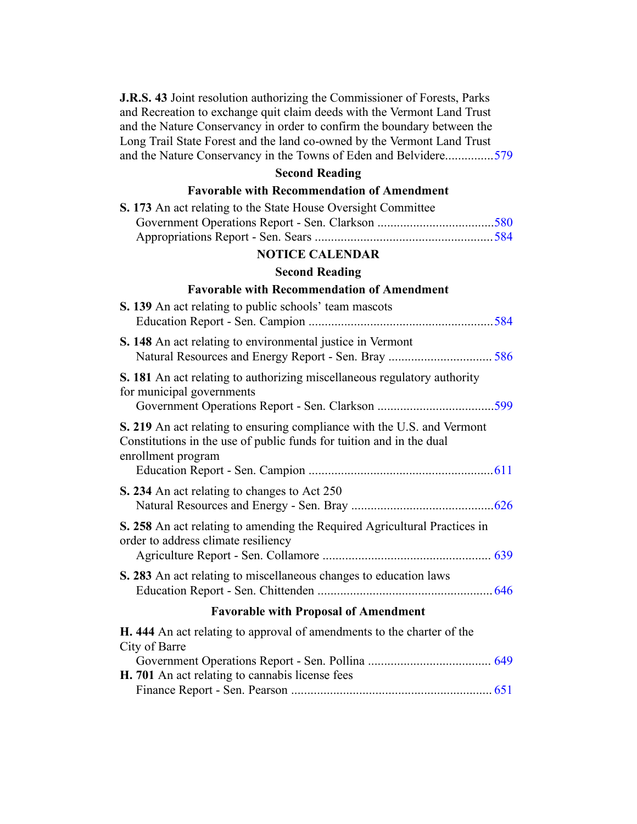**J.R.S. 43** Joint resolution authorizing the Commissioner of Forests, Parks and Recreation to exchange quit claim deeds with the Vermont Land Trust and the Nature Conservancy in order to confirm the boundary between the Long Trail State Forest and the land co-owned by the Vermont Land Trust and the Nature Conservancy in the Towns of Eden and Belvidere...............[579](#page-13-1)

# **Second Reading**

# **Favorable with Recommendation of Amendment**

| S. 173 An act relating to the State House Oversight Committee                                                                                                         |  |  |
|-----------------------------------------------------------------------------------------------------------------------------------------------------------------------|--|--|
|                                                                                                                                                                       |  |  |
|                                                                                                                                                                       |  |  |
| <b>NOTICE CALENDAR</b>                                                                                                                                                |  |  |
| <b>Second Reading</b>                                                                                                                                                 |  |  |
| <b>Favorable with Recommendation of Amendment</b>                                                                                                                     |  |  |
| S. 139 An act relating to public schools' team mascots                                                                                                                |  |  |
|                                                                                                                                                                       |  |  |
| S. 148 An act relating to environmental justice in Vermont                                                                                                            |  |  |
|                                                                                                                                                                       |  |  |
| S. 181 An act relating to authorizing miscellaneous regulatory authority<br>for municipal governments                                                                 |  |  |
|                                                                                                                                                                       |  |  |
| S. 219 An act relating to ensuring compliance with the U.S. and Vermont<br>Constitutions in the use of public funds for tuition and in the dual<br>enrollment program |  |  |
|                                                                                                                                                                       |  |  |
| S. 234 An act relating to changes to Act 250                                                                                                                          |  |  |
|                                                                                                                                                                       |  |  |
| S. 258 An act relating to amending the Required Agricultural Practices in<br>order to address climate resiliency                                                      |  |  |
|                                                                                                                                                                       |  |  |
| S. 283 An act relating to miscellaneous changes to education laws                                                                                                     |  |  |
| <b>Favorable with Proposal of Amendment</b>                                                                                                                           |  |  |
| H. 444 An act relating to approval of amendments to the charter of the<br>City of Barre                                                                               |  |  |
|                                                                                                                                                                       |  |  |
| H. 701 An act relating to cannabis license fees                                                                                                                       |  |  |
|                                                                                                                                                                       |  |  |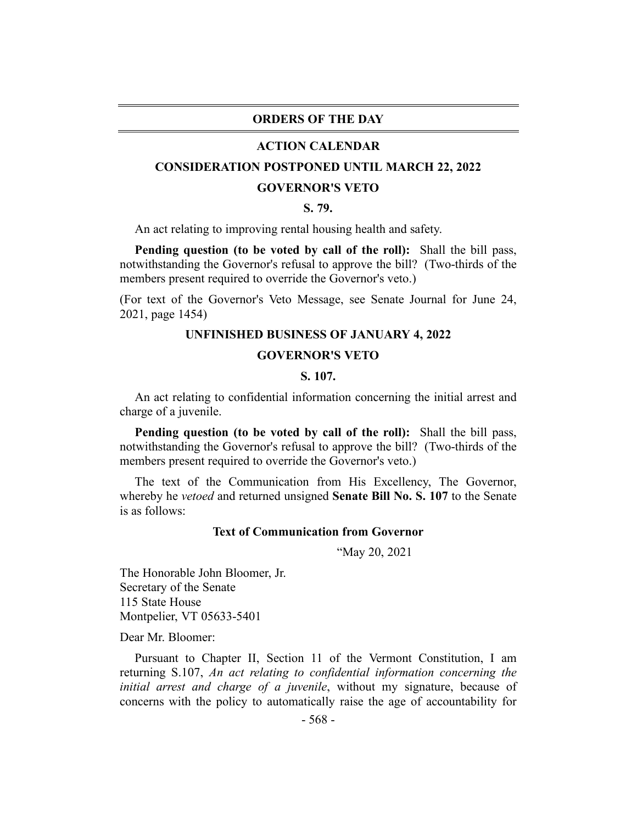## **ORDERS OF THE DAY**

#### **ACTION CALENDAR**

#### <span id="page-2-0"></span>**CONSIDERATION POSTPONED UNTIL MARCH 22, 2022**

#### **GOVERNOR'S VETO**

#### **S. 79.**

An act relating to improving rental housing health and safety.

**Pending question (to be voted by call of the roll):** Shall the bill pass, notwithstanding the Governor's refusal to approve the bill? (Two-thirds of the members present required to override the Governor's veto.)

<span id="page-2-1"></span>(For text of the Governor's Veto Message, see Senate Journal for June 24, 2021, page 1454)

#### **UNFINISHED BUSINESS OF JANUARY 4, 2022**

#### **GOVERNOR'S VETO**

#### **S. 107.**

An act relating to confidential information concerning the initial arrest and charge of a juvenile.

**Pending question (to be voted by call of the roll):** Shall the bill pass, notwithstanding the Governor's refusal to approve the bill? (Two-thirds of the members present required to override the Governor's veto.)

The text of the Communication from His Excellency, The Governor, whereby he *vetoed* and returned unsigned **Senate Bill No. S. 107** to the Senate is as follows:

#### **Text of Communication from Governor**

"May 20, 2021

The Honorable John Bloomer, Jr. Secretary of the Senate 115 State House Montpelier, VT 05633-5401

Dear Mr. Bloomer:

Pursuant to Chapter II, Section 11 of the Vermont Constitution, I am returning S.107, *An act relating to confidential information concerning the initial arrest and charge of a juvenile*, without my signature, because of concerns with the policy to automatically raise the age of accountability for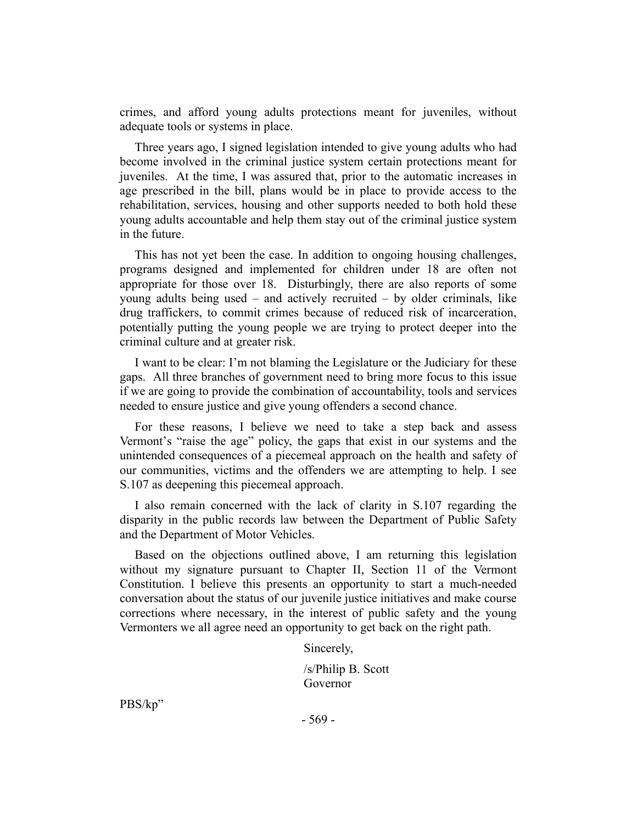crimes, and afford young adults protections meant for juveniles, without adequate tools or systems in place.

Three years ago, I signed legislation intended to give young adults who had become involved in the criminal justice system certain protections meant for juveniles. At the time, I was assured that, prior to the automatic increases in age prescribed in the bill, plans would be in place to provide access to the rehabilitation, services, housing and other supports needed to both hold these young adults accountable and help them stay out of the criminal justice system in the future.

This has not yet been the case. In addition to ongoing housing challenges, programs designed and implemented for children under 18 are often not appropriate for those over 18. Disturbingly, there are also reports of some young adults being used – and actively recruited – by older criminals, like drug traffickers, to commit crimes because of reduced risk of incarceration, potentially putting the young people we are trying to protect deeper into the criminal culture and at greater risk.

I want to be clear: I'm not blaming the Legislature or the Judiciary for these gaps. All three branches of government need to bring more focus to this issue if we are going to provide the combination of accountability, tools and services needed to ensure justice and give young offenders a second chance.

For these reasons, I believe we need to take a step back and assess Vermont's "raise the age" policy, the gaps that exist in our systems and the unintended consequences of a piecemeal approach on the health and safety of our communities, victims and the offenders we are attempting to help. I see S.107 as deepening this piecemeal approach.

I also remain concerned with the lack of clarity in S.107 regarding the disparity in the public records law between the Department of Public Safety and the Department of Motor Vehicles.

Based on the objections outlined above, I am returning this legislation without my signature pursuant to Chapter II, Section 11 of the Vermont Constitution. I believe this presents an opportunity to start a much-needed conversation about the status of our juvenile justice initiatives and make course corrections where necessary, in the interest of public safety and the young Vermonters we all agree need an opportunity to get back on the right path.

Sincerely,

/s/Philip B. Scott Governor

PBS/kp"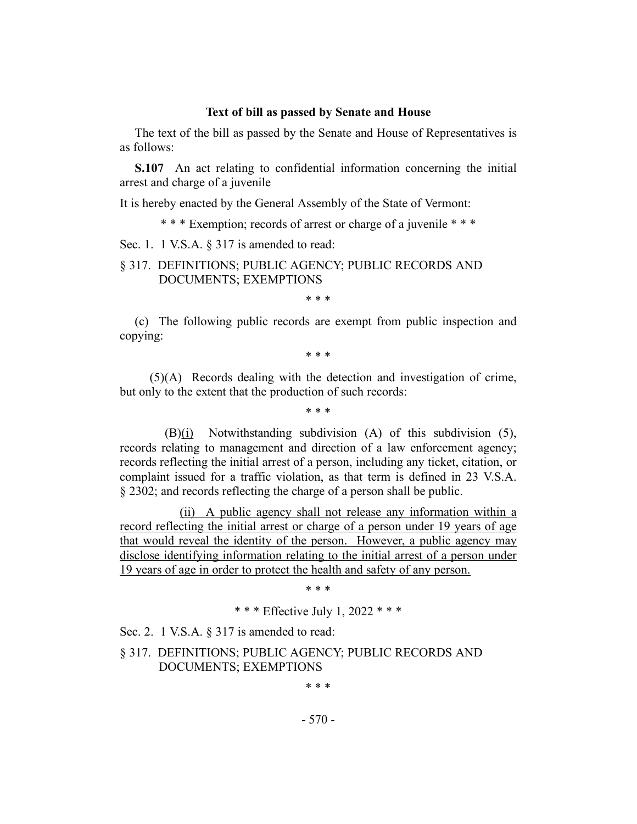#### **Text of bill as passed by Senate and House**

The text of the bill as passed by the Senate and House of Representatives is as follows:

**S.107** An act relating to confidential information concerning the initial arrest and charge of a juvenile

It is hereby enacted by the General Assembly of the State of Vermont:

\* \* \* Exemption; records of arrest or charge of a juvenile \* \* \*

Sec. 1. 1 V.S.A. § 317 is amended to read:

## § 317. DEFINITIONS; PUBLIC AGENCY; PUBLIC RECORDS AND DOCUMENTS; EXEMPTIONS

\* \* \*

(c) The following public records are exempt from public inspection and copying:

\* \* \*

(5)(A) Records dealing with the detection and investigation of crime, but only to the extent that the production of such records:

\* \* \*

(B)(i) Notwithstanding subdivision (A) of this subdivision (5), records relating to management and direction of a law enforcement agency; records reflecting the initial arrest of a person, including any ticket, citation, or complaint issued for a traffic violation, as that term is defined in 23 V.S.A. § 2302; and records reflecting the charge of a person shall be public.

(ii) A public agency shall not release any information within a record reflecting the initial arrest or charge of a person under 19 years of age that would reveal the identity of the person. However, a public agency may disclose identifying information relating to the initial arrest of a person under 19 years of age in order to protect the health and safety of any person.

\* \* \*

\* \* \* Effective July 1, 2022 \* \* \*

Sec. 2. 1 V.S.A. § 317 is amended to read:

§ 317. DEFINITIONS; PUBLIC AGENCY; PUBLIC RECORDS AND DOCUMENTS; EXEMPTIONS

\* \* \*

- 570 -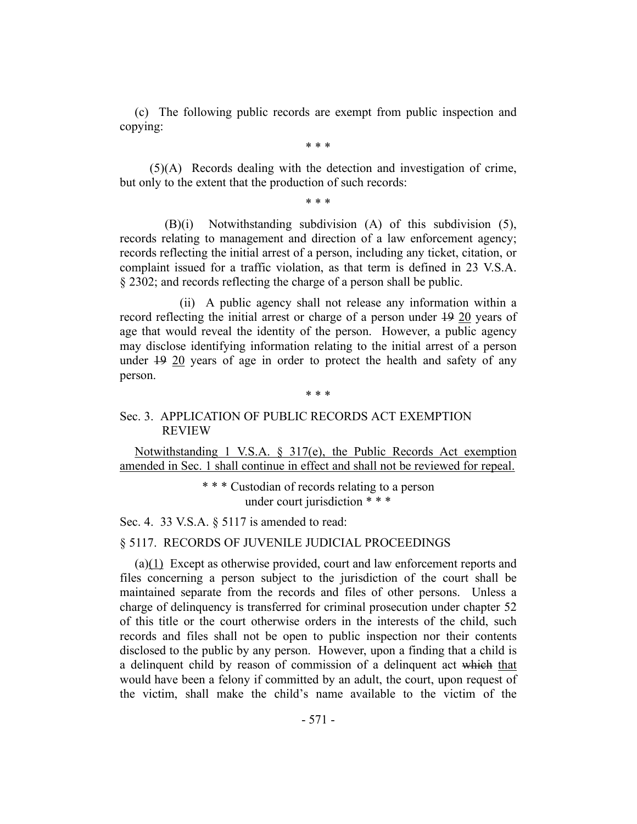(c) The following public records are exempt from public inspection and copying:

\* \* \*

(5)(A) Records dealing with the detection and investigation of crime, but only to the extent that the production of such records:

\* \* \*

(B)(i) Notwithstanding subdivision (A) of this subdivision (5), records relating to management and direction of a law enforcement agency; records reflecting the initial arrest of a person, including any ticket, citation, or complaint issued for a traffic violation, as that term is defined in 23 V.S.A. § 2302; and records reflecting the charge of a person shall be public.

(ii) A public agency shall not release any information within a record reflecting the initial arrest or charge of a person under 19 20 years of age that would reveal the identity of the person. However, a public agency may disclose identifying information relating to the initial arrest of a person under 19 20 years of age in order to protect the health and safety of any person.

#### \* \* \*

#### Sec. 3. APPLICATION OF PUBLIC RECORDS ACT EXEMPTION REVIEW

Notwithstanding 1 V.S.A. § 317(e), the Public Records Act exemption amended in Sec. 1 shall continue in effect and shall not be reviewed for repeal.

> \* \* \* Custodian of records relating to a person under court jurisdiction \* \* \*

Sec. 4. 33 V.S.A. § 5117 is amended to read:

#### § 5117. RECORDS OF JUVENILE JUDICIAL PROCEEDINGS

(a)(1) Except as otherwise provided, court and law enforcement reports and files concerning a person subject to the jurisdiction of the court shall be maintained separate from the records and files of other persons. Unless a charge of delinquency is transferred for criminal prosecution under chapter 52 of this title or the court otherwise orders in the interests of the child, such records and files shall not be open to public inspection nor their contents disclosed to the public by any person. However, upon a finding that a child is a delinquent child by reason of commission of a delinquent act which that would have been a felony if committed by an adult, the court, upon request of the victim, shall make the child's name available to the victim of the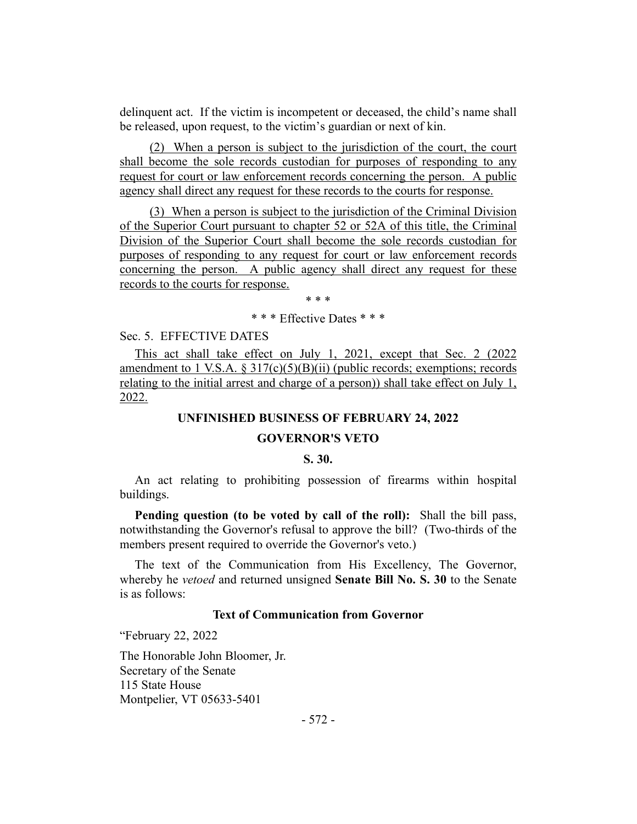delinquent act. If the victim is incompetent or deceased, the child's name shall be released, upon request, to the victim's guardian or next of kin.

(2) When a person is subject to the jurisdiction of the court, the court shall become the sole records custodian for purposes of responding to any request for court or law enforcement records concerning the person. A public agency shall direct any request for these records to the courts for response.

(3) When a person is subject to the jurisdiction of the Criminal Division of the Superior Court pursuant to chapter 52 or 52A of this title, the Criminal Division of the Superior Court shall become the sole records custodian for purposes of responding to any request for court or law enforcement records concerning the person. A public agency shall direct any request for these records to the courts for response.

\* \* \*

#### \* \* \* Effective Dates \* \* \*

Sec. 5. EFFECTIVE DATES

This act shall take effect on July 1, 2021, except that Sec. 2 (2022) amendment to 1 V.S.A.  $\S 317(c)(5)(B)(ii)$  (public records; exemptions; records relating to the initial arrest and charge of a person)) shall take effect on July 1, 2022.

#### **UNFINISHED BUSINESS OF FEBRUARY 24, 2022**

#### **GOVERNOR'S VETO**

#### **S. 30.**

<span id="page-6-0"></span>An act relating to prohibiting possession of firearms within hospital buildings.

**Pending question (to be voted by call of the roll):** Shall the bill pass, notwithstanding the Governor's refusal to approve the bill? (Two-thirds of the members present required to override the Governor's veto.)

The text of the Communication from His Excellency, The Governor, whereby he *vetoed* and returned unsigned **Senate Bill No. S. 30** to the Senate is as follows:

### **Text of Communication from Governor**

"February 22, 2022

The Honorable John Bloomer, Jr. Secretary of the Senate 115 State House Montpelier, VT 05633-5401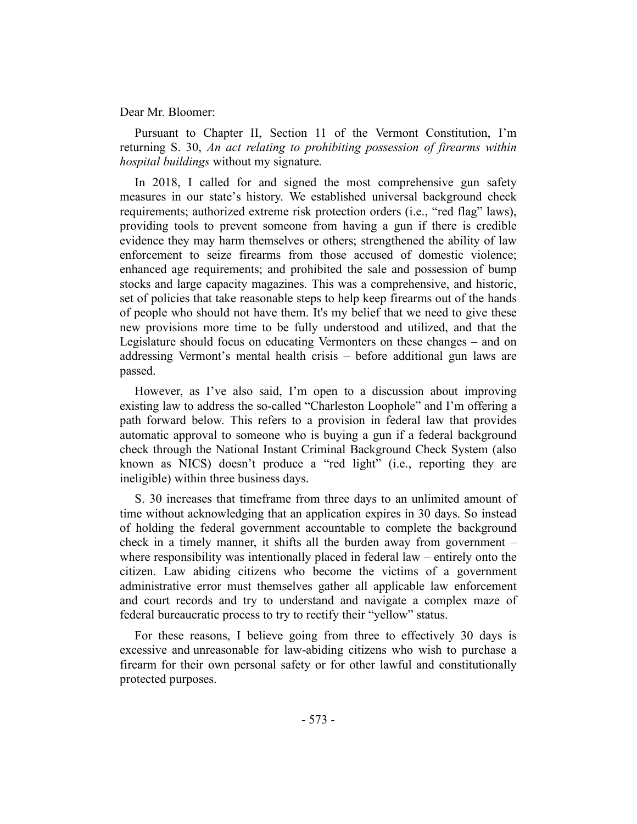#### Dear Mr. Bloomer:

Pursuant to Chapter II, Section 11 of the Vermont Constitution, I'm returning S. 30, *An act relating to prohibiting possession of firearms within hospital buildings* without my signature*.*

In 2018, I called for and signed the most comprehensive gun safety measures in our state's history. We established universal background check requirements; authorized extreme risk protection orders (i.e., "red flag" laws), providing tools to prevent someone from having a gun if there is credible evidence they may harm themselves or others; strengthened the ability of law enforcement to seize firearms from those accused of domestic violence; enhanced age requirements; and prohibited the sale and possession of bump stocks and large capacity magazines. This was a comprehensive, and historic, set of policies that take reasonable steps to help keep firearms out of the hands of people who should not have them. It's my belief that we need to give these new provisions more time to be fully understood and utilized, and that the Legislature should focus on educating Vermonters on these changes – and on addressing Vermont's mental health crisis – before additional gun laws are passed.

However, as I've also said, I'm open to a discussion about improving existing law to address the so-called "Charleston Loophole" and I'm offering a path forward below. This refers to a provision in federal law that provides automatic approval to someone who is buying a gun if a federal background check through the National Instant Criminal Background Check System (also known as NICS) doesn't produce a "red light" (i.e., reporting they are ineligible) within three business days.

S. 30 increases that timeframe from three days to an unlimited amount of time without acknowledging that an application expires in 30 days. So instead of holding the federal government accountable to complete the background check in a timely manner, it shifts all the burden away from government – where responsibility was intentionally placed in federal law – entirely onto the citizen. Law abiding citizens who become the victims of a government administrative error must themselves gather all applicable law enforcement and court records and try to understand and navigate a complex maze of federal bureaucratic process to try to rectify their "yellow" status.

For these reasons, I believe going from three to effectively 30 days is excessive and unreasonable for law-abiding citizens who wish to purchase a firearm for their own personal safety or for other lawful and constitutionally protected purposes.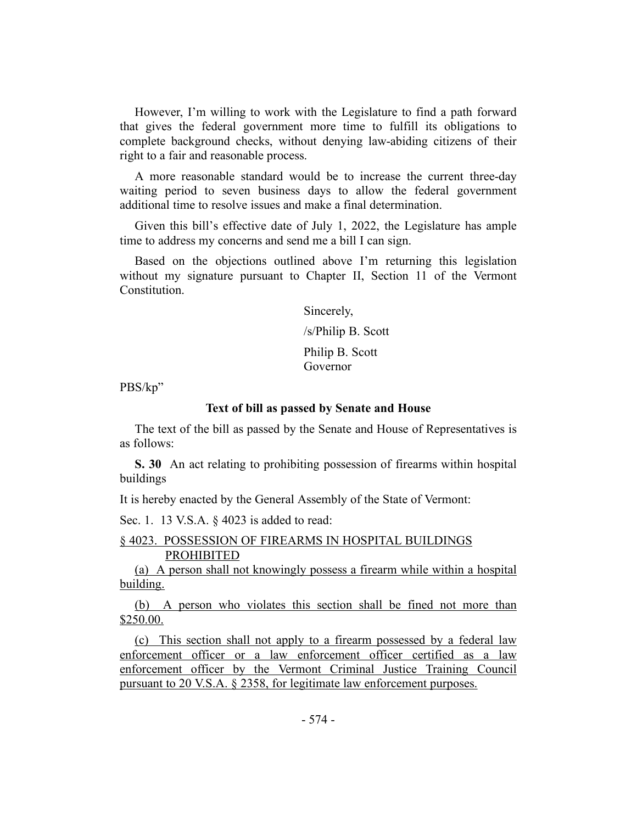However, I'm willing to work with the Legislature to find a path forward that gives the federal government more time to fulfill its obligations to complete background checks, without denying law-abiding citizens of their right to a fair and reasonable process.

A more reasonable standard would be to increase the current three-day waiting period to seven business days to allow the federal government additional time to resolve issues and make a final determination.

Given this bill's effective date of July 1, 2022, the Legislature has ample time to address my concerns and send me a bill I can sign.

Based on the objections outlined above I'm returning this legislation without my signature pursuant to Chapter II, Section 11 of the Vermont Constitution.

Sincerely,

/s/Philip B. Scott

Philip B. Scott Governor

PBS/kp"

#### **Text of bill as passed by Senate and House**

The text of the bill as passed by the Senate and House of Representatives is as follows:

**S. 30** An act relating to prohibiting possession of firearms within hospital buildings

It is hereby enacted by the General Assembly of the State of Vermont:

Sec. 1. 13 V.S.A. § 4023 is added to read:

#### § 4023. POSSESSION OF FIREARMS IN HOSPITAL BUILDINGS PROHIBITED

(a) A person shall not knowingly possess a firearm while within a hospital building.

(b) A person who violates this section shall be fined not more than \$250.00.

(c) This section shall not apply to a firearm possessed by a federal law enforcement officer or a law enforcement officer certified as a law enforcement officer by the Vermont Criminal Justice Training Council pursuant to 20 V.S.A. § 2358, for legitimate law enforcement purposes.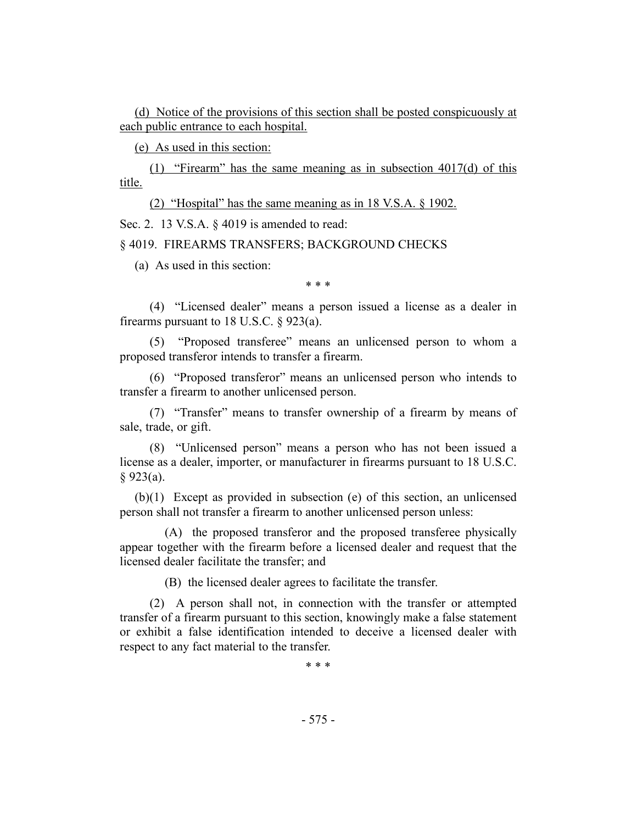(d) Notice of the provisions of this section shall be posted conspicuously at each public entrance to each hospital.

(e) As used in this section:

(1) "Firearm" has the same meaning as in subsection 4017(d) of this title.

(2) "Hospital" has the same meaning as in 18 V.S.A. § 1902.

Sec. 2. 13 V.S.A. § 4019 is amended to read:

§ 4019. FIREARMS TRANSFERS; BACKGROUND CHECKS

(a) As used in this section:

\* \* \*

(4) "Licensed dealer" means a person issued a license as a dealer in firearms pursuant to 18 U.S.C.  $\S$  923(a).

(5) "Proposed transferee" means an unlicensed person to whom a proposed transferor intends to transfer a firearm.

(6) "Proposed transferor" means an unlicensed person who intends to transfer a firearm to another unlicensed person.

(7) "Transfer" means to transfer ownership of a firearm by means of sale, trade, or gift.

(8) "Unlicensed person" means a person who has not been issued a license as a dealer, importer, or manufacturer in firearms pursuant to 18 U.S.C. § 923(a).

(b)(1) Except as provided in subsection (e) of this section, an unlicensed person shall not transfer a firearm to another unlicensed person unless:

(A) the proposed transferor and the proposed transferee physically appear together with the firearm before a licensed dealer and request that the licensed dealer facilitate the transfer; and

(B) the licensed dealer agrees to facilitate the transfer.

(2) A person shall not, in connection with the transfer or attempted transfer of a firearm pursuant to this section, knowingly make a false statement or exhibit a false identification intended to deceive a licensed dealer with respect to any fact material to the transfer.

\* \* \*

- 575 -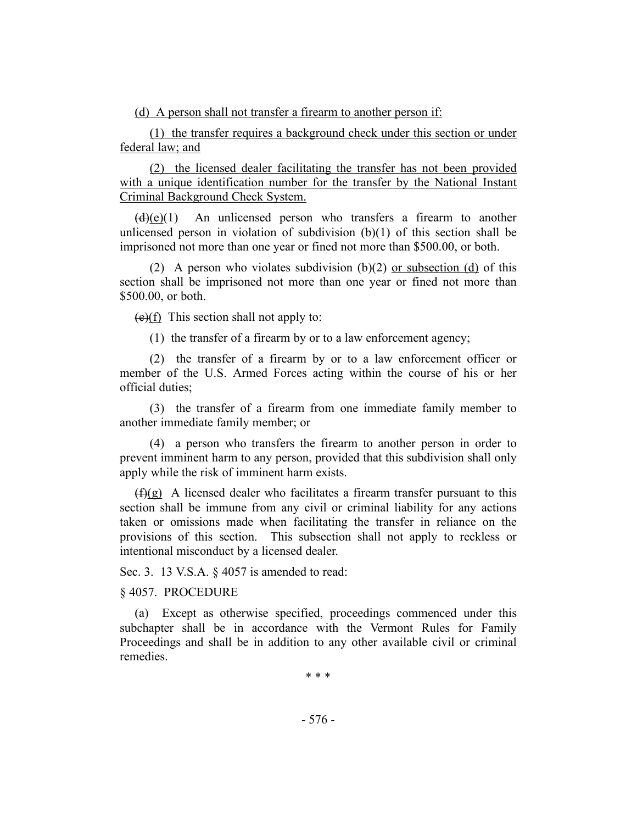(d) A person shall not transfer a firearm to another person if:

(1) the transfer requires a background check under this section or under federal law; and

(2) the licensed dealer facilitating the transfer has not been provided with a unique identification number for the transfer by the National Instant Criminal Background Check System.

 $(d)(e)(1)$  An unlicensed person who transfers a firearm to another unlicensed person in violation of subdivision  $(b)(1)$  of this section shall be imprisoned not more than one year or fined not more than \$500.00, or both.

(2) A person who violates subdivision  $(b)(2)$  or subsection  $(d)$  of this section shall be imprisoned not more than one year or fined not more than \$500.00, or both.

 $(e)(f)$  This section shall not apply to:

(1) the transfer of a firearm by or to a law enforcement agency;

(2) the transfer of a firearm by or to a law enforcement officer or member of the U.S. Armed Forces acting within the course of his or her official duties;

(3) the transfer of a firearm from one immediate family member to another immediate family member; or

(4) a person who transfers the firearm to another person in order to prevent imminent harm to any person, provided that this subdivision shall only apply while the risk of imminent harm exists.

 $(f)(g)$  A licensed dealer who facilitates a firearm transfer pursuant to this section shall be immune from any civil or criminal liability for any actions taken or omissions made when facilitating the transfer in reliance on the provisions of this section. This subsection shall not apply to reckless or intentional misconduct by a licensed dealer.

Sec. 3. 13 V.S.A. § 4057 is amended to read:

§ 4057. PROCEDURE

(a) Except as otherwise specified, proceedings commenced under this subchapter shall be in accordance with the Vermont Rules for Family Proceedings and shall be in addition to any other available civil or criminal remedies.

\* \* \*

- 576 -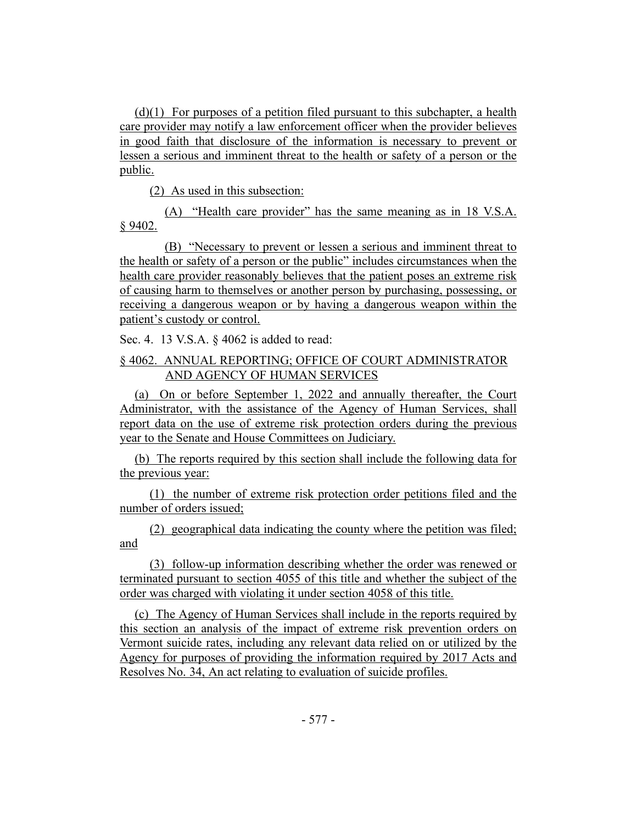(d)(1) For purposes of a petition filed pursuant to this subchapter, a health care provider may notify a law enforcement officer when the provider believes in good faith that disclosure of the information is necessary to prevent or lessen a serious and imminent threat to the health or safety of a person or the public.

(2) As used in this subsection:

(A) "Health care provider" has the same meaning as in 18 V.S.A. § 9402.

(B) "Necessary to prevent or lessen a serious and imminent threat to the health or safety of a person or the public" includes circumstances when the health care provider reasonably believes that the patient poses an extreme risk of causing harm to themselves or another person by purchasing, possessing, or receiving a dangerous weapon or by having a dangerous weapon within the patient's custody or control.

Sec. 4. 13 V.S.A. § 4062 is added to read:

# § 4062. ANNUAL REPORTING; OFFICE OF COURT ADMINISTRATOR AND AGENCY OF HUMAN SERVICES

(a) On or before September 1, 2022 and annually thereafter, the Court Administrator, with the assistance of the Agency of Human Services, shall report data on the use of extreme risk protection orders during the previous year to the Senate and House Committees on Judiciary.

(b) The reports required by this section shall include the following data for the previous year:

(1) the number of extreme risk protection order petitions filed and the number of orders issued;

(2) geographical data indicating the county where the petition was filed; and

(3) follow-up information describing whether the order was renewed or terminated pursuant to section 4055 of this title and whether the subject of the order was charged with violating it under section 4058 of this title.

(c) The Agency of Human Services shall include in the reports required by this section an analysis of the impact of extreme risk prevention orders on Vermont suicide rates, including any relevant data relied on or utilized by the Agency for purposes of providing the information required by 2017 Acts and Resolves No. 34, An act relating to evaluation of suicide profiles.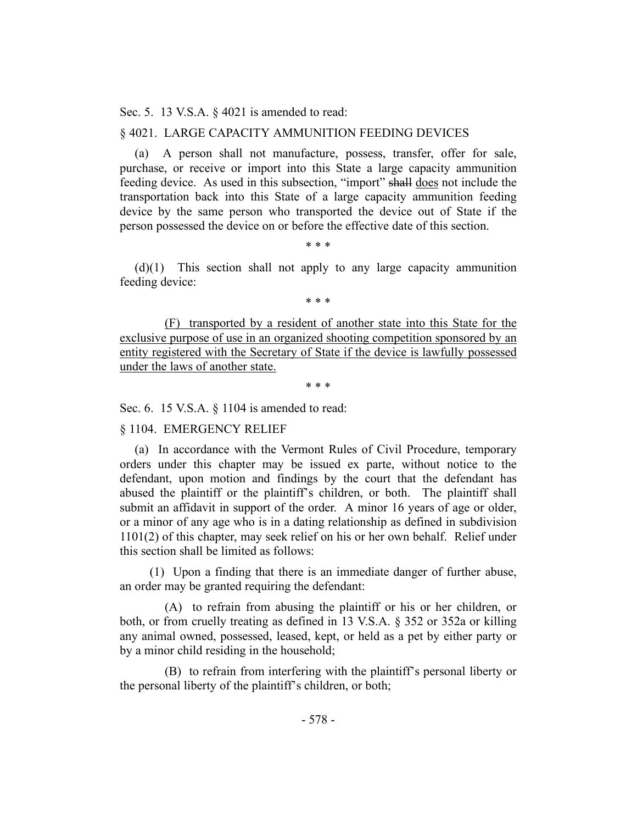Sec. 5. 13 V.S.A. § 4021 is amended to read:

#### § 4021. LARGE CAPACITY AMMUNITION FEEDING DEVICES

(a) A person shall not manufacture, possess, transfer, offer for sale, purchase, or receive or import into this State a large capacity ammunition feeding device. As used in this subsection, "import" shall does not include the transportation back into this State of a large capacity ammunition feeding device by the same person who transported the device out of State if the person possessed the device on or before the effective date of this section.

\* \* \*

(d)(1) This section shall not apply to any large capacity ammunition feeding device:

\* \* \*

(F) transported by a resident of another state into this State for the exclusive purpose of use in an organized shooting competition sponsored by an entity registered with the Secretary of State if the device is lawfully possessed under the laws of another state.

\* \* \*

Sec. 6. 15 V.S.A. § 1104 is amended to read:

§ 1104. EMERGENCY RELIEF

(a) In accordance with the Vermont Rules of Civil Procedure, temporary orders under this chapter may be issued ex parte, without notice to the defendant, upon motion and findings by the court that the defendant has abused the plaintiff or the plaintiff's children, or both. The plaintiff shall submit an affidavit in support of the order. A minor 16 years of age or older, or a minor of any age who is in a dating relationship as defined in subdivision 1101(2) of this chapter, may seek relief on his or her own behalf. Relief under this section shall be limited as follows:

(1) Upon a finding that there is an immediate danger of further abuse, an order may be granted requiring the defendant:

(A) to refrain from abusing the plaintiff or his or her children, or both, or from cruelly treating as defined in 13 V.S.A. § 352 or 352a or killing any animal owned, possessed, leased, kept, or held as a pet by either party or by a minor child residing in the household;

(B) to refrain from interfering with the plaintiff's personal liberty or the personal liberty of the plaintiff's children, or both;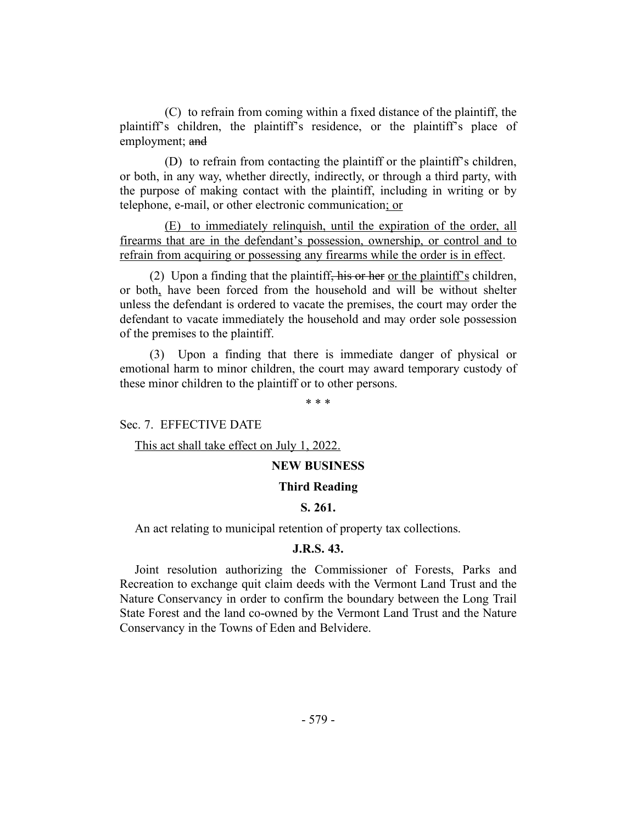(C) to refrain from coming within a fixed distance of the plaintiff, the plaintiff's children, the plaintiff's residence, or the plaintiff's place of employment; and

(D) to refrain from contacting the plaintiff or the plaintiff's children, or both, in any way, whether directly, indirectly, or through a third party, with the purpose of making contact with the plaintiff, including in writing or by telephone, e-mail, or other electronic communication; or

(E) to immediately relinquish, until the expiration of the order, all firearms that are in the defendant's possession, ownership, or control and to refrain from acquiring or possessing any firearms while the order is in effect.

(2) Upon a finding that the plaintiff, his or her or the plaintiff's children, or both, have been forced from the household and will be without shelter unless the defendant is ordered to vacate the premises, the court may order the defendant to vacate immediately the household and may order sole possession of the premises to the plaintiff.

(3) Upon a finding that there is immediate danger of physical or emotional harm to minor children, the court may award temporary custody of these minor children to the plaintiff or to other persons.

\* \* \*

Sec. 7. EFFECTIVE DATE

This act shall take effect on July 1, 2022.

#### **NEW BUSINESS**

#### **Third Reading**

# **S. 261.**

<span id="page-13-0"></span>An act relating to municipal retention of property tax collections.

#### **J.R.S. 43.**

<span id="page-13-1"></span>Joint resolution authorizing the Commissioner of Forests, Parks and Recreation to exchange quit claim deeds with the Vermont Land Trust and the Nature Conservancy in order to confirm the boundary between the Long Trail State Forest and the land co-owned by the Vermont Land Trust and the Nature Conservancy in the Towns of Eden and Belvidere.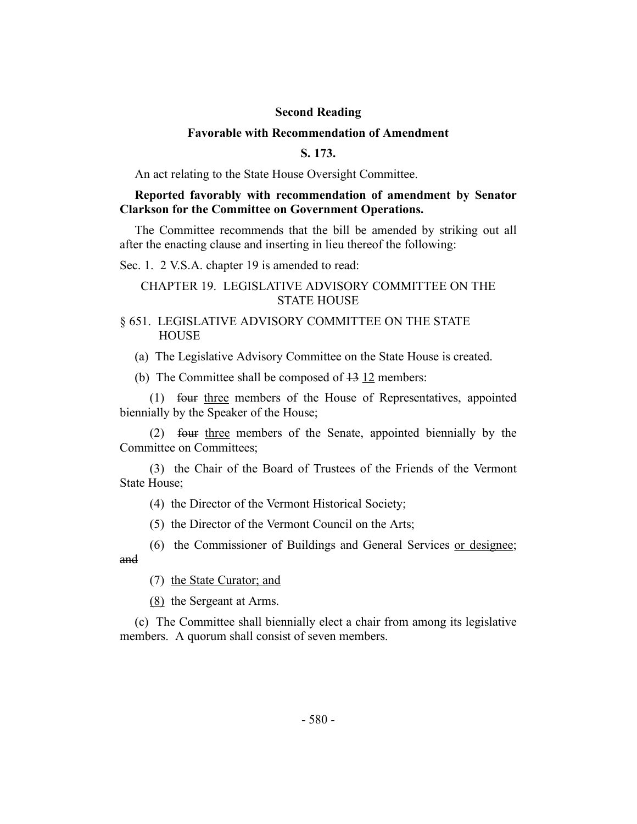#### **Second Reading**

#### **Favorable with Recommendation of Amendment**

# **S. 173.**

<span id="page-14-0"></span>An act relating to the State House Oversight Committee.

# **Reported favorably with recommendation of amendment by Senator Clarkson for the Committee on Government Operations.**

The Committee recommends that the bill be amended by striking out all after the enacting clause and inserting in lieu thereof the following:

Sec. 1. 2 V.S.A. chapter 19 is amended to read:

# CHAPTER 19. LEGISLATIVE ADVISORY COMMITTEE ON THE STATE HOUSE

#### § 651. LEGISLATIVE ADVISORY COMMITTEE ON THE STATE HOUSE

(a) The Legislative Advisory Committee on the State House is created.

(b) The Committee shall be composed of  $\frac{13}{2}$  members:

(1) four three members of the House of Representatives, appointed biennially by the Speaker of the House;

(2) four three members of the Senate, appointed biennially by the Committee on Committees;

(3) the Chair of the Board of Trustees of the Friends of the Vermont State House;

(4) the Director of the Vermont Historical Society;

(5) the Director of the Vermont Council on the Arts;

(6) the Commissioner of Buildings and General Services or designee; and

(7) the State Curator; and

(8) the Sergeant at Arms.

(c) The Committee shall biennially elect a chair from among its legislative members. A quorum shall consist of seven members.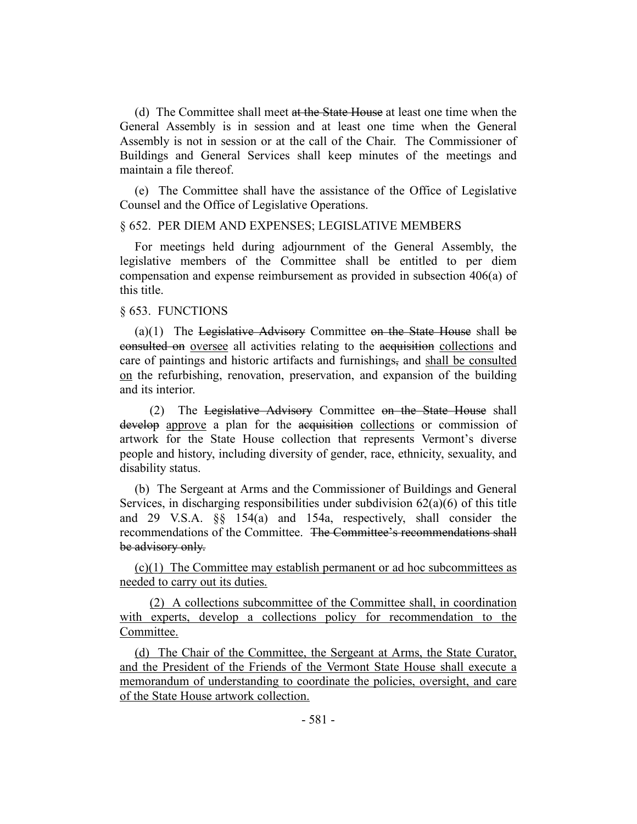(d) The Committee shall meet at the State House at least one time when the General Assembly is in session and at least one time when the General Assembly is not in session or at the call of the Chair. The Commissioner of Buildings and General Services shall keep minutes of the meetings and maintain a file thereof.

(e) The Committee shall have the assistance of the Office of Legislative Counsel and the Office of Legislative Operations.

#### § 652. PER DIEM AND EXPENSES; LEGISLATIVE MEMBERS

For meetings held during adjournment of the General Assembly, the legislative members of the Committee shall be entitled to per diem compensation and expense reimbursement as provided in subsection 406(a) of this title.

#### § 653. FUNCTIONS

(a) $(1)$  The Legislative Advisory Committee on the State House shall be consulted on oversee all activities relating to the acquisition collections and care of paintings and historic artifacts and furnishings, and shall be consulted on the refurbishing, renovation, preservation, and expansion of the building and its interior.

(2) The Legislative Advisory Committee on the State House shall develop approve a plan for the acquisition collections or commission of artwork for the State House collection that represents Vermont's diverse people and history, including diversity of gender, race, ethnicity, sexuality, and disability status.

(b) The Sergeant at Arms and the Commissioner of Buildings and General Services, in discharging responsibilities under subdivision  $62(a)(6)$  of this title and 29 V.S.A. §§ 154(a) and 154a, respectively, shall consider the recommendations of the Committee. The Committee's recommendations shall be advisory only.

(c)(1) The Committee may establish permanent or ad hoc subcommittees as needed to carry out its duties.

(2) A collections subcommittee of the Committee shall, in coordination with experts, develop a collections policy for recommendation to the Committee.

(d) The Chair of the Committee, the Sergeant at Arms, the State Curator, and the President of the Friends of the Vermont State House shall execute a memorandum of understanding to coordinate the policies, oversight, and care of the State House artwork collection.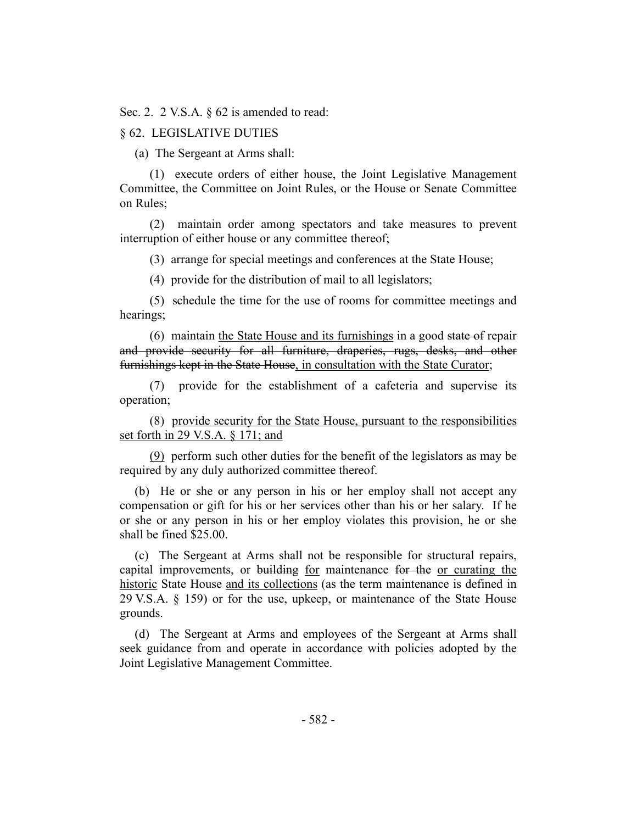Sec. 2. 2 V.S.A. § 62 is amended to read:

#### § 62. LEGISLATIVE DUTIES

(a) The Sergeant at Arms shall:

(1) execute orders of either house, the Joint Legislative Management Committee, the Committee on Joint Rules, or the House or Senate Committee on Rules;

(2) maintain order among spectators and take measures to prevent interruption of either house or any committee thereof;

(3) arrange for special meetings and conferences at the State House;

(4) provide for the distribution of mail to all legislators;

(5) schedule the time for the use of rooms for committee meetings and hearings;

(6) maintain the State House and its furnishings in a good state of repair and provide security for all furniture, draperies, rugs, desks, and other furnishings kept in the State House, in consultation with the State Curator;

(7) provide for the establishment of a cafeteria and supervise its operation;

(8) provide security for the State House, pursuant to the responsibilities set forth in 29 V.S.A. § 171; and

(9) perform such other duties for the benefit of the legislators as may be required by any duly authorized committee thereof.

(b) He or she or any person in his or her employ shall not accept any compensation or gift for his or her services other than his or her salary. If he or she or any person in his or her employ violates this provision, he or she shall be fined \$25.00.

(c) The Sergeant at Arms shall not be responsible for structural repairs, capital improvements, or building for maintenance for the or curating the historic State House and its collections (as the term maintenance is defined in 29 V.S.A. § 159) or for the use, upkeep, or maintenance of the State House grounds.

(d) The Sergeant at Arms and employees of the Sergeant at Arms shall seek guidance from and operate in accordance with policies adopted by the Joint Legislative Management Committee.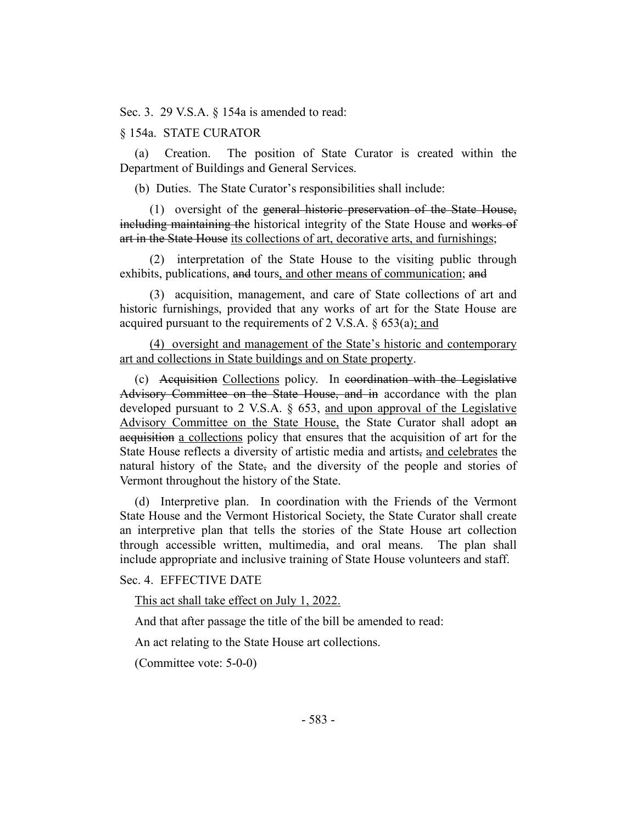Sec. 3. 29 V.S.A. § 154a is amended to read:

#### § 154a. STATE CURATOR

(a) Creation. The position of State Curator is created within the Department of Buildings and General Services.

(b) Duties. The State Curator's responsibilities shall include:

(1) oversight of the general historic preservation of the State House, including maintaining the historical integrity of the State House and works of art in the State House its collections of art, decorative arts, and furnishings;

(2) interpretation of the State House to the visiting public through exhibits, publications, and tours, and other means of communication; and

(3) acquisition, management, and care of State collections of art and historic furnishings, provided that any works of art for the State House are acquired pursuant to the requirements of 2 V.S.A. § 653(a); and

(4) oversight and management of the State's historic and contemporary art and collections in State buildings and on State property.

(c) Acquisition Collections policy. In coordination with the Legislative Advisory Committee on the State House, and in accordance with the plan developed pursuant to 2 V.S.A. § 653, and upon approval of the Legislative Advisory Committee on the State House, the State Curator shall adopt an acquisition a collections policy that ensures that the acquisition of art for the State House reflects a diversity of artistic media and artists, and celebrates the natural history of the State<sub>5</sub> and the diversity of the people and stories of Vermont throughout the history of the State.

(d) Interpretive plan. In coordination with the Friends of the Vermont State House and the Vermont Historical Society, the State Curator shall create an interpretive plan that tells the stories of the State House art collection through accessible written, multimedia, and oral means. The plan shall include appropriate and inclusive training of State House volunteers and staff.

Sec. 4. EFFECTIVE DATE

This act shall take effect on July 1, 2022.

And that after passage the title of the bill be amended to read:

An act relating to the State House art collections.

(Committee vote: 5-0-0)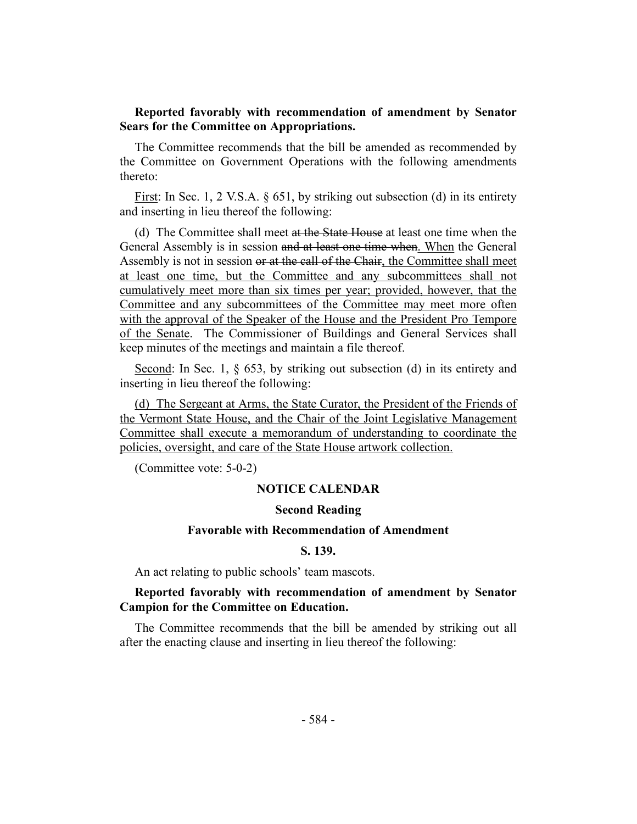#### <span id="page-18-0"></span>**Reported favorably with recommendation of amendment by Senator Sears for the Committee on Appropriations.**

The Committee recommends that the bill be amended as recommended by the Committee on Government Operations with the following amendments thereto:

First: In Sec. 1, 2 V.S.A. § 651, by striking out subsection (d) in its entirety and inserting in lieu thereof the following:

(d) The Committee shall meet at the State House at least one time when the General Assembly is in session and at least one time when. When the General Assembly is not in session or at the call of the Chair, the Committee shall meet at least one time, but the Committee and any subcommittees shall not cumulatively meet more than six times per year; provided, however, that the Committee and any subcommittees of the Committee may meet more often with the approval of the Speaker of the House and the President Pro Tempore of the Senate. The Commissioner of Buildings and General Services shall keep minutes of the meetings and maintain a file thereof.

Second: In Sec. 1, § 653, by striking out subsection (d) in its entirety and inserting in lieu thereof the following:

(d) The Sergeant at Arms, the State Curator, the President of the Friends of the Vermont State House, and the Chair of the Joint Legislative Management Committee shall execute a memorandum of understanding to coordinate the policies, oversight, and care of the State House artwork collection.

(Committee vote: 5-0-2)

#### **NOTICE CALENDAR**

#### **Second Reading**

#### **Favorable with Recommendation of Amendment**

## **S. 139.**

<span id="page-18-1"></span>An act relating to public schools' team mascots.

## **Reported favorably with recommendation of amendment by Senator Campion for the Committee on Education.**

The Committee recommends that the bill be amended by striking out all after the enacting clause and inserting in lieu thereof the following: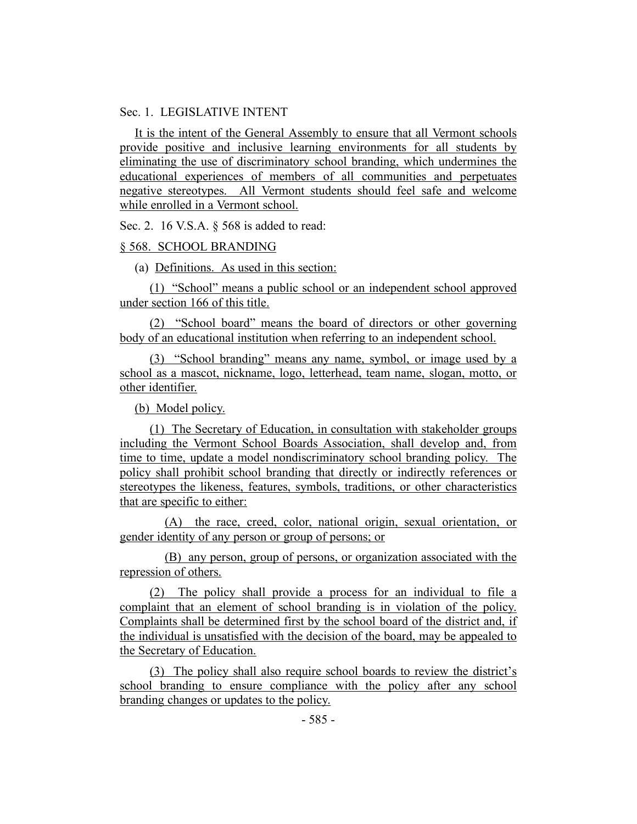#### Sec. 1. LEGISLATIVE INTENT

It is the intent of the General Assembly to ensure that all Vermont schools provide positive and inclusive learning environments for all students by eliminating the use of discriminatory school branding, which undermines the educational experiences of members of all communities and perpetuates negative stereotypes. All Vermont students should feel safe and welcome while enrolled in a Vermont school.

Sec. 2. 16 V.S.A. § 568 is added to read:

#### § 568. SCHOOL BRANDING

(a) Definitions. As used in this section:

(1) "School" means a public school or an independent school approved under section 166 of this title.

(2) "School board" means the board of directors or other governing body of an educational institution when referring to an independent school.

(3) "School branding" means any name, symbol, or image used by a school as a mascot, nickname, logo, letterhead, team name, slogan, motto, or other identifier.

(b) Model policy.

(1) The Secretary of Education, in consultation with stakeholder groups including the Vermont School Boards Association, shall develop and, from time to time, update a model nondiscriminatory school branding policy. The policy shall prohibit school branding that directly or indirectly references or stereotypes the likeness, features, symbols, traditions, or other characteristics that are specific to either:

(A) the race, creed, color, national origin, sexual orientation, or gender identity of any person or group of persons; or

(B) any person, group of persons, or organization associated with the repression of others.

(2) The policy shall provide a process for an individual to file a complaint that an element of school branding is in violation of the policy. Complaints shall be determined first by the school board of the district and, if the individual is unsatisfied with the decision of the board, may be appealed to the Secretary of Education.

(3) The policy shall also require school boards to review the district's school branding to ensure compliance with the policy after any school branding changes or updates to the policy.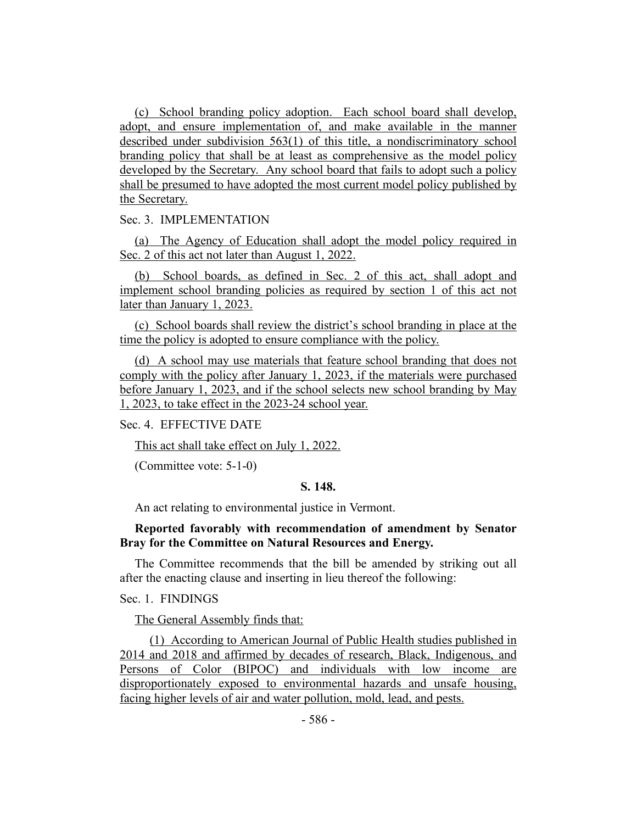(c) School branding policy adoption. Each school board shall develop, adopt, and ensure implementation of, and make available in the manner described under subdivision 563(1) of this title, a nondiscriminatory school branding policy that shall be at least as comprehensive as the model policy developed by the Secretary. Any school board that fails to adopt such a policy shall be presumed to have adopted the most current model policy published by the Secretary.

#### Sec. 3. IMPLEMENTATION

(a) The Agency of Education shall adopt the model policy required in Sec. 2 of this act not later than August 1, 2022.

(b) School boards, as defined in Sec. 2 of this act, shall adopt and implement school branding policies as required by section 1 of this act not later than January 1, 2023.

(c) School boards shall review the district's school branding in place at the time the policy is adopted to ensure compliance with the policy.

(d) A school may use materials that feature school branding that does not comply with the policy after January 1, 2023, if the materials were purchased before January 1, 2023, and if the school selects new school branding by May 1, 2023, to take effect in the 2023-24 school year.

#### Sec. 4. EFFECTIVE DATE

This act shall take effect on July 1, 2022.

<span id="page-20-0"></span>(Committee vote: 5-1-0)

#### **S. 148.**

An act relating to environmental justice in Vermont.

# **Reported favorably with recommendation of amendment by Senator Bray for the Committee on Natural Resources and Energy.**

The Committee recommends that the bill be amended by striking out all after the enacting clause and inserting in lieu thereof the following:

Sec. 1. FINDINGS

The General Assembly finds that:

(1) According to American Journal of Public Health studies published in 2014 and 2018 and affirmed by decades of research, Black, Indigenous, and Persons of Color (BIPOC) and individuals with low income are disproportionately exposed to environmental hazards and unsafe housing, facing higher levels of air and water pollution, mold, lead, and pests.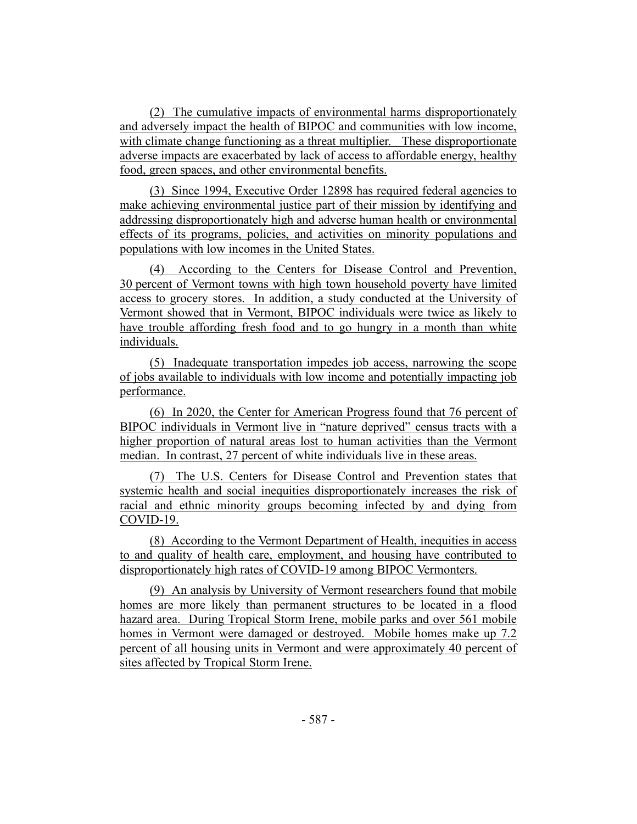(2) The cumulative impacts of environmental harms disproportionately and adversely impact the health of BIPOC and communities with low income, with climate change functioning as a threat multiplier. These disproportionate adverse impacts are exacerbated by lack of access to affordable energy, healthy food, green spaces, and other environmental benefits.

(3) Since 1994, Executive Order 12898 has required federal agencies to make achieving environmental justice part of their mission by identifying and addressing disproportionately high and adverse human health or environmental effects of its programs, policies, and activities on minority populations and populations with low incomes in the United States.

(4) According to the Centers for Disease Control and Prevention, 30 percent of Vermont towns with high town household poverty have limited access to grocery stores. In addition, a study conducted at the University of Vermont showed that in Vermont, BIPOC individuals were twice as likely to have trouble affording fresh food and to go hungry in a month than white individuals.

(5) Inadequate transportation impedes job access, narrowing the scope of jobs available to individuals with low income and potentially impacting job performance.

(6) In 2020, the Center for American Progress found that 76 percent of BIPOC individuals in Vermont live in "nature deprived" census tracts with a higher proportion of natural areas lost to human activities than the Vermont median. In contrast, 27 percent of white individuals live in these areas.

(7) The U.S. Centers for Disease Control and Prevention states that systemic health and social inequities disproportionately increases the risk of racial and ethnic minority groups becoming infected by and dying from COVID-19.

(8) According to the Vermont Department of Health, inequities in access to and quality of health care, employment, and housing have contributed to disproportionately high rates of COVID-19 among BIPOC Vermonters.

(9) An analysis by University of Vermont researchers found that mobile homes are more likely than permanent structures to be located in a flood hazard area. During Tropical Storm Irene, mobile parks and over 561 mobile homes in Vermont were damaged or destroyed. Mobile homes make up 7.2 percent of all housing units in Vermont and were approximately 40 percent of sites affected by Tropical Storm Irene.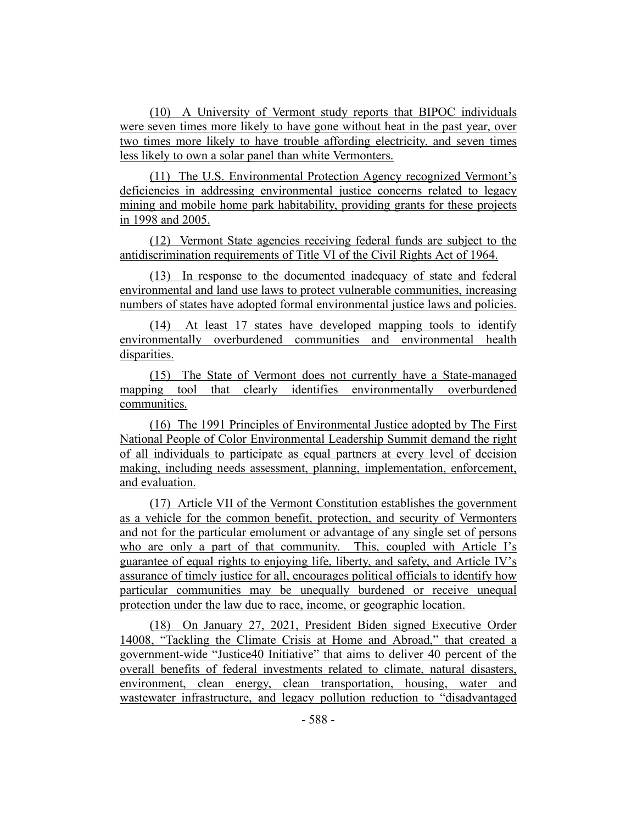(10) A University of Vermont study reports that BIPOC individuals were seven times more likely to have gone without heat in the past year, over two times more likely to have trouble affording electricity, and seven times less likely to own a solar panel than white Vermonters.

(11) The U.S. Environmental Protection Agency recognized Vermont's deficiencies in addressing environmental justice concerns related to legacy mining and mobile home park habitability, providing grants for these projects in 1998 and 2005.

(12) Vermont State agencies receiving federal funds are subject to the antidiscrimination requirements of Title VI of the Civil Rights Act of 1964.

(13) In response to the documented inadequacy of state and federal environmental and land use laws to protect vulnerable communities, increasing numbers of states have adopted formal environmental justice laws and policies.

(14) At least 17 states have developed mapping tools to identify environmentally overburdened communities and environmental health disparities.

(15) The State of Vermont does not currently have a State-managed mapping tool that clearly identifies environmentally overburdened communities.

(16) The 1991 Principles of Environmental Justice adopted by The First National People of Color Environmental Leadership Summit demand the right of all individuals to participate as equal partners at every level of decision making, including needs assessment, planning, implementation, enforcement, and evaluation.

(17) Article VII of the Vermont Constitution establishes the government as a vehicle for the common benefit, protection, and security of Vermonters and not for the particular emolument or advantage of any single set of persons who are only a part of that community. This, coupled with Article I's guarantee of equal rights to enjoying life, liberty, and safety, and Article IV's assurance of timely justice for all, encourages political officials to identify how particular communities may be unequally burdened or receive unequal protection under the law due to race, income, or geographic location.

(18) On January 27, 2021, President Biden signed Executive Order 14008, "Tackling the Climate Crisis at Home and Abroad," that created a government-wide "Justice40 Initiative" that aims to deliver 40 percent of the overall benefits of federal investments related to climate, natural disasters, environment, clean energy, clean transportation, housing, water and wastewater infrastructure, and legacy pollution reduction to "disadvantaged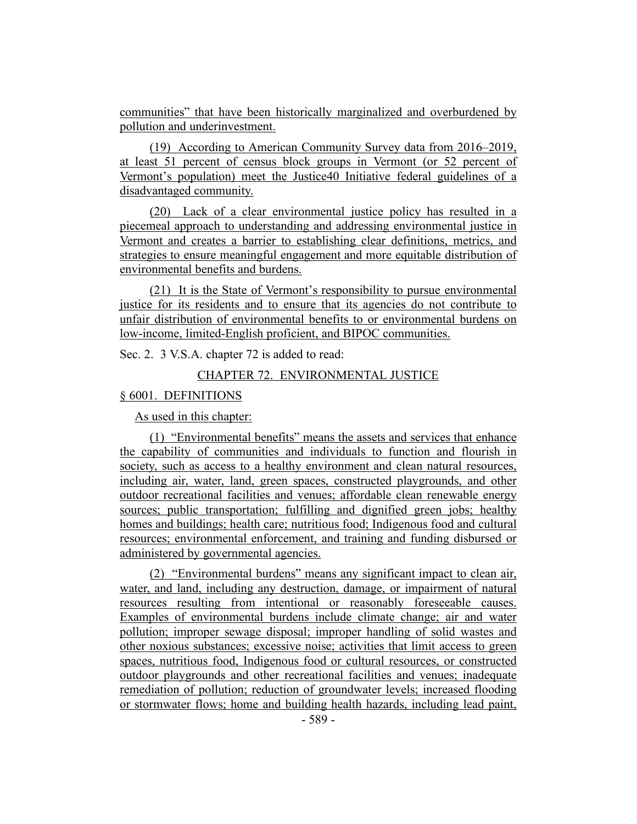communities" that have been historically marginalized and overburdened by pollution and underinvestment.

(19) According to American Community Survey data from 2016–2019, at least 51 percent of census block groups in Vermont (or 52 percent of Vermont's population) meet the Justice40 Initiative federal guidelines of a disadvantaged community.

(20) Lack of a clear environmental justice policy has resulted in a piecemeal approach to understanding and addressing environmental justice in Vermont and creates a barrier to establishing clear definitions, metrics, and strategies to ensure meaningful engagement and more equitable distribution of environmental benefits and burdens.

(21) It is the State of Vermont's responsibility to pursue environmental justice for its residents and to ensure that its agencies do not contribute to unfair distribution of environmental benefits to or environmental burdens on low-income, limited-English proficient, and BIPOC communities.

Sec. 2. 3 V.S.A. chapter 72 is added to read:

#### CHAPTER 72. ENVIRONMENTAL JUSTICE

#### § 6001. DEFINITIONS

As used in this chapter:

(1) "Environmental benefits" means the assets and services that enhance the capability of communities and individuals to function and flourish in society, such as access to a healthy environment and clean natural resources, including air, water, land, green spaces, constructed playgrounds, and other outdoor recreational facilities and venues; affordable clean renewable energy sources; public transportation; fulfilling and dignified green jobs; healthy homes and buildings; health care; nutritious food; Indigenous food and cultural resources; environmental enforcement, and training and funding disbursed or administered by governmental agencies.

(2) "Environmental burdens" means any significant impact to clean air, water, and land, including any destruction, damage, or impairment of natural resources resulting from intentional or reasonably foreseeable causes. Examples of environmental burdens include climate change; air and water pollution; improper sewage disposal; improper handling of solid wastes and other noxious substances; excessive noise; activities that limit access to green spaces, nutritious food, Indigenous food or cultural resources, or constructed outdoor playgrounds and other recreational facilities and venues; inadequate remediation of pollution; reduction of groundwater levels; increased flooding or stormwater flows; home and building health hazards, including lead paint,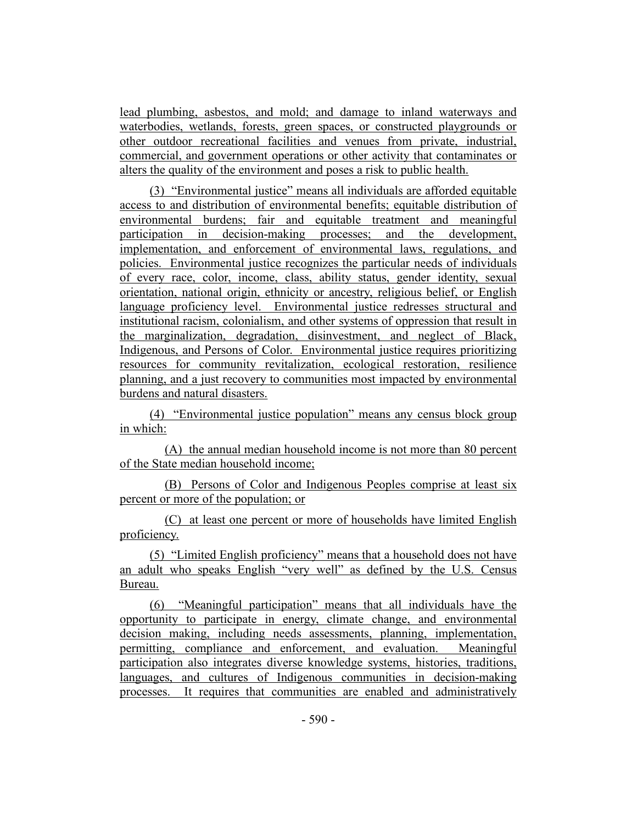lead plumbing, asbestos, and mold; and damage to inland waterways and waterbodies, wetlands, forests, green spaces, or constructed playgrounds or other outdoor recreational facilities and venues from private, industrial, commercial, and government operations or other activity that contaminates or alters the quality of the environment and poses a risk to public health.

(3) "Environmental justice" means all individuals are afforded equitable access to and distribution of environmental benefits; equitable distribution of environmental burdens; fair and equitable treatment and meaningful participation in decision-making processes; and the development, implementation, and enforcement of environmental laws, regulations, and policies. Environmental justice recognizes the particular needs of individuals of every race, color, income, class, ability status, gender identity, sexual orientation, national origin, ethnicity or ancestry, religious belief, or English language proficiency level. Environmental justice redresses structural and institutional racism, colonialism, and other systems of oppression that result in the marginalization, degradation, disinvestment, and neglect of Black, Indigenous, and Persons of Color. Environmental justice requires prioritizing resources for community revitalization, ecological restoration, resilience planning, and a just recovery to communities most impacted by environmental burdens and natural disasters.

(4) "Environmental justice population" means any census block group in which:

(A) the annual median household income is not more than 80 percent of the State median household income;

(B) Persons of Color and Indigenous Peoples comprise at least six percent or more of the population; or

(C) at least one percent or more of households have limited English proficiency.

(5) "Limited English proficiency" means that a household does not have an adult who speaks English "very well" as defined by the U.S. Census Bureau.

(6) "Meaningful participation" means that all individuals have the opportunity to participate in energy, climate change, and environmental decision making, including needs assessments, planning, implementation, permitting, compliance and enforcement, and evaluation. Meaningful participation also integrates diverse knowledge systems, histories, traditions, languages, and cultures of Indigenous communities in decision-making processes. It requires that communities are enabled and administratively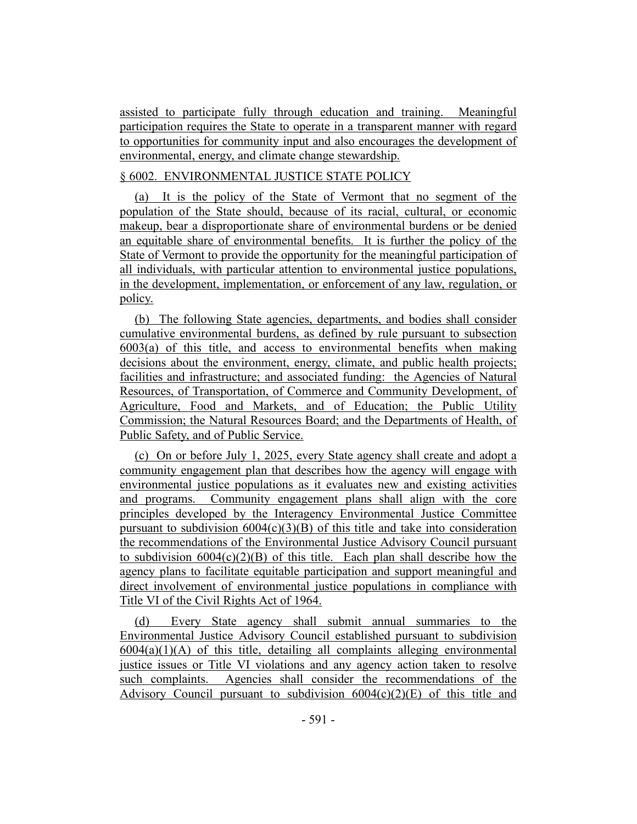assisted to participate fully through education and training. Meaningful participation requires the State to operate in a transparent manner with regard to opportunities for community input and also encourages the development of environmental, energy, and climate change stewardship.

# § 6002. ENVIRONMENTAL JUSTICE STATE POLICY

(a) It is the policy of the State of Vermont that no segment of the population of the State should, because of its racial, cultural, or economic makeup, bear a disproportionate share of environmental burdens or be denied an equitable share of environmental benefits. It is further the policy of the State of Vermont to provide the opportunity for the meaningful participation of all individuals, with particular attention to environmental justice populations, in the development, implementation, or enforcement of any law, regulation, or policy.

(b) The following State agencies, departments, and bodies shall consider cumulative environmental burdens, as defined by rule pursuant to subsection 6003(a) of this title, and access to environmental benefits when making decisions about the environment, energy, climate, and public health projects; facilities and infrastructure; and associated funding: the Agencies of Natural Resources, of Transportation, of Commerce and Community Development, of Agriculture, Food and Markets, and of Education; the Public Utility Commission; the Natural Resources Board; and the Departments of Health, of Public Safety, and of Public Service.

(c) On or before July 1, 2025, every State agency shall create and adopt a community engagement plan that describes how the agency will engage with environmental justice populations as it evaluates new and existing activities and programs. Community engagement plans shall align with the core principles developed by the Interagency Environmental Justice Committee pursuant to subdivision  $6004(c)(3)(B)$  of this title and take into consideration the recommendations of the Environmental Justice Advisory Council pursuant to subdivision  $6004(c)(2)(B)$  of this title. Each plan shall describe how the agency plans to facilitate equitable participation and support meaningful and direct involvement of environmental justice populations in compliance with Title VI of the Civil Rights Act of 1964.

(d) Every State agency shall submit annual summaries to the Environmental Justice Advisory Council established pursuant to subdivision  $6004(a)(1)(A)$  of this title, detailing all complaints alleging environmental justice issues or Title VI violations and any agency action taken to resolve such complaints. Agencies shall consider the recommendations of the Advisory Council pursuant to subdivision  $6004(c)(2)(E)$  of this title and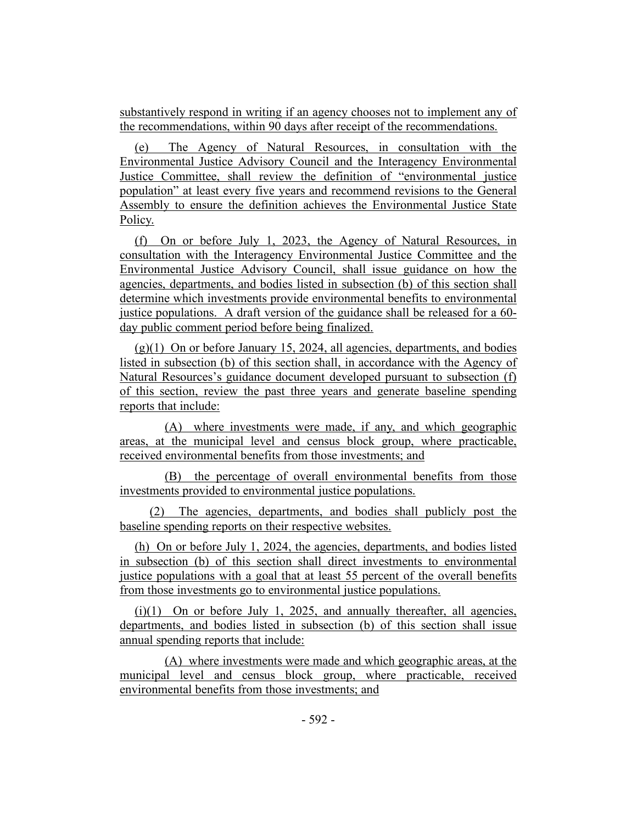substantively respond in writing if an agency chooses not to implement any of the recommendations, within 90 days after receipt of the recommendations.

The Agency of Natural Resources, in consultation with the Environmental Justice Advisory Council and the Interagency Environmental Justice Committee, shall review the definition of "environmental justice population" at least every five years and recommend revisions to the General Assembly to ensure the definition achieves the Environmental Justice State Policy.

(f) On or before July 1, 2023, the Agency of Natural Resources, in consultation with the Interagency Environmental Justice Committee and the Environmental Justice Advisory Council, shall issue guidance on how the agencies, departments, and bodies listed in subsection (b) of this section shall determine which investments provide environmental benefits to environmental justice populations. A draft version of the guidance shall be released for a 60 day public comment period before being finalized.

 $(g)(1)$  On or before January 15, 2024, all agencies, departments, and bodies listed in subsection (b) of this section shall, in accordance with the Agency of Natural Resources's guidance document developed pursuant to subsection (f) of this section, review the past three years and generate baseline spending reports that include:

(A) where investments were made, if any, and which geographic areas, at the municipal level and census block group, where practicable, received environmental benefits from those investments; and

(B) the percentage of overall environmental benefits from those investments provided to environmental justice populations.

(2) The agencies, departments, and bodies shall publicly post the baseline spending reports on their respective websites.

(h) On or before July 1, 2024, the agencies, departments, and bodies listed in subsection (b) of this section shall direct investments to environmental justice populations with a goal that at least 55 percent of the overall benefits from those investments go to environmental justice populations.

 $(i)(1)$  On or before July 1, 2025, and annually thereafter, all agencies, departments, and bodies listed in subsection (b) of this section shall issue annual spending reports that include:

(A) where investments were made and which geographic areas, at the municipal level and census block group, where practicable, received environmental benefits from those investments; and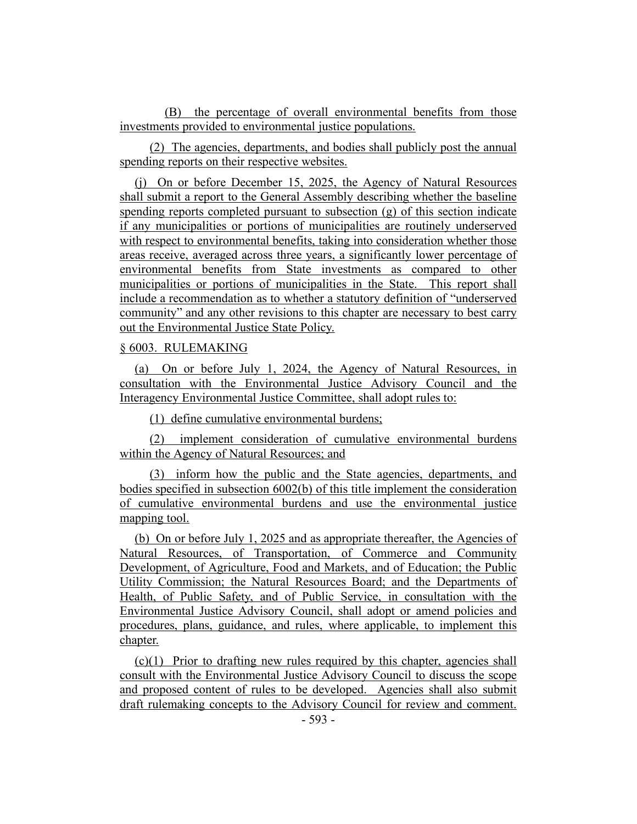(B) the percentage of overall environmental benefits from those investments provided to environmental justice populations.

(2) The agencies, departments, and bodies shall publicly post the annual spending reports on their respective websites.

(j) On or before December 15, 2025, the Agency of Natural Resources shall submit a report to the General Assembly describing whether the baseline spending reports completed pursuant to subsection (g) of this section indicate if any municipalities or portions of municipalities are routinely underserved with respect to environmental benefits, taking into consideration whether those areas receive, averaged across three years, a significantly lower percentage of environmental benefits from State investments as compared to other municipalities or portions of municipalities in the State. This report shall include a recommendation as to whether a statutory definition of "underserved community" and any other revisions to this chapter are necessary to best carry out the Environmental Justice State Policy.

#### § 6003. RULEMAKING

(a) On or before July 1, 2024, the Agency of Natural Resources, in consultation with the Environmental Justice Advisory Council and the Interagency Environmental Justice Committee, shall adopt rules to:

(1) define cumulative environmental burdens;

(2) implement consideration of cumulative environmental burdens within the Agency of Natural Resources; and

(3) inform how the public and the State agencies, departments, and bodies specified in subsection 6002(b) of this title implement the consideration of cumulative environmental burdens and use the environmental justice mapping tool.

(b) On or before July 1, 2025 and as appropriate thereafter, the Agencies of Natural Resources, of Transportation, of Commerce and Community Development, of Agriculture, Food and Markets, and of Education; the Public Utility Commission; the Natural Resources Board; and the Departments of Health, of Public Safety, and of Public Service, in consultation with the Environmental Justice Advisory Council, shall adopt or amend policies and procedures, plans, guidance, and rules, where applicable, to implement this chapter.

(c)(1) Prior to drafting new rules required by this chapter, agencies shall consult with the Environmental Justice Advisory Council to discuss the scope and proposed content of rules to be developed. Agencies shall also submit draft rulemaking concepts to the Advisory Council for review and comment.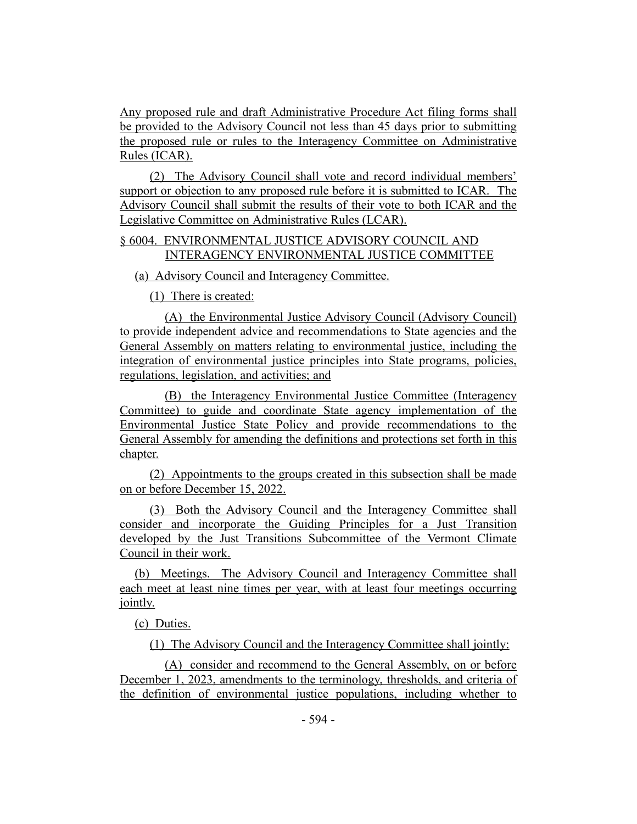Any proposed rule and draft Administrative Procedure Act filing forms shall be provided to the Advisory Council not less than 45 days prior to submitting the proposed rule or rules to the Interagency Committee on Administrative Rules (ICAR).

(2) The Advisory Council shall vote and record individual members' support or objection to any proposed rule before it is submitted to ICAR. The Advisory Council shall submit the results of their vote to both ICAR and the Legislative Committee on Administrative Rules (LCAR).

# § 6004. ENVIRONMENTAL JUSTICE ADVISORY COUNCIL AND INTERAGENCY ENVIRONMENTAL JUSTICE COMMITTEE

(a) Advisory Council and Interagency Committee.

(1) There is created:

(A) the Environmental Justice Advisory Council (Advisory Council) to provide independent advice and recommendations to State agencies and the General Assembly on matters relating to environmental justice, including the integration of environmental justice principles into State programs, policies, regulations, legislation, and activities; and

(B) the Interagency Environmental Justice Committee (Interagency Committee) to guide and coordinate State agency implementation of the Environmental Justice State Policy and provide recommendations to the General Assembly for amending the definitions and protections set forth in this chapter.

(2) Appointments to the groups created in this subsection shall be made on or before December 15, 2022.

(3) Both the Advisory Council and the Interagency Committee shall consider and incorporate the Guiding Principles for a Just Transition developed by the Just Transitions Subcommittee of the Vermont Climate Council in their work.

(b) Meetings. The Advisory Council and Interagency Committee shall each meet at least nine times per year, with at least four meetings occurring jointly.

(c) Duties.

(1) The Advisory Council and the Interagency Committee shall jointly:

(A) consider and recommend to the General Assembly, on or before December 1, 2023, amendments to the terminology, thresholds, and criteria of the definition of environmental justice populations, including whether to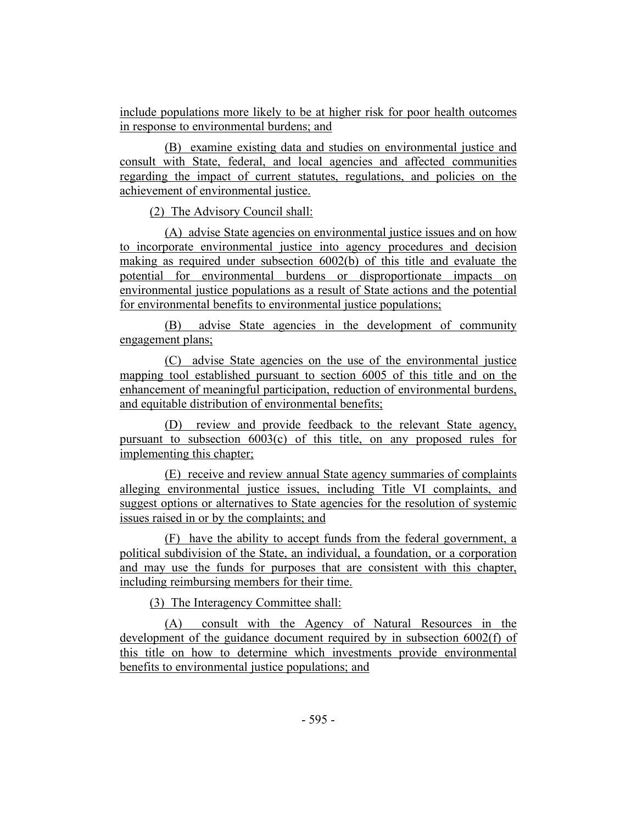include populations more likely to be at higher risk for poor health outcomes in response to environmental burdens; and

(B) examine existing data and studies on environmental justice and consult with State, federal, and local agencies and affected communities regarding the impact of current statutes, regulations, and policies on the achievement of environmental justice.

(2) The Advisory Council shall:

(A) advise State agencies on environmental justice issues and on how to incorporate environmental justice into agency procedures and decision making as required under subsection 6002(b) of this title and evaluate the potential for environmental burdens or disproportionate impacts on environmental justice populations as a result of State actions and the potential for environmental benefits to environmental justice populations;

(B) advise State agencies in the development of community engagement plans;

(C) advise State agencies on the use of the environmental justice mapping tool established pursuant to section 6005 of this title and on the enhancement of meaningful participation, reduction of environmental burdens, and equitable distribution of environmental benefits;

(D) review and provide feedback to the relevant State agency, pursuant to subsection 6003(c) of this title, on any proposed rules for implementing this chapter;

(E) receive and review annual State agency summaries of complaints alleging environmental justice issues, including Title VI complaints, and suggest options or alternatives to State agencies for the resolution of systemic issues raised in or by the complaints; and

(F) have the ability to accept funds from the federal government, a political subdivision of the State, an individual, a foundation, or a corporation and may use the funds for purposes that are consistent with this chapter, including reimbursing members for their time.

(3) The Interagency Committee shall:

(A) consult with the Agency of Natural Resources in the development of the guidance document required by in subsection 6002(f) of this title on how to determine which investments provide environmental benefits to environmental justice populations; and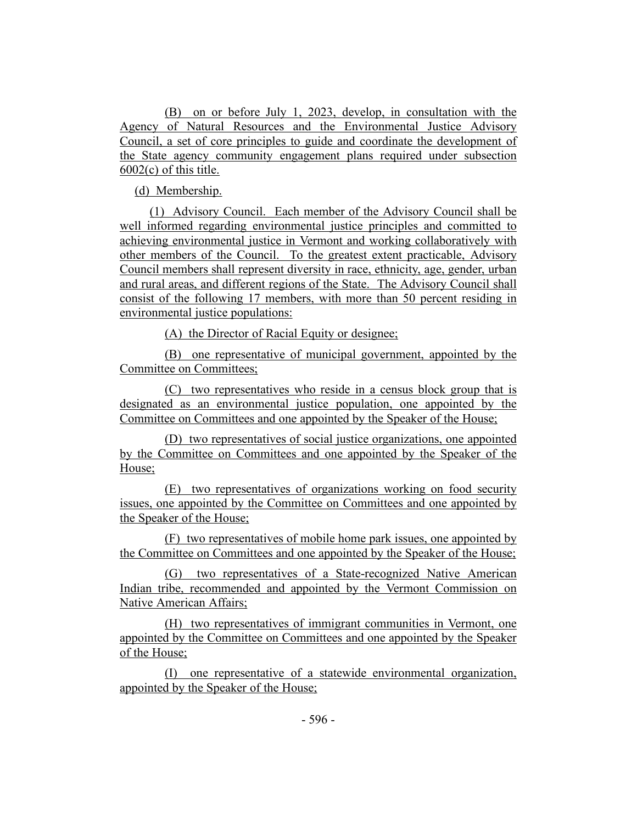(B) on or before July 1, 2023, develop, in consultation with the Agency of Natural Resources and the Environmental Justice Advisory Council, a set of core principles to guide and coordinate the development of the State agency community engagement plans required under subsection  $6002(c)$  of this title.

(d) Membership.

(1) Advisory Council. Each member of the Advisory Council shall be well informed regarding environmental justice principles and committed to achieving environmental justice in Vermont and working collaboratively with other members of the Council. To the greatest extent practicable, Advisory Council members shall represent diversity in race, ethnicity, age, gender, urban and rural areas, and different regions of the State. The Advisory Council shall consist of the following 17 members, with more than 50 percent residing in environmental justice populations:

(A) the Director of Racial Equity or designee;

(B) one representative of municipal government, appointed by the Committee on Committees;

(C) two representatives who reside in a census block group that is designated as an environmental justice population, one appointed by the Committee on Committees and one appointed by the Speaker of the House;

(D) two representatives of social justice organizations, one appointed by the Committee on Committees and one appointed by the Speaker of the House;

(E) two representatives of organizations working on food security issues, one appointed by the Committee on Committees and one appointed by the Speaker of the House;

(F) two representatives of mobile home park issues, one appointed by the Committee on Committees and one appointed by the Speaker of the House;

(G) two representatives of a State-recognized Native American Indian tribe, recommended and appointed by the Vermont Commission on Native American Affairs;

(H) two representatives of immigrant communities in Vermont, one appointed by the Committee on Committees and one appointed by the Speaker of the House;

(I) one representative of a statewide environmental organization, appointed by the Speaker of the House;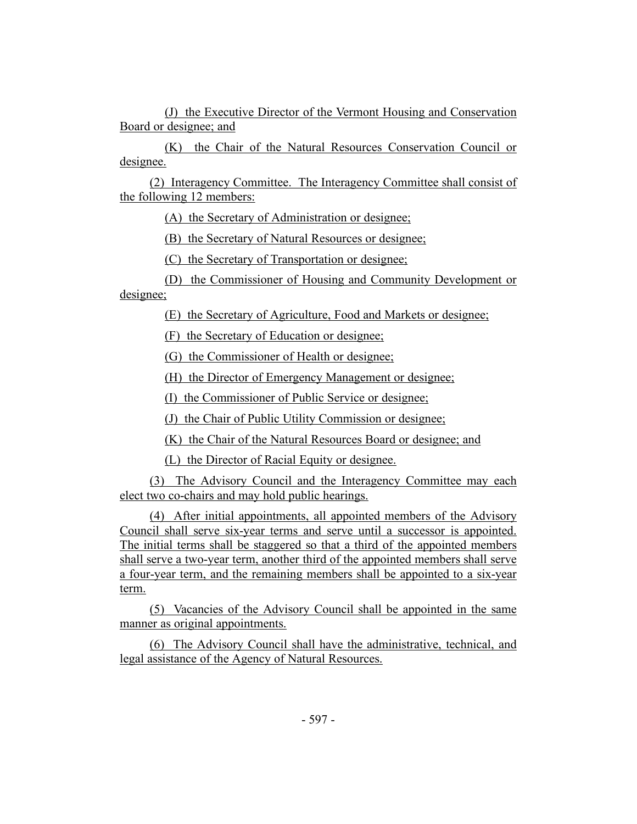(J) the Executive Director of the Vermont Housing and Conservation Board or designee; and

(K) the Chair of the Natural Resources Conservation Council or designee.

(2) Interagency Committee. The Interagency Committee shall consist of the following 12 members:

(A) the Secretary of Administration or designee;

(B) the Secretary of Natural Resources or designee;

(C) the Secretary of Transportation or designee;

(D) the Commissioner of Housing and Community Development or designee;

(E) the Secretary of Agriculture, Food and Markets or designee;

(F) the Secretary of Education or designee;

(G) the Commissioner of Health or designee;

(H) the Director of Emergency Management or designee;

(I) the Commissioner of Public Service or designee;

(J) the Chair of Public Utility Commission or designee;

(K) the Chair of the Natural Resources Board or designee; and

(L) the Director of Racial Equity or designee.

(3) The Advisory Council and the Interagency Committee may each elect two co-chairs and may hold public hearings.

(4) After initial appointments, all appointed members of the Advisory Council shall serve six-year terms and serve until a successor is appointed. The initial terms shall be staggered so that a third of the appointed members shall serve a two-year term, another third of the appointed members shall serve a four-year term, and the remaining members shall be appointed to a six-year term.

(5) Vacancies of the Advisory Council shall be appointed in the same manner as original appointments.

(6) The Advisory Council shall have the administrative, technical, and legal assistance of the Agency of Natural Resources.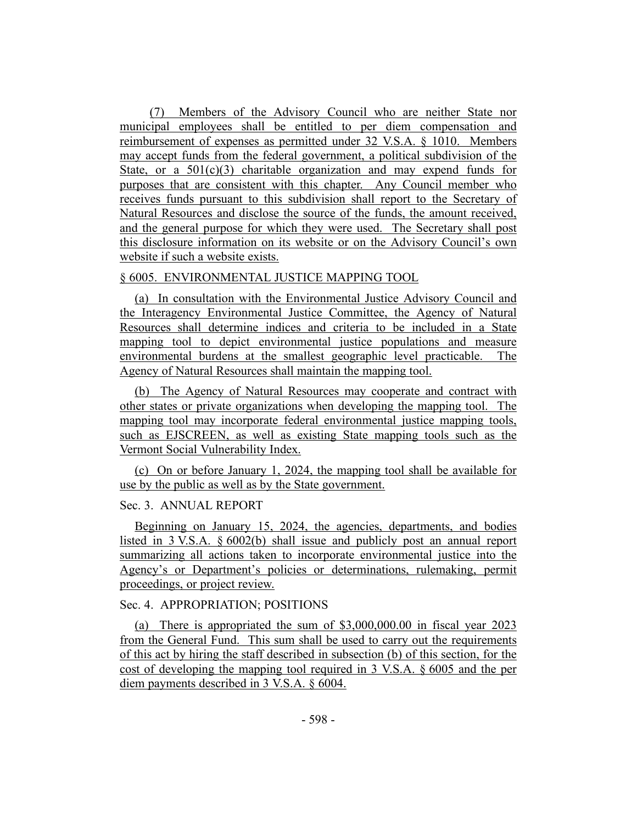(7) Members of the Advisory Council who are neither State nor municipal employees shall be entitled to per diem compensation and reimbursement of expenses as permitted under 32 V.S.A. § 1010. Members may accept funds from the federal government, a political subdivision of the State, or a  $501(c)(3)$  charitable organization and may expend funds for purposes that are consistent with this chapter. Any Council member who receives funds pursuant to this subdivision shall report to the Secretary of Natural Resources and disclose the source of the funds, the amount received, and the general purpose for which they were used. The Secretary shall post this disclosure information on its website or on the Advisory Council's own website if such a website exists.

# § 6005. ENVIRONMENTAL JUSTICE MAPPING TOOL

(a) In consultation with the Environmental Justice Advisory Council and the Interagency Environmental Justice Committee, the Agency of Natural Resources shall determine indices and criteria to be included in a State mapping tool to depict environmental justice populations and measure environmental burdens at the smallest geographic level practicable. The Agency of Natural Resources shall maintain the mapping tool.

(b) The Agency of Natural Resources may cooperate and contract with other states or private organizations when developing the mapping tool. The mapping tool may incorporate federal environmental justice mapping tools, such as EJSCREEN, as well as existing State mapping tools such as the Vermont Social Vulnerability Index.

(c) On or before January 1, 2024, the mapping tool shall be available for use by the public as well as by the State government.

# Sec. 3. ANNUAL REPORT

Beginning on January 15, 2024, the agencies, departments, and bodies listed in 3 V.S.A. § 6002(b) shall issue and publicly post an annual report summarizing all actions taken to incorporate environmental justice into the Agency's or Department's policies or determinations, rulemaking, permit proceedings, or project review.

# Sec. 4. APPROPRIATION; POSITIONS

(a) There is appropriated the sum of \$3,000,000.00 in fiscal year 2023 from the General Fund. This sum shall be used to carry out the requirements of this act by hiring the staff described in subsection (b) of this section, for the cost of developing the mapping tool required in 3 V.S.A. § 6005 and the per diem payments described in 3 V.S.A. § 6004.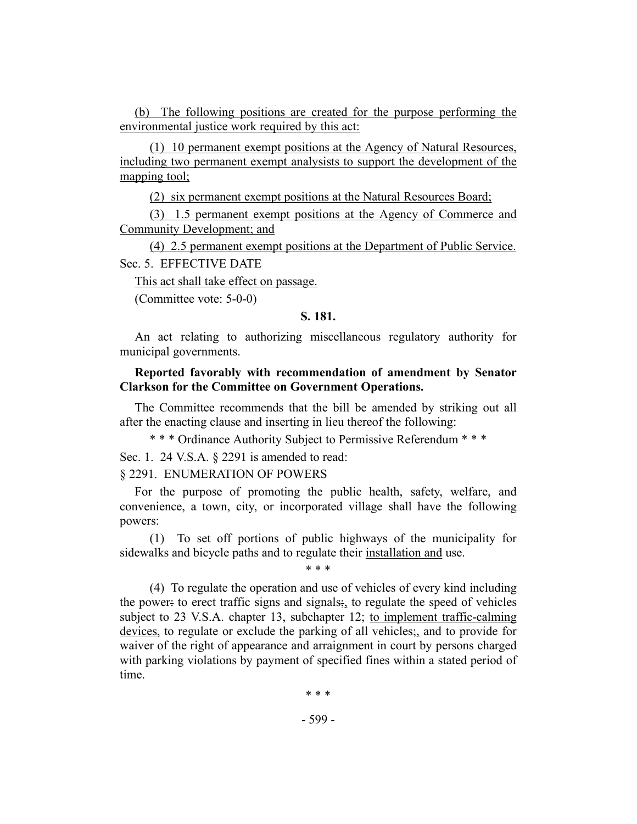(b) The following positions are created for the purpose performing the environmental justice work required by this act:

(1) 10 permanent exempt positions at the Agency of Natural Resources, including two permanent exempt analysists to support the development of the mapping tool;

(2) six permanent exempt positions at the Natural Resources Board;

(3) 1.5 permanent exempt positions at the Agency of Commerce and Community Development; and

(4) 2.5 permanent exempt positions at the Department of Public Service. Sec. 5. EFFECTIVE DATE

This act shall take effect on passage.

<span id="page-33-0"></span>(Committee vote: 5-0-0)

#### **S. 181.**

An act relating to authorizing miscellaneous regulatory authority for municipal governments.

# **Reported favorably with recommendation of amendment by Senator Clarkson for the Committee on Government Operations.**

The Committee recommends that the bill be amended by striking out all after the enacting clause and inserting in lieu thereof the following:

\* \* \* Ordinance Authority Subject to Permissive Referendum \* \* \*

Sec. 1. 24 V.S.A. § 2291 is amended to read:

#### § 2291. ENUMERATION OF POWERS

For the purpose of promoting the public health, safety, welfare, and convenience, a town, city, or incorporated village shall have the following powers:

(1) To set off portions of public highways of the municipality for sidewalks and bicycle paths and to regulate their installation and use.

\* \* \*

(4) To regulate the operation and use of vehicles of every kind including the power: to erect traffic signs and signals; to regulate the speed of vehicles subject to 23 V.S.A. chapter 13, subchapter 12; to implement traffic-calming devices, to regulate or exclude the parking of all vehicles $\frac{1}{2}$  and to provide for waiver of the right of appearance and arraignment in court by persons charged with parking violations by payment of specified fines within a stated period of time.

\* \* \*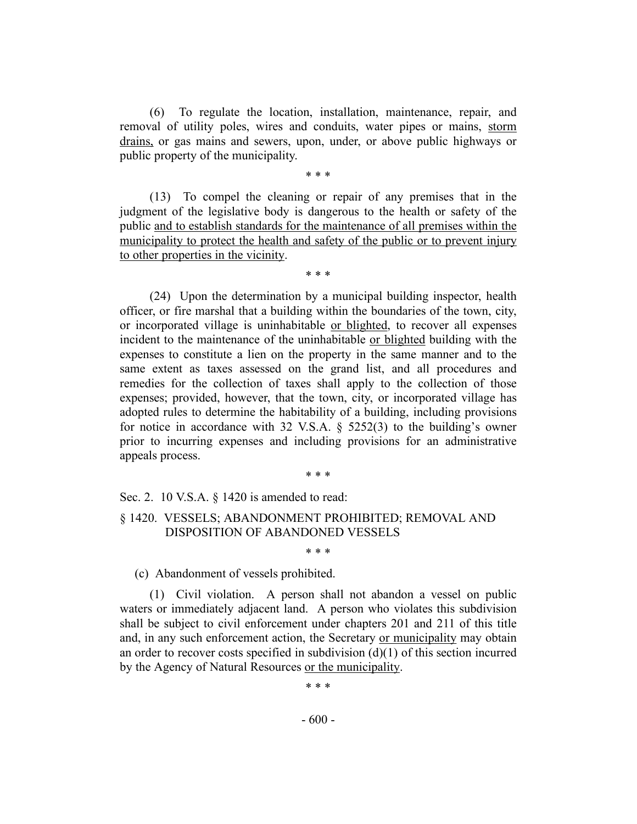(6) To regulate the location, installation, maintenance, repair, and removal of utility poles, wires and conduits, water pipes or mains, storm drains, or gas mains and sewers, upon, under, or above public highways or public property of the municipality.

\* \* \*

(13) To compel the cleaning or repair of any premises that in the judgment of the legislative body is dangerous to the health or safety of the public and to establish standards for the maintenance of all premises within the municipality to protect the health and safety of the public or to prevent injury to other properties in the vicinity.

\* \* \*

(24) Upon the determination by a municipal building inspector, health officer, or fire marshal that a building within the boundaries of the town, city, or incorporated village is uninhabitable or blighted, to recover all expenses incident to the maintenance of the uninhabitable or blighted building with the expenses to constitute a lien on the property in the same manner and to the same extent as taxes assessed on the grand list, and all procedures and remedies for the collection of taxes shall apply to the collection of those expenses; provided, however, that the town, city, or incorporated village has adopted rules to determine the habitability of a building, including provisions for notice in accordance with 32 V.S.A. § 5252(3) to the building's owner prior to incurring expenses and including provisions for an administrative appeals process.

\* \* \*

Sec. 2. 10 V.S.A. § 1420 is amended to read:

§ 1420. VESSELS; ABANDONMENT PROHIBITED; REMOVAL AND DISPOSITION OF ABANDONED VESSELS

\* \* \*

(c) Abandonment of vessels prohibited.

(1) Civil violation. A person shall not abandon a vessel on public waters or immediately adjacent land. A person who violates this subdivision shall be subject to civil enforcement under chapters 201 and 211 of this title and, in any such enforcement action, the Secretary or municipality may obtain an order to recover costs specified in subdivision  $(d)(1)$  of this section incurred by the Agency of Natural Resources or the municipality.

\* \* \*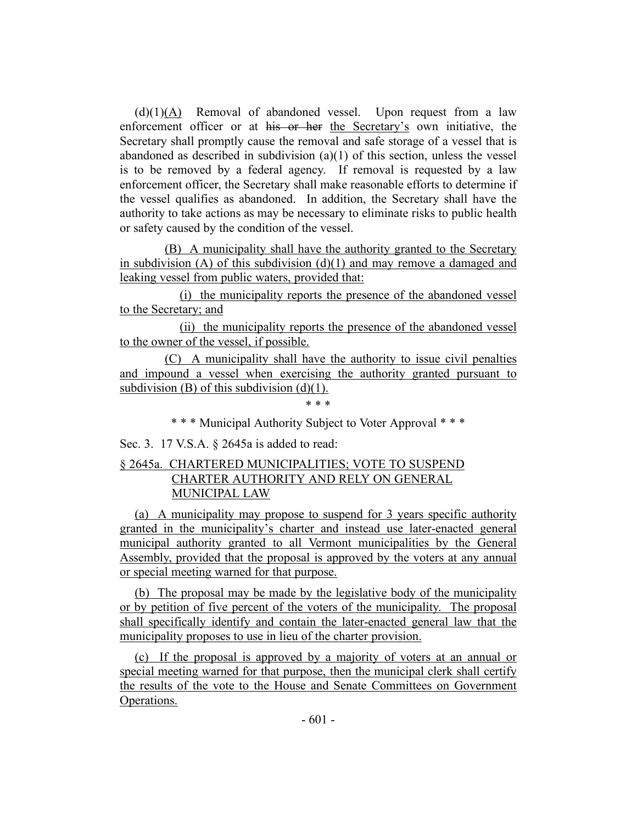$(d)(1)(A)$  Removal of abandoned vessel. Upon request from a law enforcement officer or at his or her the Secretary's own initiative, the Secretary shall promptly cause the removal and safe storage of a vessel that is abandoned as described in subdivision (a)(1) of this section, unless the vessel is to be removed by a federal agency. If removal is requested by a law enforcement officer, the Secretary shall make reasonable efforts to determine if the vessel qualifies as abandoned. In addition, the Secretary shall have the authority to take actions as may be necessary to eliminate risks to public health or safety caused by the condition of the vessel.

(B) A municipality shall have the authority granted to the Secretary in subdivision  $(A)$  of this subdivision  $(d)(1)$  and may remove a damaged and leaking vessel from public waters, provided that:

(i) the municipality reports the presence of the abandoned vessel to the Secretary; and

(ii) the municipality reports the presence of the abandoned vessel to the owner of the vessel, if possible.

(C) A municipality shall have the authority to issue civil penalties and impound a vessel when exercising the authority granted pursuant to subdivision (B) of this subdivision  $(d)(1)$ .

\* \* \*

\* \* \* Municipal Authority Subject to Voter Approval \* \* \*

Sec. 3. 17 V.S.A. § 2645a is added to read:

# § 2645a. CHARTERED MUNICIPALITIES; VOTE TO SUSPEND CHARTER AUTHORITY AND RELY ON GENERAL MUNICIPAL LAW

(a) A municipality may propose to suspend for 3 years specific authority granted in the municipality's charter and instead use later-enacted general municipal authority granted to all Vermont municipalities by the General Assembly, provided that the proposal is approved by the voters at any annual or special meeting warned for that purpose.

(b) The proposal may be made by the legislative body of the municipality or by petition of five percent of the voters of the municipality. The proposal shall specifically identify and contain the later-enacted general law that the municipality proposes to use in lieu of the charter provision.

(c) If the proposal is approved by a majority of voters at an annual or special meeting warned for that purpose, then the municipal clerk shall certify the results of the vote to the House and Senate Committees on Government Operations.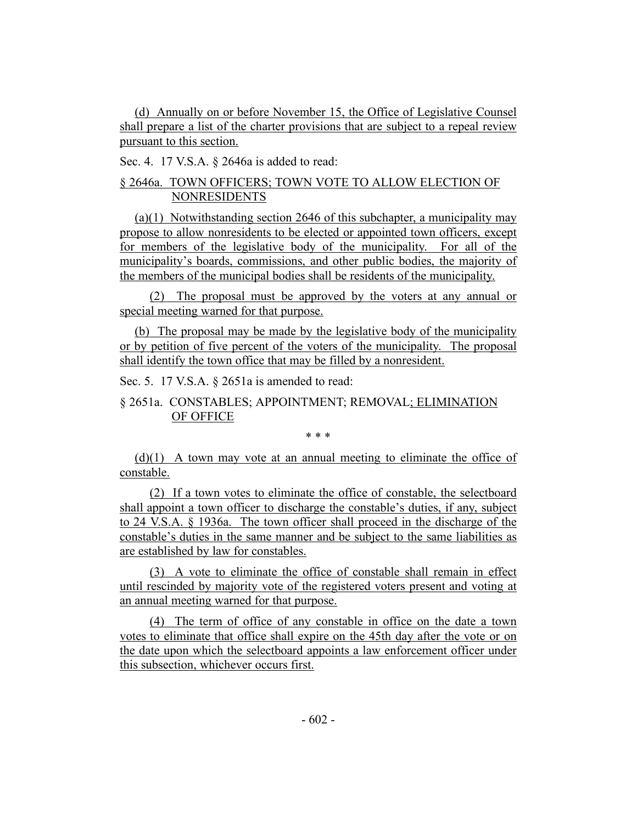(d) Annually on or before November 15, the Office of Legislative Counsel shall prepare a list of the charter provisions that are subject to a repeal review pursuant to this section.

Sec. 4. 17 V.S.A. § 2646a is added to read:

# § 2646a. TOWN OFFICERS; TOWN VOTE TO ALLOW ELECTION OF NONRESIDENTS

(a)(1) Notwithstanding section 2646 of this subchapter, a municipality may propose to allow nonresidents to be elected or appointed town officers, except for members of the legislative body of the municipality. For all of the municipality's boards, commissions, and other public bodies, the majority of the members of the municipal bodies shall be residents of the municipality.

(2) The proposal must be approved by the voters at any annual or special meeting warned for that purpose.

(b) The proposal may be made by the legislative body of the municipality or by petition of five percent of the voters of the municipality. The proposal shall identify the town office that may be filled by a nonresident.

Sec. 5. 17 V.S.A. § 2651a is amended to read:

# § 2651a. CONSTABLES; APPOINTMENT; REMOVAL; ELIMINATION OF OFFICE

\* \* \*

 $(d)(1)$  A town may vote at an annual meeting to eliminate the office of constable.

(2) If a town votes to eliminate the office of constable, the selectboard shall appoint a town officer to discharge the constable's duties, if any, subject to 24 V.S.A. § 1936a. The town officer shall proceed in the discharge of the constable's duties in the same manner and be subject to the same liabilities as are established by law for constables.

(3) A vote to eliminate the office of constable shall remain in effect until rescinded by majority vote of the registered voters present and voting at an annual meeting warned for that purpose.

(4) The term of office of any constable in office on the date a town votes to eliminate that office shall expire on the 45th day after the vote or on the date upon which the selectboard appoints a law enforcement officer under this subsection, whichever occurs first.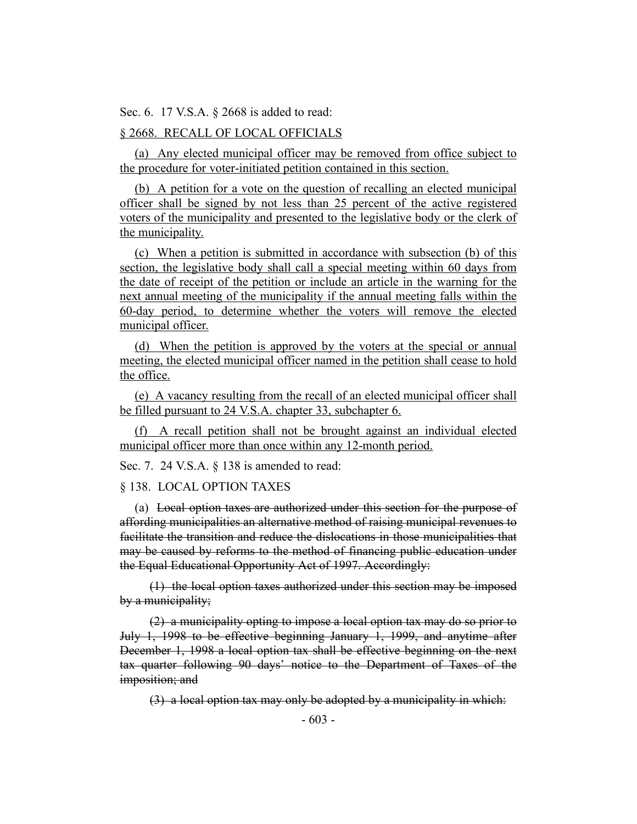Sec. 6. 17 V.S.A. § 2668 is added to read:

### § 2668. RECALL OF LOCAL OFFICIALS

(a) Any elected municipal officer may be removed from office subject to the procedure for voter-initiated petition contained in this section.

(b) A petition for a vote on the question of recalling an elected municipal officer shall be signed by not less than 25 percent of the active registered voters of the municipality and presented to the legislative body or the clerk of the municipality.

(c) When a petition is submitted in accordance with subsection (b) of this section, the legislative body shall call a special meeting within 60 days from the date of receipt of the petition or include an article in the warning for the next annual meeting of the municipality if the annual meeting falls within the 60-day period, to determine whether the voters will remove the elected municipal officer.

(d) When the petition is approved by the voters at the special or annual meeting, the elected municipal officer named in the petition shall cease to hold the office.

(e) A vacancy resulting from the recall of an elected municipal officer shall be filled pursuant to 24 V.S.A. chapter 33, subchapter 6.

(f) A recall petition shall not be brought against an individual elected municipal officer more than once within any 12-month period.

Sec. 7. 24 V.S.A. § 138 is amended to read:

§ 138. LOCAL OPTION TAXES

(a) Local option taxes are authorized under this section for the purpose of affording municipalities an alternative method of raising municipal revenues to facilitate the transition and reduce the dislocations in those municipalities that may be caused by reforms to the method of financing public education under the Equal Educational Opportunity Act of 1997. Accordingly:

(1) the local option taxes authorized under this section may be imposed by a municipality;

(2) a municipality opting to impose a local option tax may do so prior to July 1, 1998 to be effective beginning January 1, 1999, and anytime after December 1, 1998 a local option tax shall be effective beginning on the next tax quarter following 90 days' notice to the Department of Taxes of the imposition; and

(3) a local option tax may only be adopted by a municipality in which: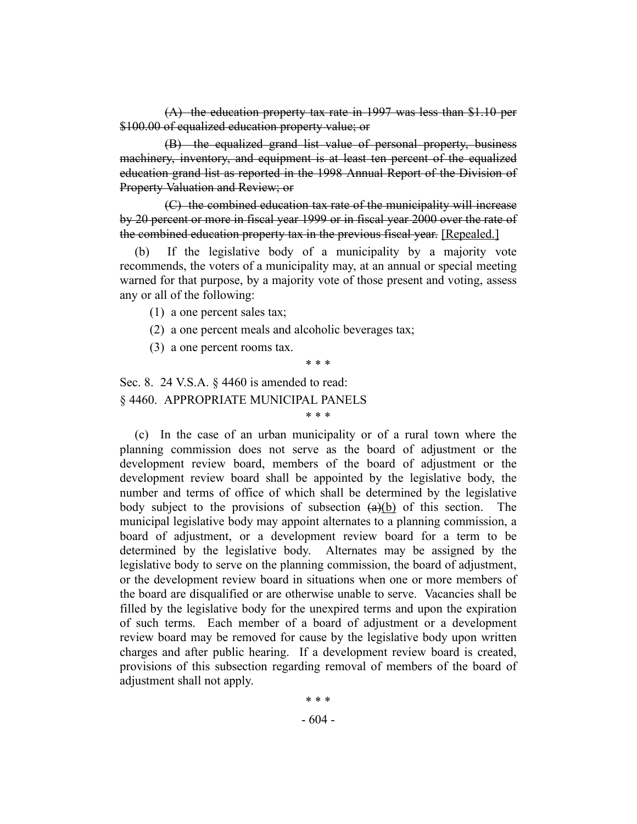(A) the education property tax rate in 1997 was less than \$1.10 per \$100.00 of equalized education property value; or

(B) the equalized grand list value of personal property, business machinery, inventory, and equipment is at least ten percent of the equalized education grand list as reported in the 1998 Annual Report of the Division of Property Valuation and Review; or

(C) the combined education tax rate of the municipality will increase by 20 percent or more in fiscal year 1999 or in fiscal year 2000 over the rate of the combined education property tax in the previous fiscal year. [Repealed.]

(b) If the legislative body of a municipality by a majority vote recommends, the voters of a municipality may, at an annual or special meeting warned for that purpose, by a majority vote of those present and voting, assess any or all of the following:

(1) a one percent sales tax;

(2) a one percent meals and alcoholic beverages tax;

(3) a one percent rooms tax.

\* \* \*

\* \* \*

Sec. 8. 24 V.S.A. § 4460 is amended to read: § 4460. APPROPRIATE MUNICIPAL PANELS

(c) In the case of an urban municipality or of a rural town where the planning commission does not serve as the board of adjustment or the development review board, members of the board of adjustment or the development review board shall be appointed by the legislative body, the number and terms of office of which shall be determined by the legislative body subject to the provisions of subsection  $(a)(b)$  of this section. The municipal legislative body may appoint alternates to a planning commission, a board of adjustment, or a development review board for a term to be determined by the legislative body. Alternates may be assigned by the legislative body to serve on the planning commission, the board of adjustment, or the development review board in situations when one or more members of the board are disqualified or are otherwise unable to serve. Vacancies shall be filled by the legislative body for the unexpired terms and upon the expiration of such terms. Each member of a board of adjustment or a development review board may be removed for cause by the legislative body upon written charges and after public hearing. If a development review board is created, provisions of this subsection regarding removal of members of the board of adjustment shall not apply.

> - 604 - \* \* \*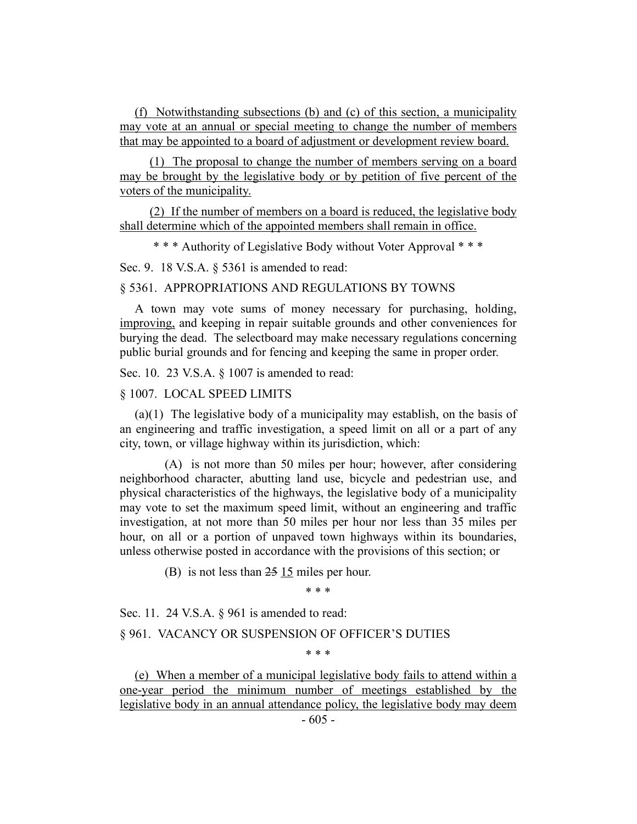(f) Notwithstanding subsections (b) and (c) of this section, a municipality may vote at an annual or special meeting to change the number of members that may be appointed to a board of adjustment or development review board.

(1) The proposal to change the number of members serving on a board may be brought by the legislative body or by petition of five percent of the voters of the municipality.

(2) If the number of members on a board is reduced, the legislative body shall determine which of the appointed members shall remain in office.

\* \* \* Authority of Legislative Body without Voter Approval \* \* \*

Sec. 9. 18 V.S.A. § 5361 is amended to read:

#### § 5361. APPROPRIATIONS AND REGULATIONS BY TOWNS

A town may vote sums of money necessary for purchasing, holding, improving, and keeping in repair suitable grounds and other conveniences for burying the dead. The selectboard may make necessary regulations concerning public burial grounds and for fencing and keeping the same in proper order.

Sec. 10. 23 V.S.A. § 1007 is amended to read:

#### § 1007. LOCAL SPEED LIMITS

(a)(1) The legislative body of a municipality may establish, on the basis of an engineering and traffic investigation, a speed limit on all or a part of any city, town, or village highway within its jurisdiction, which:

(A) is not more than 50 miles per hour; however, after considering neighborhood character, abutting land use, bicycle and pedestrian use, and physical characteristics of the highways, the legislative body of a municipality may vote to set the maximum speed limit, without an engineering and traffic investigation, at not more than 50 miles per hour nor less than 35 miles per hour, on all or a portion of unpaved town highways within its boundaries, unless otherwise posted in accordance with the provisions of this section; or

(B) is not less than  $25 \underline{15}$  miles per hour.

\* \* \*

Sec. 11. 24 V.S.A. § 961 is amended to read:

§ 961. VACANCY OR SUSPENSION OF OFFICER'S DUTIES

\* \* \*

(e) When a member of a municipal legislative body fails to attend within a one-year period the minimum number of meetings established by the legislative body in an annual attendance policy, the legislative body may deem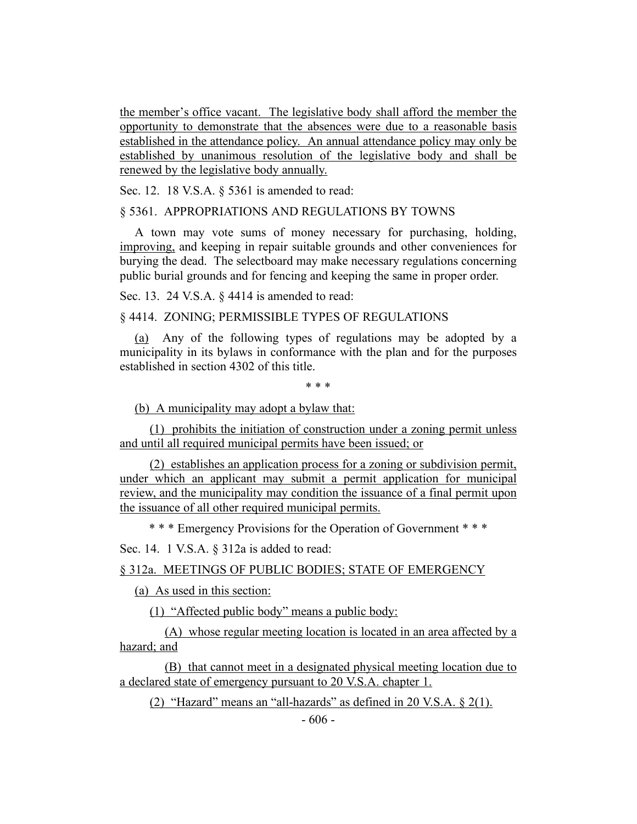the member's office vacant. The legislative body shall afford the member the opportunity to demonstrate that the absences were due to a reasonable basis established in the attendance policy. An annual attendance policy may only be established by unanimous resolution of the legislative body and shall be renewed by the legislative body annually.

Sec. 12. 18 V.S.A. § 5361 is amended to read:

#### § 5361. APPROPRIATIONS AND REGULATIONS BY TOWNS

A town may vote sums of money necessary for purchasing, holding, improving, and keeping in repair suitable grounds and other conveniences for burying the dead. The selectboard may make necessary regulations concerning public burial grounds and for fencing and keeping the same in proper order.

Sec. 13. 24 V.S.A. § 4414 is amended to read:

# § 4414. ZONING; PERMISSIBLE TYPES OF REGULATIONS

(a) Any of the following types of regulations may be adopted by a municipality in its bylaws in conformance with the plan and for the purposes established in section 4302 of this title.

\* \* \*

(b) A municipality may adopt a bylaw that:

(1) prohibits the initiation of construction under a zoning permit unless and until all required municipal permits have been issued; or

(2) establishes an application process for a zoning or subdivision permit, under which an applicant may submit a permit application for municipal review, and the municipality may condition the issuance of a final permit upon the issuance of all other required municipal permits.

\* \* \* Emergency Provisions for the Operation of Government \* \* \*

### Sec. 14. 1 V.S.A. § 312a is added to read:

§ 312a. MEETINGS OF PUBLIC BODIES; STATE OF EMERGENCY

(a) As used in this section:

(1) "Affected public body" means a public body:

(A) whose regular meeting location is located in an area affected by a hazard; and

(B) that cannot meet in a designated physical meeting location due to a declared state of emergency pursuant to 20 V.S.A. chapter 1.

(2) "Hazard" means an "all-hazards" as defined in 20 V.S.A.  $\S$  2(1).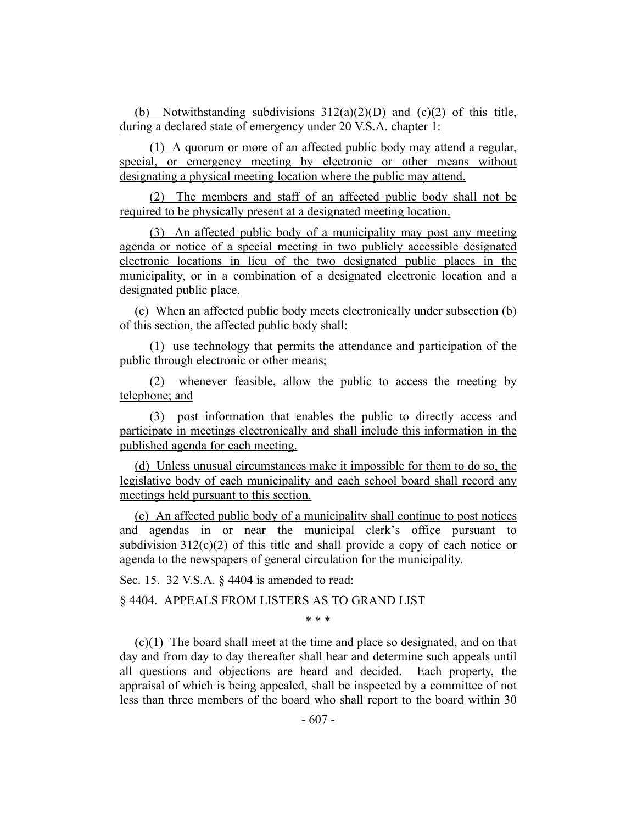(b) Notwithstanding subdivisions  $312(a)(2)(D)$  and  $(c)(2)$  of this title, during a declared state of emergency under 20 V.S.A. chapter 1:

(1) A quorum or more of an affected public body may attend a regular, special, or emergency meeting by electronic or other means without designating a physical meeting location where the public may attend.

(2) The members and staff of an affected public body shall not be required to be physically present at a designated meeting location.

(3) An affected public body of a municipality may post any meeting agenda or notice of a special meeting in two publicly accessible designated electronic locations in lieu of the two designated public places in the municipality, or in a combination of a designated electronic location and a designated public place.

(c) When an affected public body meets electronically under subsection (b) of this section, the affected public body shall:

(1) use technology that permits the attendance and participation of the public through electronic or other means;

(2) whenever feasible, allow the public to access the meeting by telephone; and

(3) post information that enables the public to directly access and participate in meetings electronically and shall include this information in the published agenda for each meeting.

(d) Unless unusual circumstances make it impossible for them to do so, the legislative body of each municipality and each school board shall record any meetings held pursuant to this section.

(e) An affected public body of a municipality shall continue to post notices and agendas in or near the municipal clerk's office pursuant to subdivision  $312(c)(2)$  of this title and shall provide a copy of each notice or agenda to the newspapers of general circulation for the municipality.

Sec. 15. 32 V.S.A. § 4404 is amended to read:

§ 4404. APPEALS FROM LISTERS AS TO GRAND LIST

\* \* \*

(c)(1) The board shall meet at the time and place so designated, and on that day and from day to day thereafter shall hear and determine such appeals until all questions and objections are heard and decided. Each property, the appraisal of which is being appealed, shall be inspected by a committee of not less than three members of the board who shall report to the board within 30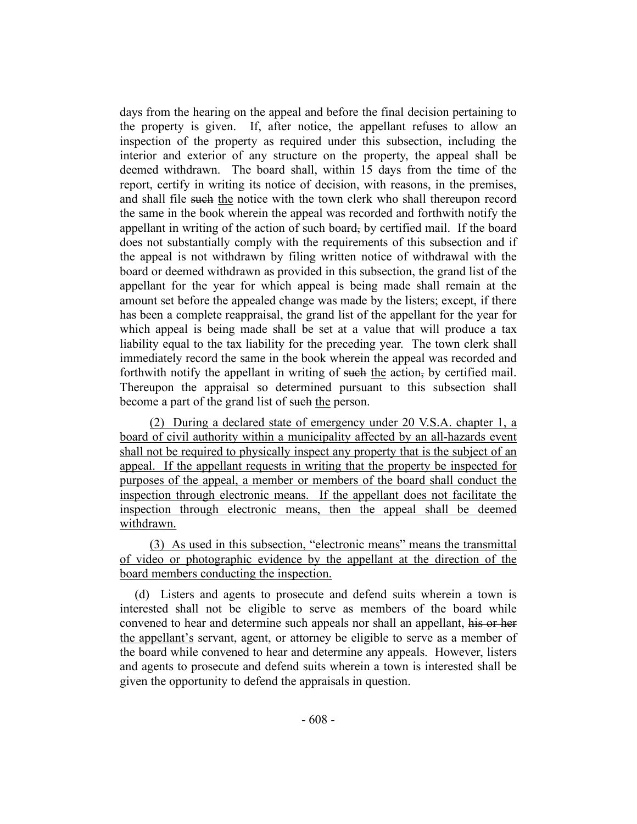days from the hearing on the appeal and before the final decision pertaining to the property is given. If, after notice, the appellant refuses to allow an inspection of the property as required under this subsection, including the interior and exterior of any structure on the property, the appeal shall be deemed withdrawn. The board shall, within 15 days from the time of the report, certify in writing its notice of decision, with reasons, in the premises, and shall file such the notice with the town clerk who shall thereupon record the same in the book wherein the appeal was recorded and forthwith notify the appellant in writing of the action of such board, by certified mail. If the board does not substantially comply with the requirements of this subsection and if the appeal is not withdrawn by filing written notice of withdrawal with the board or deemed withdrawn as provided in this subsection, the grand list of the appellant for the year for which appeal is being made shall remain at the amount set before the appealed change was made by the listers; except, if there has been a complete reappraisal, the grand list of the appellant for the year for which appeal is being made shall be set at a value that will produce a tax liability equal to the tax liability for the preceding year. The town clerk shall immediately record the same in the book wherein the appeal was recorded and forthwith notify the appellant in writing of such the action, by certified mail. Thereupon the appraisal so determined pursuant to this subsection shall become a part of the grand list of such the person.

(2) During a declared state of emergency under 20 V.S.A. chapter 1, a board of civil authority within a municipality affected by an all-hazards event shall not be required to physically inspect any property that is the subject of an appeal. If the appellant requests in writing that the property be inspected for purposes of the appeal, a member or members of the board shall conduct the inspection through electronic means. If the appellant does not facilitate the inspection through electronic means, then the appeal shall be deemed withdrawn.

(3) As used in this subsection, "electronic means" means the transmittal of video or photographic evidence by the appellant at the direction of the board members conducting the inspection.

(d) Listers and agents to prosecute and defend suits wherein a town is interested shall not be eligible to serve as members of the board while convened to hear and determine such appeals nor shall an appellant, his or her the appellant's servant, agent, or attorney be eligible to serve as a member of the board while convened to hear and determine any appeals. However, listers and agents to prosecute and defend suits wherein a town is interested shall be given the opportunity to defend the appraisals in question.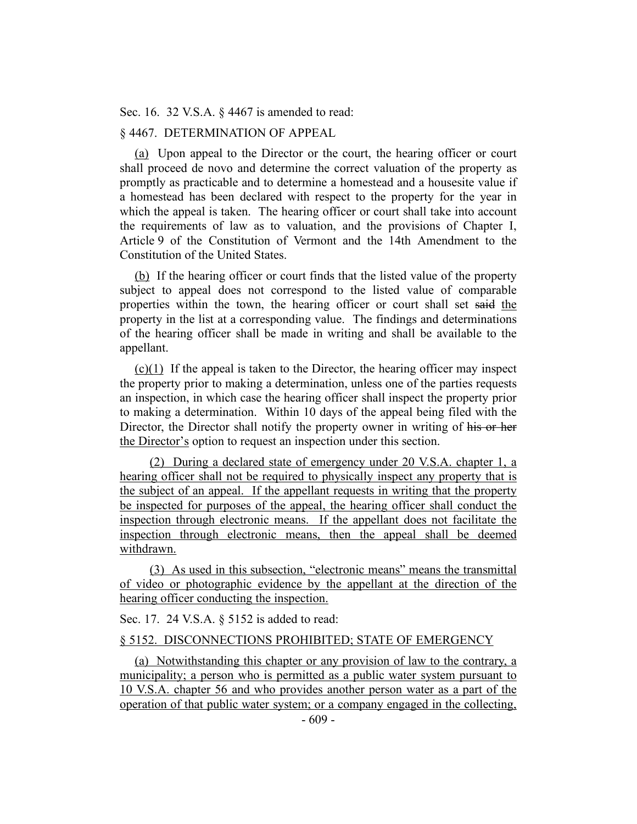Sec. 16. 32 V.S.A. § 4467 is amended to read:

# § 4467. DETERMINATION OF APPEAL

(a) Upon appeal to the Director or the court, the hearing officer or court shall proceed de novo and determine the correct valuation of the property as promptly as practicable and to determine a homestead and a housesite value if a homestead has been declared with respect to the property for the year in which the appeal is taken. The hearing officer or court shall take into account the requirements of law as to valuation, and the provisions of Chapter I, Article 9 of the Constitution of Vermont and the 14th Amendment to the Constitution of the United States.

(b) If the hearing officer or court finds that the listed value of the property subject to appeal does not correspond to the listed value of comparable properties within the town, the hearing officer or court shall set said the property in the list at a corresponding value. The findings and determinations of the hearing officer shall be made in writing and shall be available to the appellant.

(c)(1) If the appeal is taken to the Director, the hearing officer may inspect the property prior to making a determination, unless one of the parties requests an inspection, in which case the hearing officer shall inspect the property prior to making a determination. Within 10 days of the appeal being filed with the Director, the Director shall notify the property owner in writing of his or her the Director's option to request an inspection under this section.

(2) During a declared state of emergency under 20 V.S.A. chapter 1, a hearing officer shall not be required to physically inspect any property that is the subject of an appeal. If the appellant requests in writing that the property be inspected for purposes of the appeal, the hearing officer shall conduct the inspection through electronic means. If the appellant does not facilitate the inspection through electronic means, then the appeal shall be deemed withdrawn.

(3) As used in this subsection, "electronic means" means the transmittal of video or photographic evidence by the appellant at the direction of the hearing officer conducting the inspection.

Sec. 17. 24 V.S.A. § 5152 is added to read:

#### § 5152. DISCONNECTIONS PROHIBITED; STATE OF EMERGENCY

(a) Notwithstanding this chapter or any provision of law to the contrary, a municipality; a person who is permitted as a public water system pursuant to 10 V.S.A. chapter 56 and who provides another person water as a part of the operation of that public water system; or a company engaged in the collecting,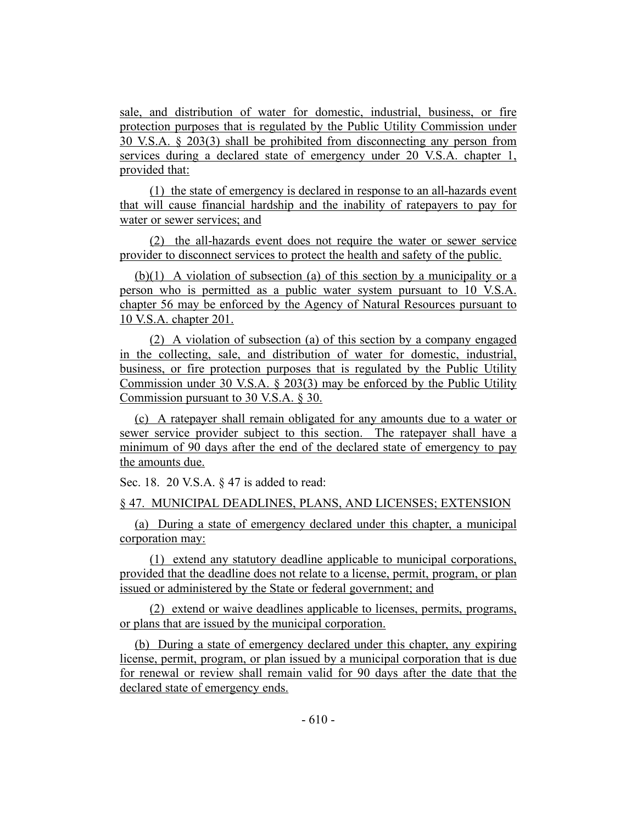sale, and distribution of water for domestic, industrial, business, or fire protection purposes that is regulated by the Public Utility Commission under 30 V.S.A. § 203(3) shall be prohibited from disconnecting any person from services during a declared state of emergency under 20 V.S.A. chapter 1, provided that:

(1) the state of emergency is declared in response to an all-hazards event that will cause financial hardship and the inability of ratepayers to pay for water or sewer services; and

(2) the all-hazards event does not require the water or sewer service provider to disconnect services to protect the health and safety of the public.

(b)(1) A violation of subsection (a) of this section by a municipality or a person who is permitted as a public water system pursuant to 10 V.S.A. chapter 56 may be enforced by the Agency of Natural Resources pursuant to 10 V.S.A. chapter 201.

(2) A violation of subsection (a) of this section by a company engaged in the collecting, sale, and distribution of water for domestic, industrial, business, or fire protection purposes that is regulated by the Public Utility Commission under 30 V.S.A. § 203(3) may be enforced by the Public Utility Commission pursuant to 30 V.S.A. § 30.

(c) A ratepayer shall remain obligated for any amounts due to a water or sewer service provider subject to this section. The ratepayer shall have a minimum of 90 days after the end of the declared state of emergency to pay the amounts due.

Sec. 18. 20 V.S.A. § 47 is added to read:

§ 47. MUNICIPAL DEADLINES, PLANS, AND LICENSES; EXTENSION

(a) During a state of emergency declared under this chapter, a municipal corporation may:

(1) extend any statutory deadline applicable to municipal corporations, provided that the deadline does not relate to a license, permit, program, or plan issued or administered by the State or federal government; and

(2) extend or waive deadlines applicable to licenses, permits, programs, or plans that are issued by the municipal corporation.

(b) During a state of emergency declared under this chapter, any expiring license, permit, program, or plan issued by a municipal corporation that is due for renewal or review shall remain valid for 90 days after the date that the declared state of emergency ends.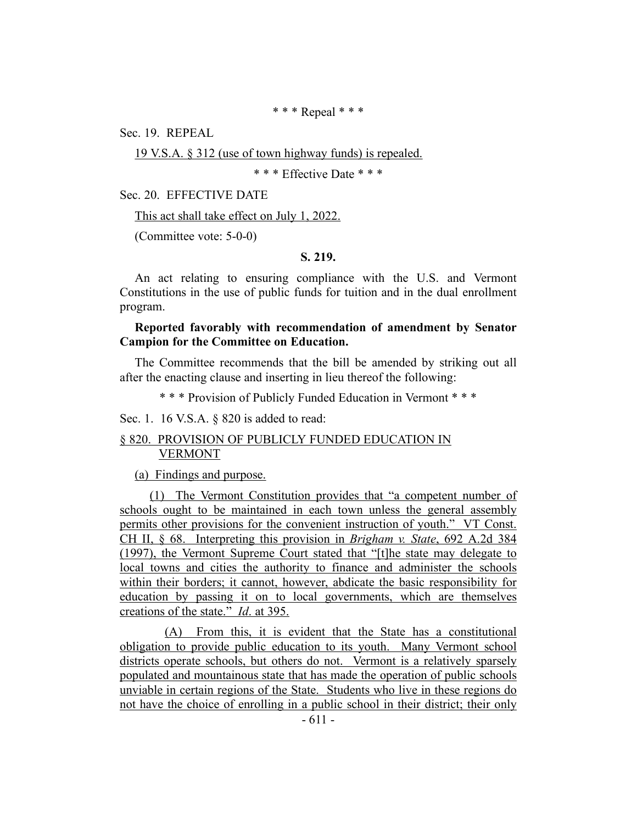\* \* \* Repeal \* \* \*

Sec. 19. REPEAL

19 V.S.A. § 312 (use of town highway funds) is repealed.

\* \* \* Effective Date \* \* \*

Sec. 20. EFFECTIVE DATE

This act shall take effect on July 1, 2022.

(Committee vote: 5-0-0)

# **S. 219.**

An act relating to ensuring compliance with the U.S. and Vermont Constitutions in the use of public funds for tuition and in the dual enrollment program.

### **Reported favorably with recommendation of amendment by Senator Campion for the Committee on Education.**

The Committee recommends that the bill be amended by striking out all after the enacting clause and inserting in lieu thereof the following:

\* \* \* Provision of Publicly Funded Education in Vermont \* \* \*

Sec. 1. 16 V.S.A. § 820 is added to read:

#### § 820. PROVISION OF PUBLICLY FUNDED EDUCATION IN VERMONT

(a) Findings and purpose.

(1) The Vermont Constitution provides that "a competent number of schools ought to be maintained in each town unless the general assembly permits other provisions for the convenient instruction of youth." VT Const. CH II, § 68. Interpreting this provision in *Brigham v. State*, 692 A.2d 384 (1997), the Vermont Supreme Court stated that "[t]he state may delegate to local towns and cities the authority to finance and administer the schools within their borders; it cannot, however, abdicate the basic responsibility for education by passing it on to local governments, which are themselves creations of the state." *Id*. at 395.

(A) From this, it is evident that the State has a constitutional obligation to provide public education to its youth. Many Vermont school districts operate schools, but others do not. Vermont is a relatively sparsely populated and mountainous state that has made the operation of public schools unviable in certain regions of the State. Students who live in these regions do not have the choice of enrolling in a public school in their district; their only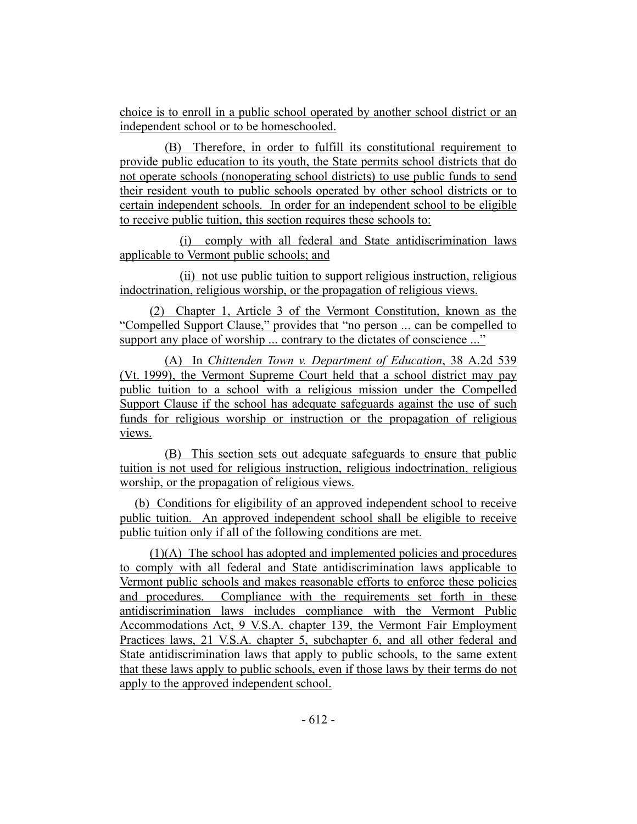choice is to enroll in a public school operated by another school district or an independent school or to be homeschooled.

(B) Therefore, in order to fulfill its constitutional requirement to provide public education to its youth, the State permits school districts that do not operate schools (nonoperating school districts) to use public funds to send their resident youth to public schools operated by other school districts or to certain independent schools. In order for an independent school to be eligible to receive public tuition, this section requires these schools to:

(i) comply with all federal and State antidiscrimination laws applicable to Vermont public schools; and

(ii) not use public tuition to support religious instruction, religious indoctrination, religious worship, or the propagation of religious views.

(2) Chapter 1, Article 3 of the Vermont Constitution, known as the "Compelled Support Clause," provides that "no person ... can be compelled to support any place of worship ... contrary to the dictates of conscience ..."

(A) In *Chittenden Town v. Department of Education*, 38 A.2d 539 (Vt. 1999), the Vermont Supreme Court held that a school district may pay public tuition to a school with a religious mission under the Compelled Support Clause if the school has adequate safeguards against the use of such funds for religious worship or instruction or the propagation of religious views.

(B) This section sets out adequate safeguards to ensure that public tuition is not used for religious instruction, religious indoctrination, religious worship, or the propagation of religious views.

(b) Conditions for eligibility of an approved independent school to receive public tuition. An approved independent school shall be eligible to receive public tuition only if all of the following conditions are met.

(1)(A) The school has adopted and implemented policies and procedures to comply with all federal and State antidiscrimination laws applicable to Vermont public schools and makes reasonable efforts to enforce these policies and procedures. Compliance with the requirements set forth in these antidiscrimination laws includes compliance with the Vermont Public Accommodations Act, 9 V.S.A. chapter 139, the Vermont Fair Employment Practices laws, 21 V.S.A. chapter 5, subchapter 6, and all other federal and State antidiscrimination laws that apply to public schools, to the same extent that these laws apply to public schools, even if those laws by their terms do not apply to the approved independent school.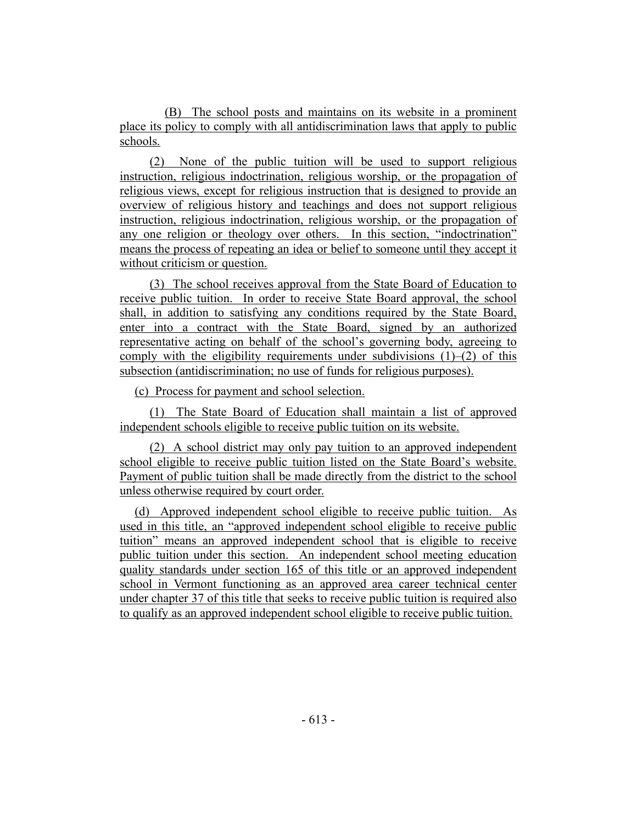(B) The school posts and maintains on its website in a prominent place its policy to comply with all antidiscrimination laws that apply to public schools.

(2) None of the public tuition will be used to support religious instruction, religious indoctrination, religious worship, or the propagation of religious views, except for religious instruction that is designed to provide an overview of religious history and teachings and does not support religious instruction, religious indoctrination, religious worship, or the propagation of any one religion or theology over others. In this section, "indoctrination" means the process of repeating an idea or belief to someone until they accept it without criticism or question.

(3) The school receives approval from the State Board of Education to receive public tuition. In order to receive State Board approval, the school shall, in addition to satisfying any conditions required by the State Board, enter into a contract with the State Board, signed by an authorized representative acting on behalf of the school's governing body, agreeing to comply with the eligibility requirements under subdivisions  $(1)$ – $(2)$  of this subsection (antidiscrimination; no use of funds for religious purposes).

(c) Process for payment and school selection.

(1) The State Board of Education shall maintain a list of approved independent schools eligible to receive public tuition on its website.

(2) A school district may only pay tuition to an approved independent school eligible to receive public tuition listed on the State Board's website. Payment of public tuition shall be made directly from the district to the school unless otherwise required by court order.

(d) Approved independent school eligible to receive public tuition. As used in this title, an "approved independent school eligible to receive public tuition" means an approved independent school that is eligible to receive public tuition under this section. An independent school meeting education quality standards under section 165 of this title or an approved independent school in Vermont functioning as an approved area career technical center under chapter 37 of this title that seeks to receive public tuition is required also to qualify as an approved independent school eligible to receive public tuition.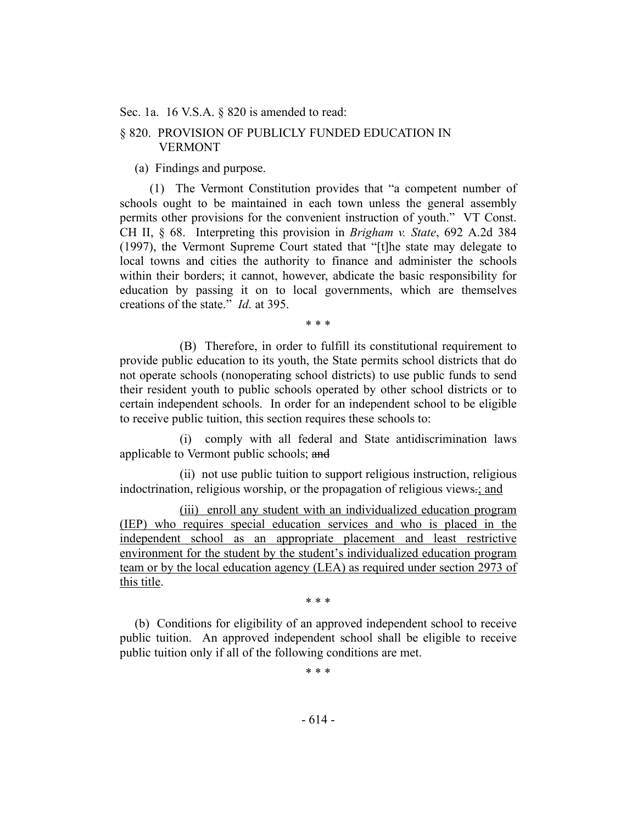Sec. 1a. 16 V.S.A. § 820 is amended to read:

# § 820. PROVISION OF PUBLICLY FUNDED EDUCATION IN VERMONT

(a) Findings and purpose.

(1) The Vermont Constitution provides that "a competent number of schools ought to be maintained in each town unless the general assembly permits other provisions for the convenient instruction of youth." VT Const. CH II, § 68. Interpreting this provision in *Brigham v. State*, 692 A.2d 384 (1997), the Vermont Supreme Court stated that "[t]he state may delegate to local towns and cities the authority to finance and administer the schools within their borders; it cannot, however, abdicate the basic responsibility for education by passing it on to local governments, which are themselves creations of the state." *Id*. at 395.

\* \* \*

(B) Therefore, in order to fulfill its constitutional requirement to provide public education to its youth, the State permits school districts that do not operate schools (nonoperating school districts) to use public funds to send their resident youth to public schools operated by other school districts or to certain independent schools. In order for an independent school to be eligible to receive public tuition, this section requires these schools to:

(i) comply with all federal and State antidiscrimination laws applicable to Vermont public schools; and

(ii) not use public tuition to support religious instruction, religious indoctrination, religious worship, or the propagation of religious views.; and

(iii) enroll any student with an individualized education program (IEP) who requires special education services and who is placed in the independent school as an appropriate placement and least restrictive environment for the student by the student's individualized education program team or by the local education agency (LEA) as required under section 2973 of this title.

\* \* \*

(b) Conditions for eligibility of an approved independent school to receive public tuition. An approved independent school shall be eligible to receive public tuition only if all of the following conditions are met.

\* \* \*

- 614 -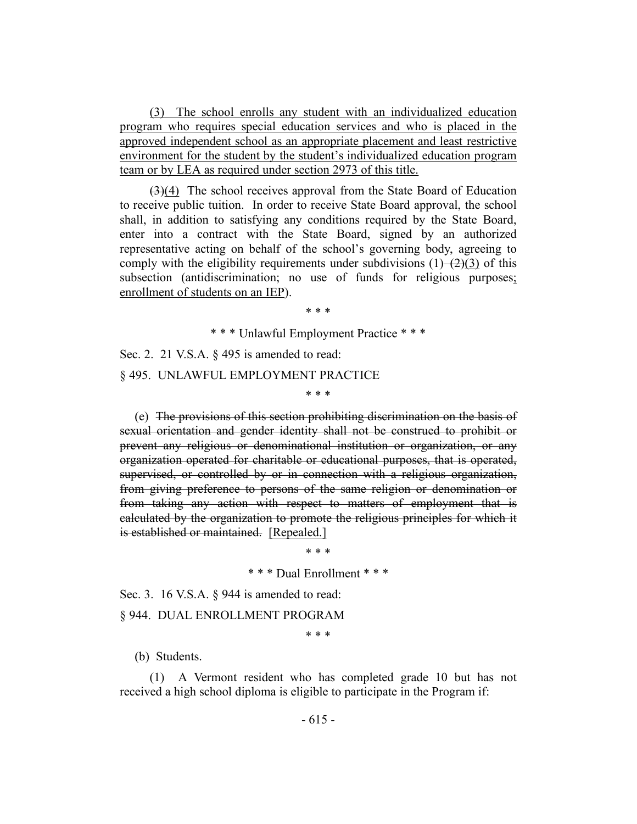(3) The school enrolls any student with an individualized education program who requires special education services and who is placed in the approved independent school as an appropriate placement and least restrictive environment for the student by the student's individualized education program team or by LEA as required under section 2973 of this title.

 $(3)(4)$  The school receives approval from the State Board of Education to receive public tuition. In order to receive State Board approval, the school shall, in addition to satisfying any conditions required by the State Board, enter into a contract with the State Board, signed by an authorized representative acting on behalf of the school's governing body, agreeing to comply with the eligibility requirements under subdivisions  $(1)$ – $(2)(3)$  of this subsection (antidiscrimination; no use of funds for religious purposes; enrollment of students on an IEP).

\* \* \*

\* \* \* Unlawful Employment Practice \* \* \*

\* \* \*

Sec. 2. 21 V.S.A. § 495 is amended to read:

#### § 495. UNLAWFUL EMPLOYMENT PRACTICE

(e) The provisions of this section prohibiting discrimination on the basis of sexual orientation and gender identity shall not be construed to prohibit or prevent any religious or denominational institution or organization, or any organization operated for charitable or educational purposes, that is operated, supervised, or controlled by or in connection with a religious organization, from giving preference to persons of the same religion or denomination or from taking any action with respect to matters of employment that is calculated by the organization to promote the religious principles for which it is established or maintained. [Repealed.]

\* \* \*

\* \* \* Dual Enrollment \* \* \*

Sec. 3. 16 V.S.A. § 944 is amended to read:

§ 944. DUAL ENROLLMENT PROGRAM

\* \* \*

(b) Students.

(1) A Vermont resident who has completed grade 10 but has not received a high school diploma is eligible to participate in the Program if: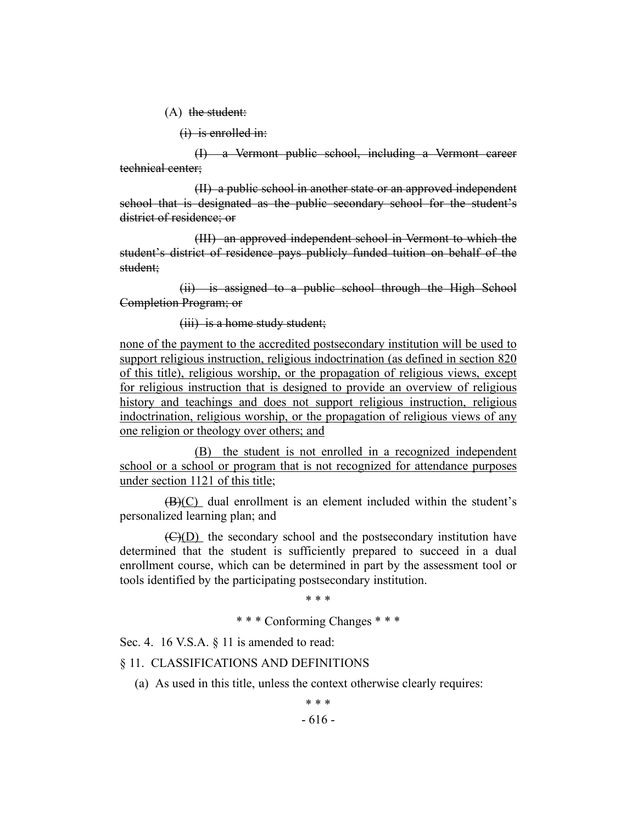(A) the student:

(i) is enrolled in:

(I) a Vermont public school, including a Vermont career technical center;

(II) a public school in another state or an approved independent school that is designated as the public secondary school for the student's district of residence; or

(III) an approved independent school in Vermont to which the student's district of residence pays publicly funded tuition on behalf of the student;

(ii) is assigned to a public school through the High School Completion Program; or

(iii) is a home study student;

none of the payment to the accredited postsecondary institution will be used to support religious instruction, religious indoctrination (as defined in section 820 of this title), religious worship, or the propagation of religious views, except for religious instruction that is designed to provide an overview of religious history and teachings and does not support religious instruction, religious indoctrination, religious worship, or the propagation of religious views of any one religion or theology over others; and

(B) the student is not enrolled in a recognized independent school or a school or program that is not recognized for attendance purposes under section 1121 of this title;

 $(B)(C)$  dual enrollment is an element included within the student's personalized learning plan; and

 $(\overline{C})(D)$  the secondary school and the postsecondary institution have determined that the student is sufficiently prepared to succeed in a dual enrollment course, which can be determined in part by the assessment tool or tools identified by the participating postsecondary institution.

\* \* \*

\* \* \* Conforming Changes \* \* \*

Sec. 4. 16 V.S.A. § 11 is amended to read:

# § 11. CLASSIFICATIONS AND DEFINITIONS

(a) As used in this title, unless the context otherwise clearly requires:

\* \* \*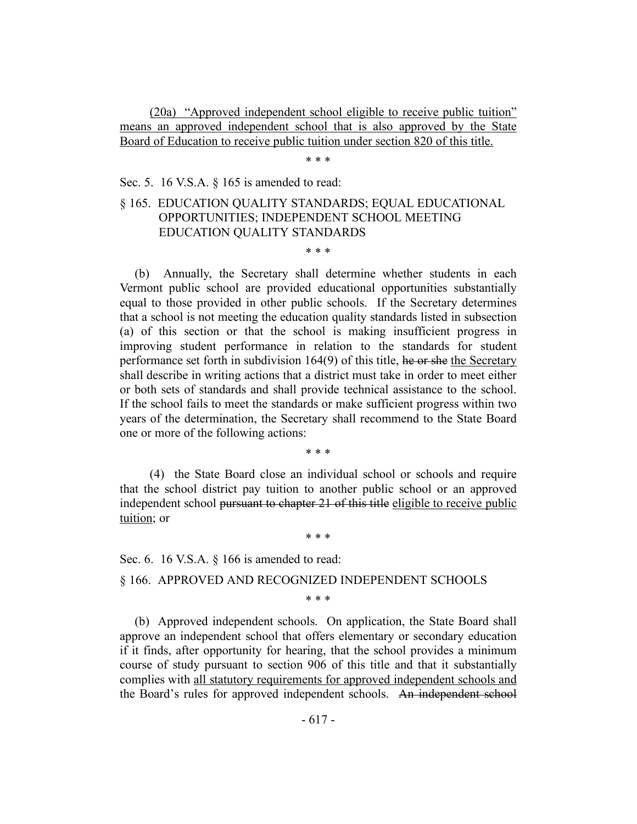(20a) "Approved independent school eligible to receive public tuition" means an approved independent school that is also approved by the State Board of Education to receive public tuition under section 820 of this title.

\* \* \*

Sec. 5. 16 V.S.A. § 165 is amended to read:

# § 165. EDUCATION QUALITY STANDARDS; EQUAL EDUCATIONAL OPPORTUNITIES; INDEPENDENT SCHOOL MEETING EDUCATION QUALITY STANDARDS

\* \* \*

(b) Annually, the Secretary shall determine whether students in each Vermont public school are provided educational opportunities substantially equal to those provided in other public schools. If the Secretary determines that a school is not meeting the education quality standards listed in subsection (a) of this section or that the school is making insufficient progress in improving student performance in relation to the standards for student performance set forth in subdivision  $164(9)$  of this title, he or she the Secretary shall describe in writing actions that a district must take in order to meet either or both sets of standards and shall provide technical assistance to the school. If the school fails to meet the standards or make sufficient progress within two years of the determination, the Secretary shall recommend to the State Board one or more of the following actions:

\* \* \*

(4) the State Board close an individual school or schools and require that the school district pay tuition to another public school or an approved independent school pursuant to chapter 21 of this title eligible to receive public tuition; or

\* \* \*

Sec. 6. 16 V.S.A. § 166 is amended to read:

§ 166. APPROVED AND RECOGNIZED INDEPENDENT SCHOOLS

\* \* \*

(b) Approved independent schools. On application, the State Board shall approve an independent school that offers elementary or secondary education if it finds, after opportunity for hearing, that the school provides a minimum course of study pursuant to section 906 of this title and that it substantially complies with all statutory requirements for approved independent schools and the Board's rules for approved independent schools. An independent school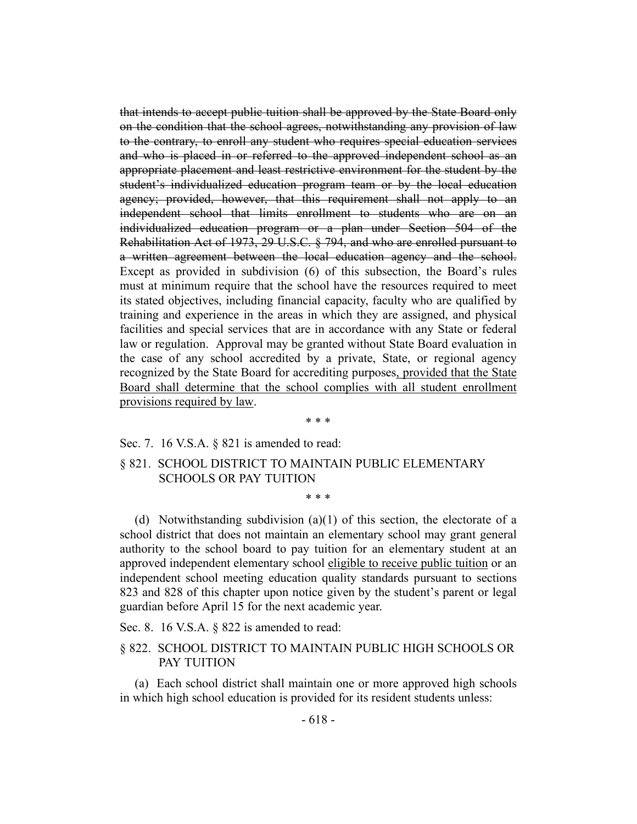that intends to accept public tuition shall be approved by the State Board only on the condition that the school agrees, notwithstanding any provision of law to the contrary, to enroll any student who requires special education services and who is placed in or referred to the approved independent school as an appropriate placement and least restrictive environment for the student by the student's individualized education program team or by the local education agency; provided, however, that this requirement shall not apply to an independent school that limits enrollment to students who are on an individualized education program or a plan under Section 504 of the Rehabilitation Act of 1973, 29 U.S.C. § 794, and who are enrolled pursuant to a written agreement between the local education agency and the school. Except as provided in subdivision (6) of this subsection, the Board's rules must at minimum require that the school have the resources required to meet its stated objectives, including financial capacity, faculty who are qualified by training and experience in the areas in which they are assigned, and physical facilities and special services that are in accordance with any State or federal law or regulation. Approval may be granted without State Board evaluation in the case of any school accredited by a private, State, or regional agency recognized by the State Board for accrediting purposes, provided that the State Board shall determine that the school complies with all student enrollment provisions required by law.

#### \* \* \*

#### Sec. 7. 16 V.S.A. § 821 is amended to read:

# § 821. SCHOOL DISTRICT TO MAINTAIN PUBLIC ELEMENTARY SCHOOLS OR PAY TUITION

(d) Notwithstanding subdivision (a)(1) of this section, the electorate of a school district that does not maintain an elementary school may grant general authority to the school board to pay tuition for an elementary student at an approved independent elementary school eligible to receive public tuition or an independent school meeting education quality standards pursuant to sections 823 and 828 of this chapter upon notice given by the student's parent or legal guardian before April 15 for the next academic year.

\* \* \*

Sec. 8. 16 V.S.A. § 822 is amended to read:

# § 822. SCHOOL DISTRICT TO MAINTAIN PUBLIC HIGH SCHOOLS OR PAY TUITION

(a) Each school district shall maintain one or more approved high schools in which high school education is provided for its resident students unless: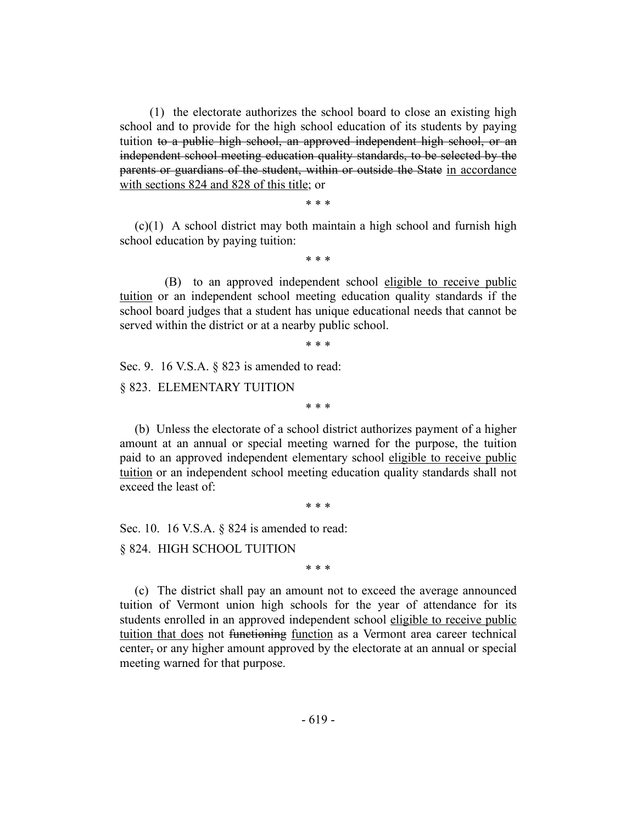(1) the electorate authorizes the school board to close an existing high school and to provide for the high school education of its students by paying tuition to a public high school, an approved independent high school, or an independent school meeting education quality standards, to be selected by the parents or guardians of the student, within or outside the State in accordance with sections 824 and 828 of this title; or

\* \* \*

(c)(1) A school district may both maintain a high school and furnish high school education by paying tuition:

\* \* \*

(B) to an approved independent school eligible to receive public tuition or an independent school meeting education quality standards if the school board judges that a student has unique educational needs that cannot be served within the district or at a nearby public school.

\* \* \*

\* \* \*

Sec. 9. 16 V.S.A. § 823 is amended to read:

§ 823. ELEMENTARY TUITION

(b) Unless the electorate of a school district authorizes payment of a higher amount at an annual or special meeting warned for the purpose, the tuition paid to an approved independent elementary school eligible to receive public tuition or an independent school meeting education quality standards shall not exceed the least of:

\* \* \*

Sec. 10. 16 V.S.A. § 824 is amended to read:

§ 824. HIGH SCHOOL TUITION

\* \* \*

(c) The district shall pay an amount not to exceed the average announced tuition of Vermont union high schools for the year of attendance for its students enrolled in an approved independent school eligible to receive public tuition that does not functioning function as a Vermont area career technical center, or any higher amount approved by the electorate at an annual or special meeting warned for that purpose.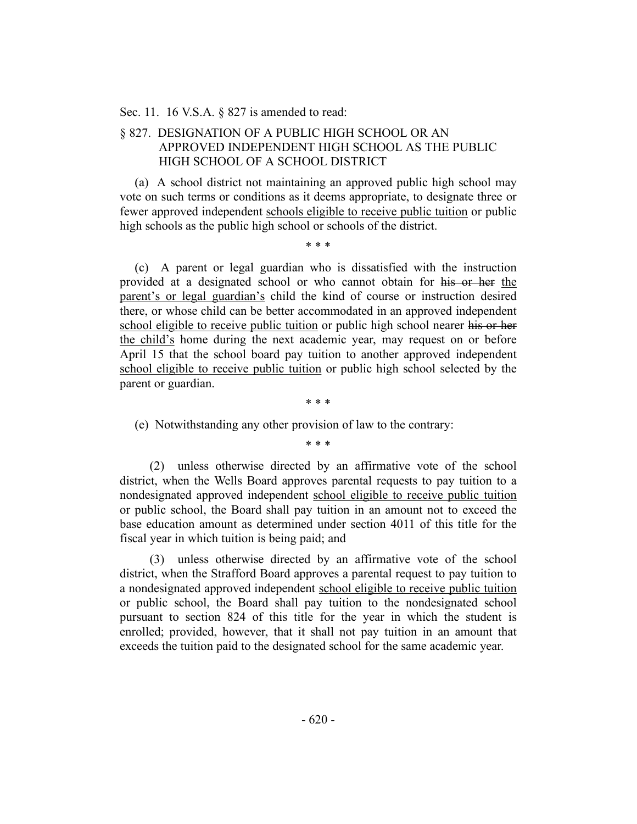#### Sec. 11. 16 V.S.A. § 827 is amended to read:

# § 827. DESIGNATION OF A PUBLIC HIGH SCHOOL OR AN APPROVED INDEPENDENT HIGH SCHOOL AS THE PUBLIC HIGH SCHOOL OF A SCHOOL DISTRICT

(a) A school district not maintaining an approved public high school may vote on such terms or conditions as it deems appropriate, to designate three or fewer approved independent schools eligible to receive public tuition or public high schools as the public high school or schools of the district.

\* \* \*

(c) A parent or legal guardian who is dissatisfied with the instruction provided at a designated school or who cannot obtain for his or her the parent's or legal guardian's child the kind of course or instruction desired there, or whose child can be better accommodated in an approved independent school eligible to receive public tuition or public high school nearer his or her the child's home during the next academic year, may request on or before April 15 that the school board pay tuition to another approved independent school eligible to receive public tuition or public high school selected by the parent or guardian.

\* \* \*

(e) Notwithstanding any other provision of law to the contrary:

\* \* \*

(2) unless otherwise directed by an affirmative vote of the school district, when the Wells Board approves parental requests to pay tuition to a nondesignated approved independent school eligible to receive public tuition or public school, the Board shall pay tuition in an amount not to exceed the base education amount as determined under section 4011 of this title for the fiscal year in which tuition is being paid; and

(3) unless otherwise directed by an affirmative vote of the school district, when the Strafford Board approves a parental request to pay tuition to a nondesignated approved independent school eligible to receive public tuition or public school, the Board shall pay tuition to the nondesignated school pursuant to section 824 of this title for the year in which the student is enrolled; provided, however, that it shall not pay tuition in an amount that exceeds the tuition paid to the designated school for the same academic year.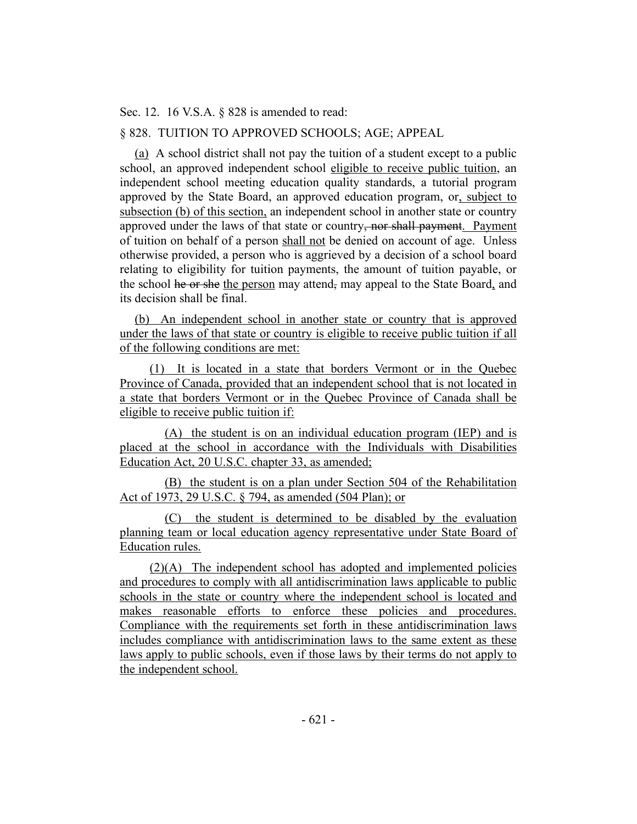Sec. 12. 16 V.S.A. § 828 is amended to read:

# § 828. TUITION TO APPROVED SCHOOLS; AGE; APPEAL

(a) A school district shall not pay the tuition of a student except to a public school, an approved independent school eligible to receive public tuition, an independent school meeting education quality standards, a tutorial program approved by the State Board, an approved education program, or, subject to subsection (b) of this section, an independent school in another state or country approved under the laws of that state or country, nor shall payment. Payment of tuition on behalf of a person shall not be denied on account of age. Unless otherwise provided, a person who is aggrieved by a decision of a school board relating to eligibility for tuition payments, the amount of tuition payable, or the school he or she the person may attend, may appeal to the State Board, and its decision shall be final.

(b) An independent school in another state or country that is approved under the laws of that state or country is eligible to receive public tuition if all of the following conditions are met:

(1) It is located in a state that borders Vermont or in the Quebec Province of Canada, provided that an independent school that is not located in a state that borders Vermont or in the Quebec Province of Canada shall be eligible to receive public tuition if:

(A) the student is on an individual education program (IEP) and is placed at the school in accordance with the Individuals with Disabilities Education Act, 20 U.S.C. chapter 33, as amended;

(B) the student is on a plan under Section 504 of the Rehabilitation Act of 1973, 29 U.S.C. § 794, as amended (504 Plan); or

(C) the student is determined to be disabled by the evaluation planning team or local education agency representative under State Board of Education rules.

(2)(A) The independent school has adopted and implemented policies and procedures to comply with all antidiscrimination laws applicable to public schools in the state or country where the independent school is located and makes reasonable efforts to enforce these policies and procedures. Compliance with the requirements set forth in these antidiscrimination laws includes compliance with antidiscrimination laws to the same extent as these laws apply to public schools, even if those laws by their terms do not apply to the independent school.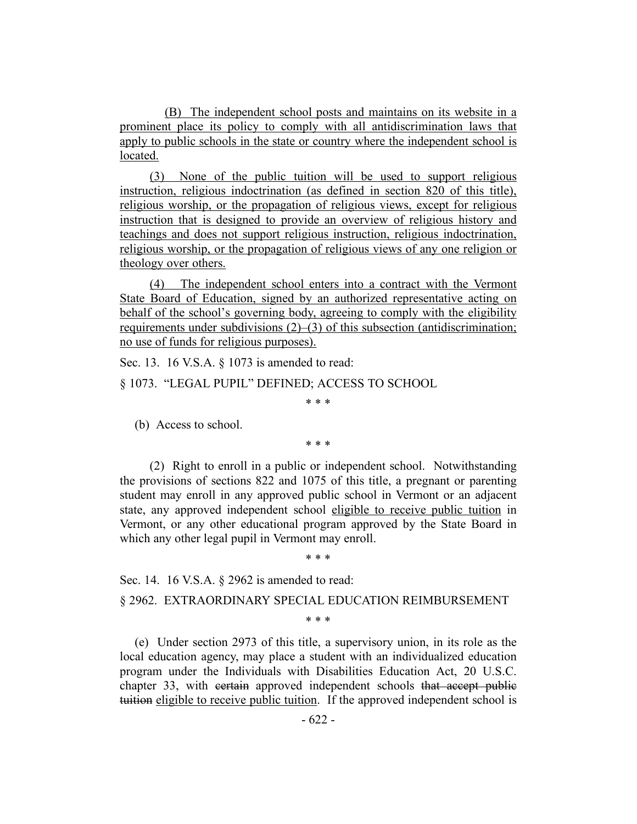(B) The independent school posts and maintains on its website in a prominent place its policy to comply with all antidiscrimination laws that apply to public schools in the state or country where the independent school is located.

(3) None of the public tuition will be used to support religious instruction, religious indoctrination (as defined in section 820 of this title), religious worship, or the propagation of religious views, except for religious instruction that is designed to provide an overview of religious history and teachings and does not support religious instruction, religious indoctrination, religious worship, or the propagation of religious views of any one religion or theology over others.

(4) The independent school enters into a contract with the Vermont State Board of Education, signed by an authorized representative acting on behalf of the school's governing body, agreeing to comply with the eligibility requirements under subdivisions  $(2)$ – $(3)$  of this subsection (antidiscrimination; no use of funds for religious purposes).

Sec. 13. 16 V.S.A. § 1073 is amended to read:

§ 1073. "LEGAL PUPIL" DEFINED; ACCESS TO SCHOOL

\* \* \*

(b) Access to school.

\* \* \*

(2) Right to enroll in a public or independent school. Notwithstanding the provisions of sections 822 and 1075 of this title, a pregnant or parenting student may enroll in any approved public school in Vermont or an adjacent state, any approved independent school eligible to receive public tuition in Vermont, or any other educational program approved by the State Board in which any other legal pupil in Vermont may enroll.

\* \* \*

Sec. 14. 16 V.S.A. § 2962 is amended to read:

§ 2962. EXTRAORDINARY SPECIAL EDUCATION REIMBURSEMENT

\* \* \*

(e) Under section 2973 of this title, a supervisory union, in its role as the local education agency, may place a student with an individualized education program under the Individuals with Disabilities Education Act, 20 U.S.C. chapter 33, with certain approved independent schools that accept public tuition eligible to receive public tuition. If the approved independent school is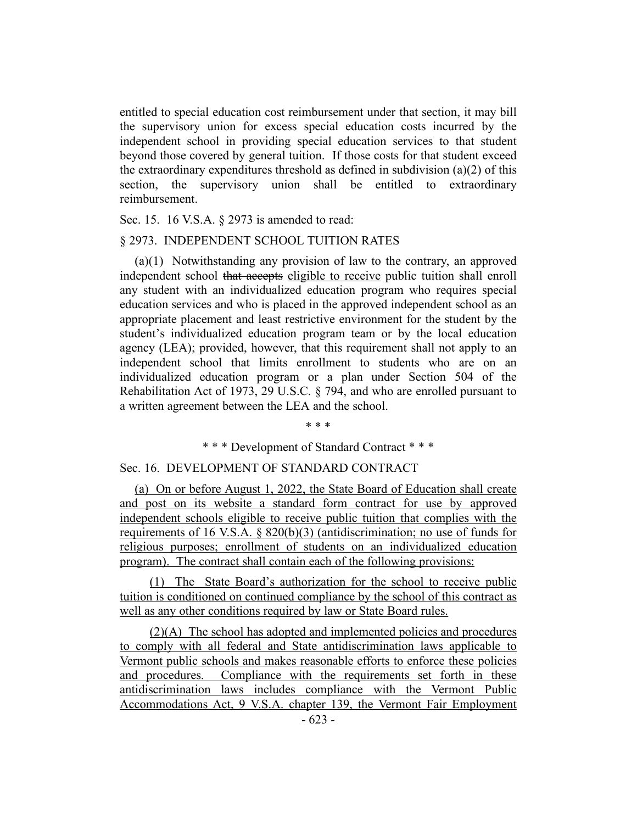entitled to special education cost reimbursement under that section, it may bill the supervisory union for excess special education costs incurred by the independent school in providing special education services to that student beyond those covered by general tuition. If those costs for that student exceed the extraordinary expenditures threshold as defined in subdivision (a)(2) of this section, the supervisory union shall be entitled to extraordinary reimbursement.

Sec. 15. 16 V.S.A. § 2973 is amended to read:

#### § 2973. INDEPENDENT SCHOOL TUITION RATES

(a)(1) Notwithstanding any provision of law to the contrary, an approved independent school that accepts eligible to receive public tuition shall enroll any student with an individualized education program who requires special education services and who is placed in the approved independent school as an appropriate placement and least restrictive environment for the student by the student's individualized education program team or by the local education agency (LEA); provided, however, that this requirement shall not apply to an independent school that limits enrollment to students who are on an individualized education program or a plan under Section 504 of the Rehabilitation Act of 1973, 29 U.S.C. § 794, and who are enrolled pursuant to a written agreement between the LEA and the school.

\* \* \*

\* \* \* Development of Standard Contract \* \* \*

#### Sec. 16. DEVELOPMENT OF STANDARD CONTRACT

(a) On or before August 1, 2022, the State Board of Education shall create and post on its website a standard form contract for use by approved independent schools eligible to receive public tuition that complies with the requirements of 16 V.S.A. § 820(b)(3) (antidiscrimination; no use of funds for religious purposes; enrollment of students on an individualized education program). The contract shall contain each of the following provisions:

(1) The State Board's authorization for the school to receive public tuition is conditioned on continued compliance by the school of this contract as well as any other conditions required by law or State Board rules.

(2)(A) The school has adopted and implemented policies and procedures to comply with all federal and State antidiscrimination laws applicable to Vermont public schools and makes reasonable efforts to enforce these policies and procedures. Compliance with the requirements set forth in these antidiscrimination laws includes compliance with the Vermont Public Accommodations Act, 9 V.S.A. chapter 139, the Vermont Fair Employment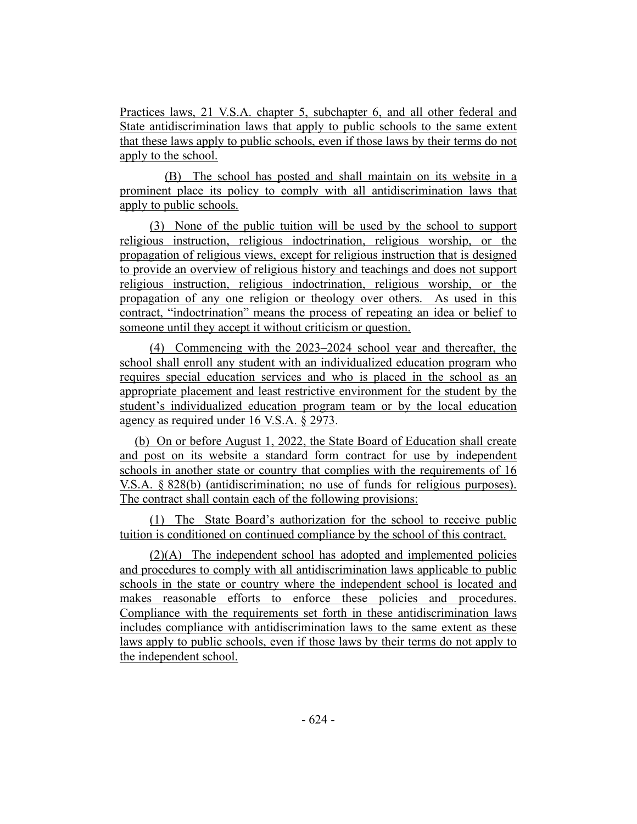Practices laws, 21 V.S.A. chapter 5, subchapter 6, and all other federal and State antidiscrimination laws that apply to public schools to the same extent that these laws apply to public schools, even if those laws by their terms do not apply to the school.

(B) The school has posted and shall maintain on its website in a prominent place its policy to comply with all antidiscrimination laws that apply to public schools.

(3) None of the public tuition will be used by the school to support religious instruction, religious indoctrination, religious worship, or the propagation of religious views, except for religious instruction that is designed to provide an overview of religious history and teachings and does not support religious instruction, religious indoctrination, religious worship, or the propagation of any one religion or theology over others. As used in this contract, "indoctrination" means the process of repeating an idea or belief to someone until they accept it without criticism or question.

(4) Commencing with the 2023–2024 school year and thereafter, the school shall enroll any student with an individualized education program who requires special education services and who is placed in the school as an appropriate placement and least restrictive environment for the student by the student's individualized education program team or by the local education agency as required under 16 V.S.A. § 2973.

(b) On or before August 1, 2022, the State Board of Education shall create and post on its website a standard form contract for use by independent schools in another state or country that complies with the requirements of 16 V.S.A. § 828(b) (antidiscrimination; no use of funds for religious purposes). The contract shall contain each of the following provisions:

(1) The State Board's authorization for the school to receive public tuition is conditioned on continued compliance by the school of this contract.

(2)(A) The independent school has adopted and implemented policies and procedures to comply with all antidiscrimination laws applicable to public schools in the state or country where the independent school is located and makes reasonable efforts to enforce these policies and procedures. Compliance with the requirements set forth in these antidiscrimination laws includes compliance with antidiscrimination laws to the same extent as these laws apply to public schools, even if those laws by their terms do not apply to the independent school.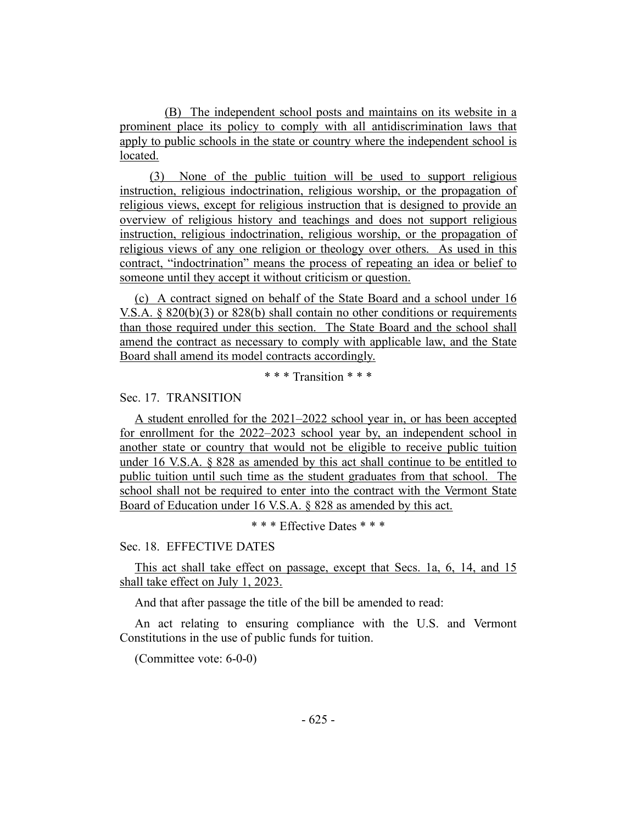(B) The independent school posts and maintains on its website in a prominent place its policy to comply with all antidiscrimination laws that apply to public schools in the state or country where the independent school is located.

(3) None of the public tuition will be used to support religious instruction, religious indoctrination, religious worship, or the propagation of religious views, except for religious instruction that is designed to provide an overview of religious history and teachings and does not support religious instruction, religious indoctrination, religious worship, or the propagation of religious views of any one religion or theology over others. As used in this contract, "indoctrination" means the process of repeating an idea or belief to someone until they accept it without criticism or question.

(c) A contract signed on behalf of the State Board and a school under 16 V.S.A. § 820(b)(3) or 828(b) shall contain no other conditions or requirements than those required under this section. The State Board and the school shall amend the contract as necessary to comply with applicable law, and the State Board shall amend its model contracts accordingly.

\* \* \* Transition \* \* \*

Sec. 17. TRANSITION

A student enrolled for the 2021–2022 school year in, or has been accepted for enrollment for the 2022–2023 school year by, an independent school in another state or country that would not be eligible to receive public tuition under 16 V.S.A. § 828 as amended by this act shall continue to be entitled to public tuition until such time as the student graduates from that school. The school shall not be required to enter into the contract with the Vermont State Board of Education under 16 V.S.A. § 828 as amended by this act.

\* \* \* Effective Dates \* \* \*

Sec. 18. EFFECTIVE DATES

This act shall take effect on passage, except that Secs. 1a, 6, 14, and 15 shall take effect on July 1, 2023.

And that after passage the title of the bill be amended to read:

An act relating to ensuring compliance with the U.S. and Vermont Constitutions in the use of public funds for tuition.

(Committee vote: 6-0-0)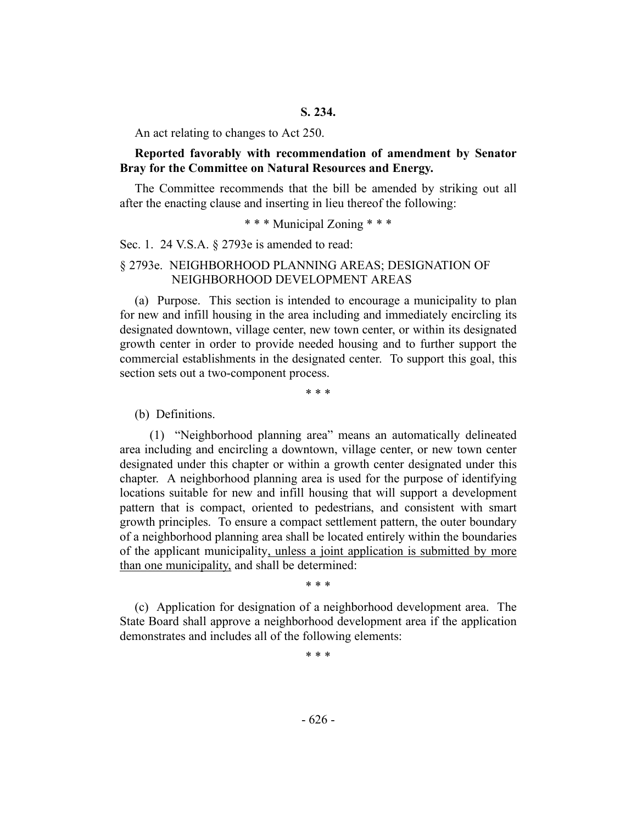An act relating to changes to Act 250.

#### **Reported favorably with recommendation of amendment by Senator Bray for the Committee on Natural Resources and Energy.**

The Committee recommends that the bill be amended by striking out all after the enacting clause and inserting in lieu thereof the following:

\* \* \* Municipal Zoning \* \* \*

#### Sec. 1. 24 V.S.A. § 2793e is amended to read:

# § 2793e. NEIGHBORHOOD PLANNING AREAS; DESIGNATION OF NEIGHBORHOOD DEVELOPMENT AREAS

(a) Purpose. This section is intended to encourage a municipality to plan for new and infill housing in the area including and immediately encircling its designated downtown, village center, new town center, or within its designated growth center in order to provide needed housing and to further support the commercial establishments in the designated center. To support this goal, this section sets out a two-component process.

\* \* \*

#### (b) Definitions.

(1) "Neighborhood planning area" means an automatically delineated area including and encircling a downtown, village center, or new town center designated under this chapter or within a growth center designated under this chapter. A neighborhood planning area is used for the purpose of identifying locations suitable for new and infill housing that will support a development pattern that is compact, oriented to pedestrians, and consistent with smart growth principles. To ensure a compact settlement pattern, the outer boundary of a neighborhood planning area shall be located entirely within the boundaries of the applicant municipality, unless a joint application is submitted by more than one municipality, and shall be determined:

\* \* \*

(c) Application for designation of a neighborhood development area. The State Board shall approve a neighborhood development area if the application demonstrates and includes all of the following elements:

\* \* \*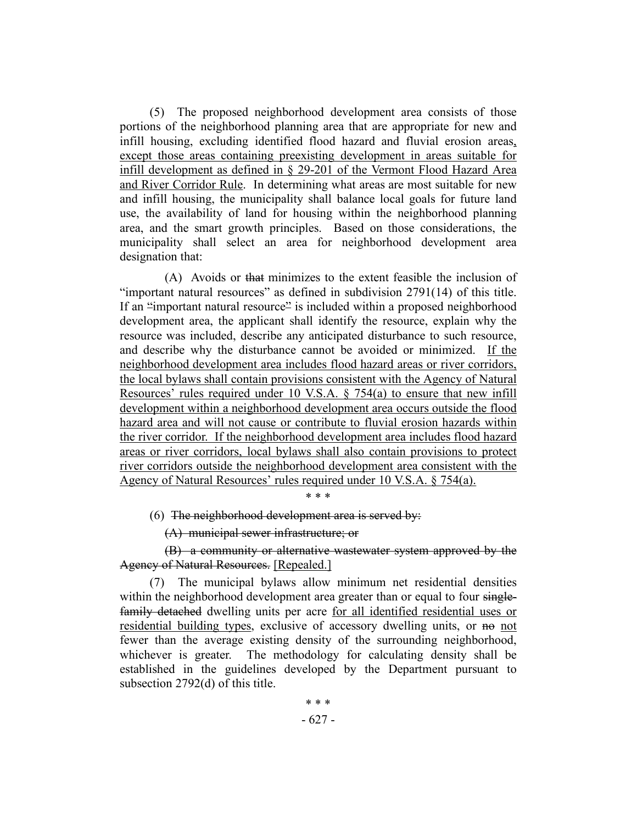(5) The proposed neighborhood development area consists of those portions of the neighborhood planning area that are appropriate for new and infill housing, excluding identified flood hazard and fluvial erosion areas, except those areas containing preexisting development in areas suitable for infill development as defined in § 29-201 of the Vermont Flood Hazard Area and River Corridor Rule. In determining what areas are most suitable for new and infill housing, the municipality shall balance local goals for future land use, the availability of land for housing within the neighborhood planning area, and the smart growth principles. Based on those considerations, the municipality shall select an area for neighborhood development area designation that:

(A) Avoids or that minimizes to the extent feasible the inclusion of "important natural resources" as defined in subdivision 2791(14) of this title. If an "important natural resource" is included within a proposed neighborhood development area, the applicant shall identify the resource, explain why the resource was included, describe any anticipated disturbance to such resource, and describe why the disturbance cannot be avoided or minimized. If the neighborhood development area includes flood hazard areas or river corridors, the local bylaws shall contain provisions consistent with the Agency of Natural Resources' rules required under 10 V.S.A. § 754(a) to ensure that new infill development within a neighborhood development area occurs outside the flood hazard area and will not cause or contribute to fluvial erosion hazards within the river corridor. If the neighborhood development area includes flood hazard areas or river corridors, local bylaws shall also contain provisions to protect river corridors outside the neighborhood development area consistent with the Agency of Natural Resources' rules required under 10 V.S.A. § 754(a).

\* \* \*

(6) The neighborhood development area is served by:

(A) municipal sewer infrastructure; or

(B) a community or alternative wastewater system approved by the Agency of Natural Resources. [Repealed.]

(7) The municipal bylaws allow minimum net residential densities within the neighborhood development area greater than or equal to four singlefamily detached dwelling units per acre for all identified residential uses or residential building types, exclusive of accessory dwelling units, or no not fewer than the average existing density of the surrounding neighborhood, whichever is greater. The methodology for calculating density shall be established in the guidelines developed by the Department pursuant to subsection 2792(d) of this title.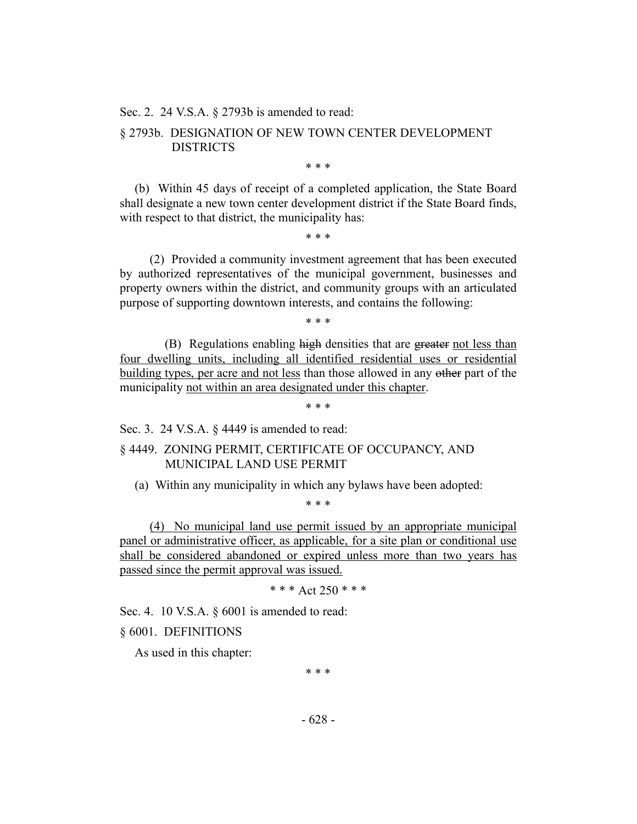Sec. 2. 24 V.S.A. § 2793b is amended to read:

# § 2793b. DESIGNATION OF NEW TOWN CENTER DEVELOPMENT DISTRICTS

\* \* \*

(b) Within 45 days of receipt of a completed application, the State Board shall designate a new town center development district if the State Board finds, with respect to that district, the municipality has:

\* \* \*

(2) Provided a community investment agreement that has been executed by authorized representatives of the municipal government, businesses and property owners within the district, and community groups with an articulated purpose of supporting downtown interests, and contains the following:

\* \* \*

(B) Regulations enabling high densities that are greater not less than four dwelling units, including all identified residential uses or residential building types, per acre and not less than those allowed in any other part of the municipality not within an area designated under this chapter.

\* \* \*

Sec. 3. 24 V.S.A. § 4449 is amended to read:

§ 4449. ZONING PERMIT, CERTIFICATE OF OCCUPANCY, AND MUNICIPAL LAND USE PERMIT

(a) Within any municipality in which any bylaws have been adopted:

\* \* \*

(4) No municipal land use permit issued by an appropriate municipal panel or administrative officer, as applicable, for a site plan or conditional use shall be considered abandoned or expired unless more than two years has passed since the permit approval was issued.

\* \* \* Act 250 \* \* \*

Sec. 4. 10 V.S.A. § 6001 is amended to read:

§ 6001. DEFINITIONS

As used in this chapter:

\* \* \*

- 628 -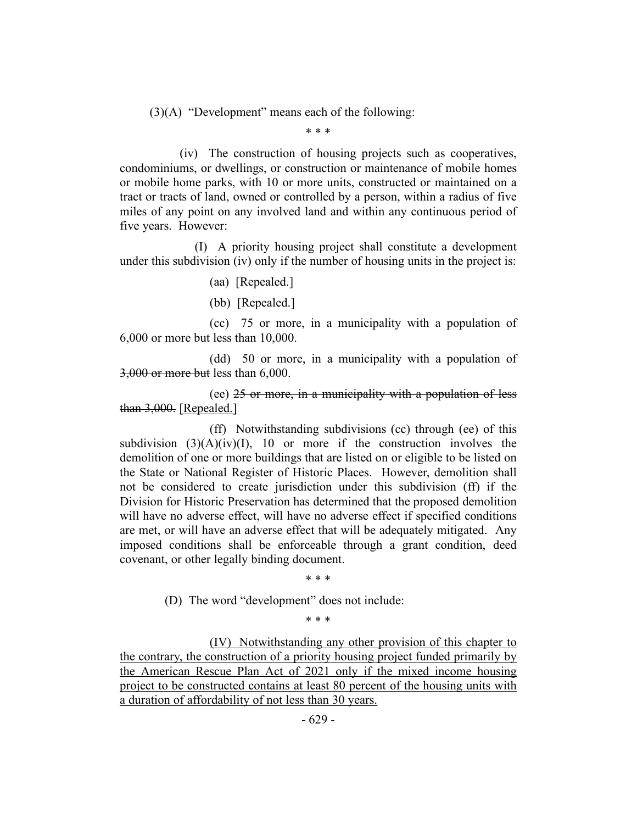(3)(A) "Development" means each of the following:

\* \* \*

(iv) The construction of housing projects such as cooperatives, condominiums, or dwellings, or construction or maintenance of mobile homes or mobile home parks, with 10 or more units, constructed or maintained on a tract or tracts of land, owned or controlled by a person, within a radius of five miles of any point on any involved land and within any continuous period of five years. However:

(I) A priority housing project shall constitute a development under this subdivision (iv) only if the number of housing units in the project is:

#### (aa) [Repealed.]

(bb) [Repealed.]

(cc) 75 or more, in a municipality with a population of 6,000 or more but less than 10,000.

(dd) 50 or more, in a municipality with a population of 3,000 or more but less than 6,000.

(ee) 25 or more, in a municipality with a population of less than 3,000. [Repealed.]

(ff) Notwithstanding subdivisions (cc) through (ee) of this subdivision  $(3)(A)(iv)(I)$ , 10 or more if the construction involves the demolition of one or more buildings that are listed on or eligible to be listed on the State or National Register of Historic Places. However, demolition shall not be considered to create jurisdiction under this subdivision (ff) if the Division for Historic Preservation has determined that the proposed demolition will have no adverse effect, will have no adverse effect if specified conditions are met, or will have an adverse effect that will be adequately mitigated. Any imposed conditions shall be enforceable through a grant condition, deed covenant, or other legally binding document.

\* \* \*

(D) The word "development" does not include:

\* \* \*

(IV) Notwithstanding any other provision of this chapter to the contrary, the construction of a priority housing project funded primarily by the American Rescue Plan Act of 2021 only if the mixed income housing project to be constructed contains at least 80 percent of the housing units with a duration of affordability of not less than 30 years.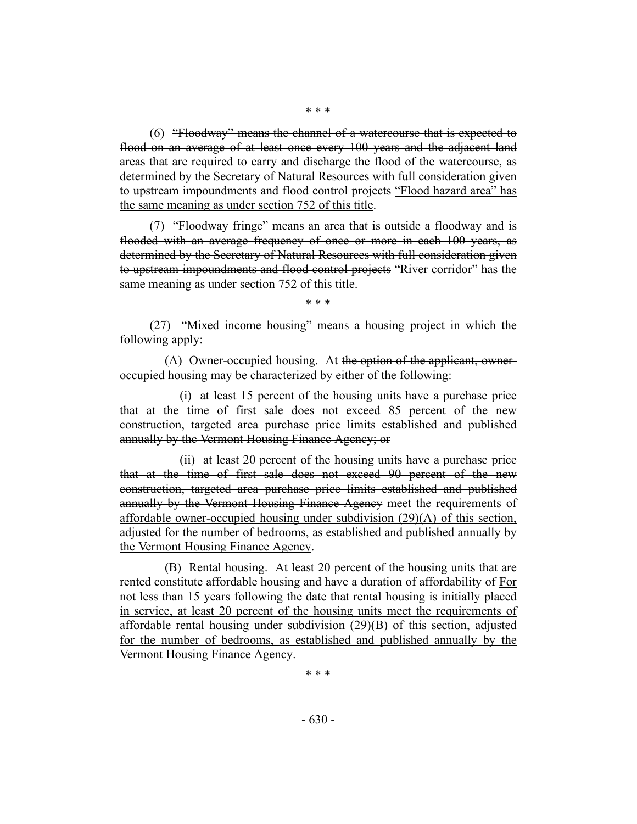(6) "Floodway" means the channel of a watercourse that is expected to flood on an average of at least once every 100 years and the adjacent land areas that are required to carry and discharge the flood of the watercourse, as determined by the Secretary of Natural Resources with full consideration given to upstream impoundments and flood control projects "Flood hazard area" has the same meaning as under section 752 of this title.

(7) "Floodway fringe" means an area that is outside a floodway and is flooded with an average frequency of once or more in each 100 years, as determined by the Secretary of Natural Resources with full consideration given to upstream impoundments and flood control projects "River corridor" has the same meaning as under section 752 of this title.

\* \* \*

(27) "Mixed income housing" means a housing project in which the following apply:

(A) Owner-occupied housing. At the option of the applicant, owneroccupied housing may be characterized by either of the following:

(i) at least 15 percent of the housing units have a purchase price that at the time of first sale does not exceed 85 percent of the new construction, targeted area purchase price limits established and published annually by the Vermont Housing Finance Agency; or

 $(ii)$  at least 20 percent of the housing units have a purchase price that at the time of first sale does not exceed 90 percent of the new construction, targeted area purchase price limits established and published annually by the Vermont Housing Finance Agency meet the requirements of affordable owner-occupied housing under subdivision (29)(A) of this section, adjusted for the number of bedrooms, as established and published annually by the Vermont Housing Finance Agency.

(B) Rental housing. At least 20 percent of the housing units that are rented constitute affordable housing and have a duration of affordability of For not less than 15 years following the date that rental housing is initially placed in service, at least 20 percent of the housing units meet the requirements of affordable rental housing under subdivision (29)(B) of this section, adjusted for the number of bedrooms, as established and published annually by the Vermont Housing Finance Agency.

\* \* \*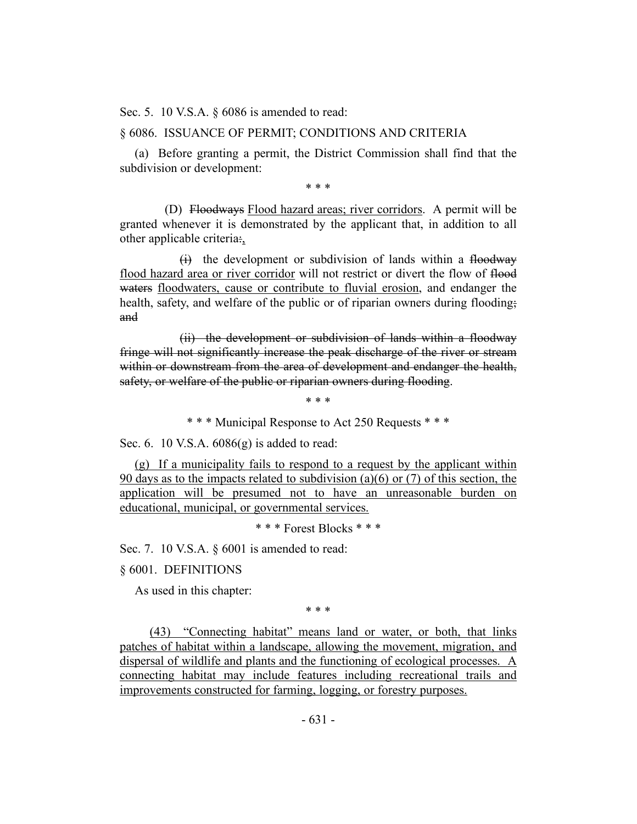Sec. 5. 10 V.S.A. § 6086 is amended to read:

#### § 6086. ISSUANCE OF PERMIT; CONDITIONS AND CRITERIA

(a) Before granting a permit, the District Commission shall find that the subdivision or development:

\* \* \*

(D) Floodways Flood hazard areas; river corridors. A permit will be granted whenever it is demonstrated by the applicant that, in addition to all other applicable criteria:,

(i) the development or subdivision of lands within a floodway flood hazard area or river corridor will not restrict or divert the flow of flood waters floodwaters, cause or contribute to fluvial erosion, and endanger the health, safety, and welfare of the public or of riparian owners during flooding; and

(ii) the development or subdivision of lands within a floodway fringe will not significantly increase the peak discharge of the river or stream within or downstream from the area of development and endanger the health, safety, or welfare of the public or riparian owners during flooding.

\* \* \*

\* \* \* Municipal Response to Act 250 Requests \* \* \*

Sec. 6. 10 V.S.A.  $6086(g)$  is added to read:

(g) If a municipality fails to respond to a request by the applicant within 90 days as to the impacts related to subdivision (a)(6) or (7) of this section, the application will be presumed not to have an unreasonable burden on educational, municipal, or governmental services.

\* \* \* Forest Blocks \* \* \*

Sec. 7. 10 V.S.A. § 6001 is amended to read:

§ 6001. DEFINITIONS

As used in this chapter:

\* \* \*

(43) "Connecting habitat" means land or water, or both, that links patches of habitat within a landscape, allowing the movement, migration, and dispersal of wildlife and plants and the functioning of ecological processes. A connecting habitat may include features including recreational trails and improvements constructed for farming, logging, or forestry purposes.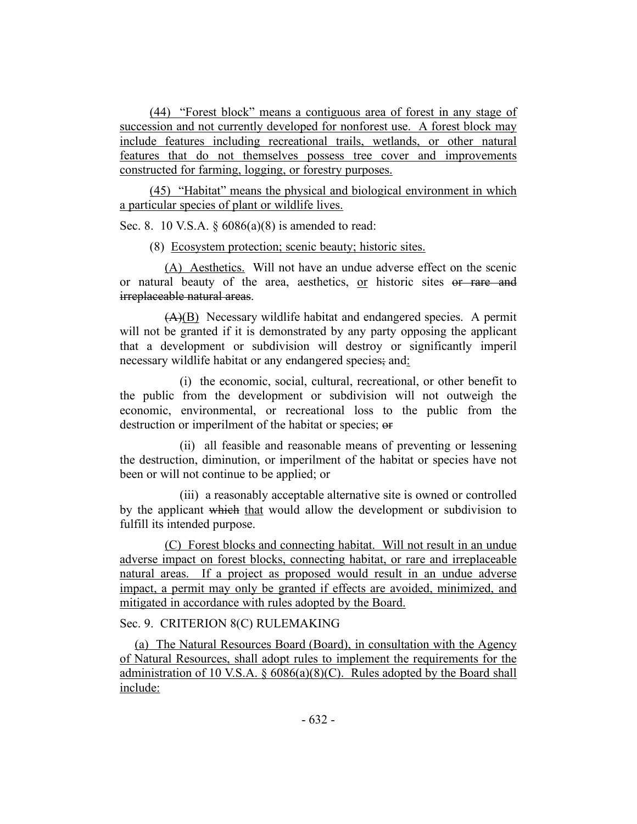(44) "Forest block" means a contiguous area of forest in any stage of succession and not currently developed for nonforest use. A forest block may include features including recreational trails, wetlands, or other natural features that do not themselves possess tree cover and improvements constructed for farming, logging, or forestry purposes.

(45) "Habitat" means the physical and biological environment in which a particular species of plant or wildlife lives.

Sec. 8. 10 V.S.A.  $\S 6086(a)(8)$  is amended to read:

(8) Ecosystem protection; scenic beauty; historic sites.

(A) Aesthetics. Will not have an undue adverse effect on the scenic or natural beauty of the area, aesthetics, or historic sites or rare and irreplaceable natural areas.

 $(A)(B)$  Necessary wildlife habitat and endangered species. A permit will not be granted if it is demonstrated by any party opposing the applicant that a development or subdivision will destroy or significantly imperil necessary wildlife habitat or any endangered species; and:

(i) the economic, social, cultural, recreational, or other benefit to the public from the development or subdivision will not outweigh the economic, environmental, or recreational loss to the public from the destruction or imperilment of the habitat or species; or

(ii) all feasible and reasonable means of preventing or lessening the destruction, diminution, or imperilment of the habitat or species have not been or will not continue to be applied; or

(iii) a reasonably acceptable alternative site is owned or controlled by the applicant which that would allow the development or subdivision to fulfill its intended purpose.

(C) Forest blocks and connecting habitat. Will not result in an undue adverse impact on forest blocks, connecting habitat, or rare and irreplaceable natural areas. If a project as proposed would result in an undue adverse impact, a permit may only be granted if effects are avoided, minimized, and mitigated in accordance with rules adopted by the Board.

Sec. 9. CRITERION 8(C) RULEMAKING

(a) The Natural Resources Board (Board), in consultation with the Agency of Natural Resources, shall adopt rules to implement the requirements for the administration of 10 V.S.A.  $\S$  6086(a)(8)(C). Rules adopted by the Board shall include: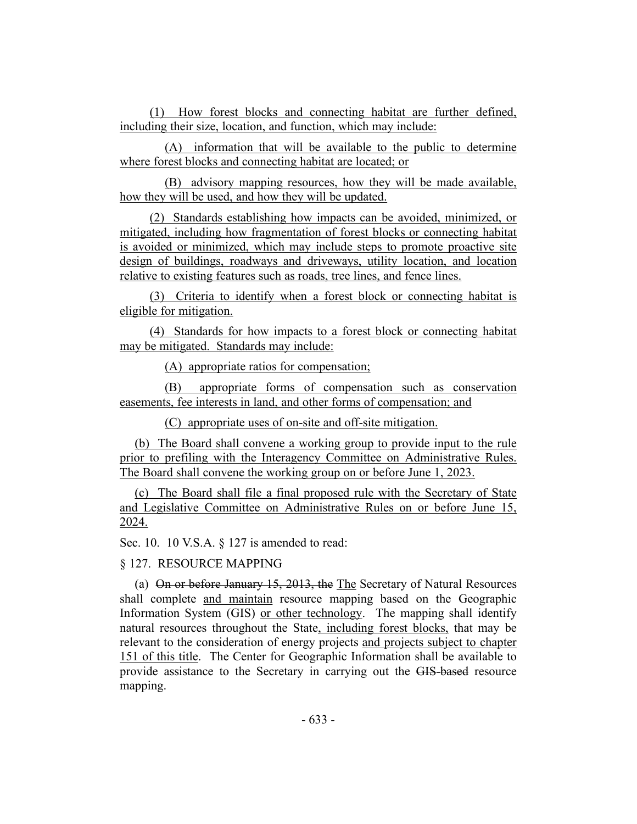(1) How forest blocks and connecting habitat are further defined, including their size, location, and function, which may include:

(A) information that will be available to the public to determine where forest blocks and connecting habitat are located; or

(B) advisory mapping resources, how they will be made available, how they will be used, and how they will be updated.

(2) Standards establishing how impacts can be avoided, minimized, or mitigated, including how fragmentation of forest blocks or connecting habitat is avoided or minimized, which may include steps to promote proactive site design of buildings, roadways and driveways, utility location, and location relative to existing features such as roads, tree lines, and fence lines.

(3) Criteria to identify when a forest block or connecting habitat is eligible for mitigation.

(4) Standards for how impacts to a forest block or connecting habitat may be mitigated. Standards may include:

(A) appropriate ratios for compensation;

(B) appropriate forms of compensation such as conservation easements, fee interests in land, and other forms of compensation; and

(C) appropriate uses of on-site and off-site mitigation.

(b) The Board shall convene a working group to provide input to the rule prior to prefiling with the Interagency Committee on Administrative Rules. The Board shall convene the working group on or before June 1, 2023.

(c) The Board shall file a final proposed rule with the Secretary of State and Legislative Committee on Administrative Rules on or before June 15, 2024.

Sec. 10. 10 V.S.A. § 127 is amended to read:

§ 127. RESOURCE MAPPING

(a) On or before January 15, 2013, the The Secretary of Natural Resources shall complete and maintain resource mapping based on the Geographic Information System (GIS) or other technology. The mapping shall identify natural resources throughout the State, including forest blocks, that may be relevant to the consideration of energy projects and projects subject to chapter 151 of this title. The Center for Geographic Information shall be available to provide assistance to the Secretary in carrying out the GIS-based resource mapping.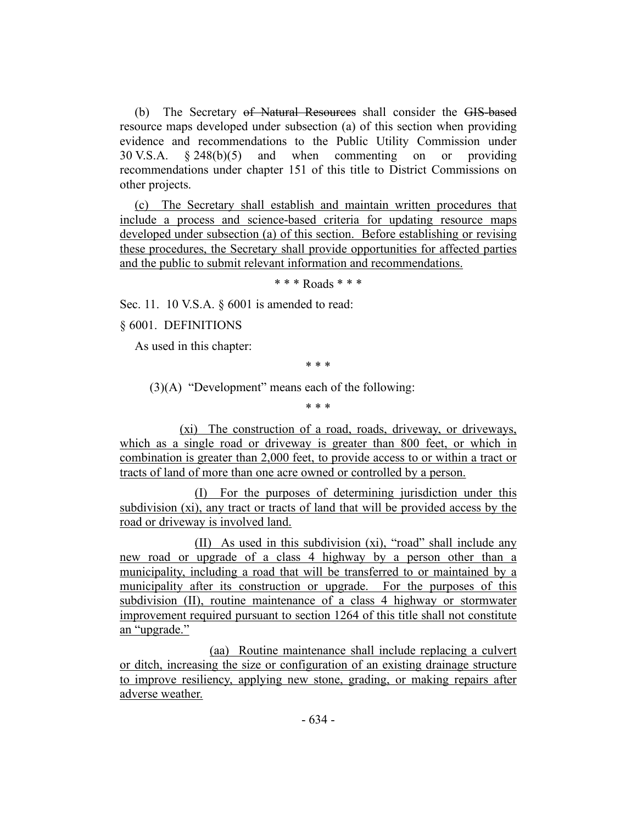(b) The Secretary of Natural Resources shall consider the GIS-based resource maps developed under subsection (a) of this section when providing evidence and recommendations to the Public Utility Commission under 30 V.S.A. § 248(b)(5) and when commenting on or providing recommendations under chapter 151 of this title to District Commissions on other projects.

(c) The Secretary shall establish and maintain written procedures that include a process and science-based criteria for updating resource maps developed under subsection (a) of this section. Before establishing or revising these procedures, the Secretary shall provide opportunities for affected parties and the public to submit relevant information and recommendations.

\* \* \* Roads \* \* \*

Sec. 11. 10 V.S.A. § 6001 is amended to read:

§ 6001. DEFINITIONS

As used in this chapter:

\* \* \*

(3)(A) "Development" means each of the following:

\* \* \*

(xi) The construction of a road, roads, driveway, or driveways, which as a single road or driveway is greater than 800 feet, or which in combination is greater than 2,000 feet, to provide access to or within a tract or tracts of land of more than one acre owned or controlled by a person.

(I) For the purposes of determining jurisdiction under this subdivision (xi), any tract or tracts of land that will be provided access by the road or driveway is involved land.

(II) As used in this subdivision (xi), "road" shall include any new road or upgrade of a class 4 highway by a person other than a municipality, including a road that will be transferred to or maintained by a municipality after its construction or upgrade. For the purposes of this subdivision (II), routine maintenance of a class 4 highway or stormwater improvement required pursuant to section 1264 of this title shall not constitute an "upgrade."

(aa) Routine maintenance shall include replacing a culvert or ditch, increasing the size or configuration of an existing drainage structure to improve resiliency, applying new stone, grading, or making repairs after adverse weather.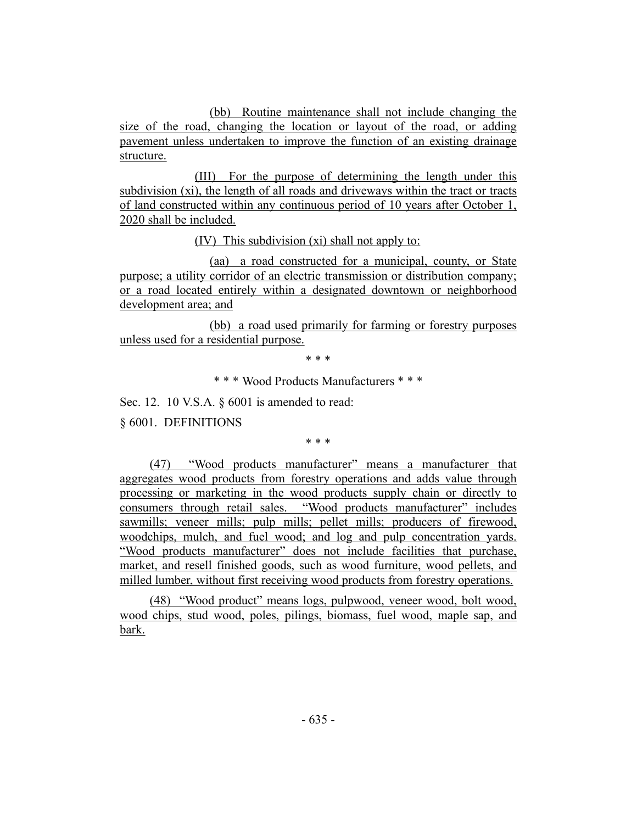(bb) Routine maintenance shall not include changing the size of the road, changing the location or layout of the road, or adding pavement unless undertaken to improve the function of an existing drainage structure.

(III) For the purpose of determining the length under this subdivision (xi), the length of all roads and driveways within the tract or tracts of land constructed within any continuous period of 10 years after October 1, 2020 shall be included.

(IV) This subdivision (xi) shall not apply to:

(aa) a road constructed for a municipal, county, or State purpose; a utility corridor of an electric transmission or distribution company; or a road located entirely within a designated downtown or neighborhood development area; and

(bb) a <u>road used primarily for farming or forestry purposes</u> unless used for a residential purpose.

\* \* \*

\* \* \* Wood Products Manufacturers \* \* \*

Sec. 12. 10 V.S.A. § 6001 is amended to read:

§ 6001. DEFINITIONS

\* \* \*

(47) "Wood products manufacturer" means a manufacturer that aggregates wood products from forestry operations and adds value through processing or marketing in the wood products supply chain or directly to consumers through retail sales. "Wood products manufacturer" includes sawmills; veneer mills; pulp mills; pellet mills; producers of firewood, woodchips, mulch, and fuel wood; and log and pulp concentration yards. "Wood products manufacturer" does not include facilities that purchase, market, and resell finished goods, such as wood furniture, wood pellets, and milled lumber, without first receiving wood products from forestry operations.

(48) "Wood product" means logs, pulpwood, veneer wood, bolt wood, wood chips, stud wood, poles, pilings, biomass, fuel wood, maple sap, and bark.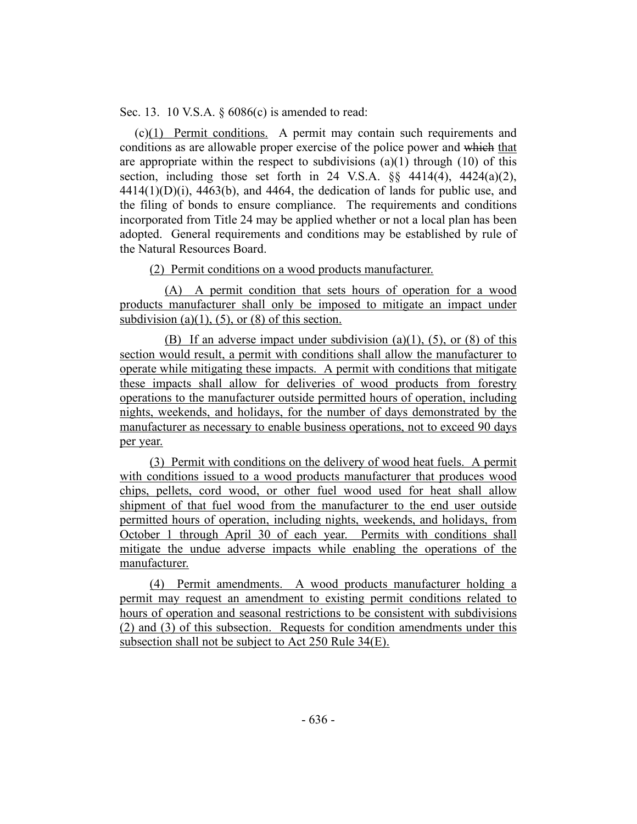Sec. 13. 10 V.S.A. § 6086(c) is amended to read:

(c)(1) Permit conditions. A permit may contain such requirements and conditions as are allowable proper exercise of the police power and which that are appropriate within the respect to subdivisions  $(a)(1)$  through  $(10)$  of this section, including those set forth in 24 V.S.A.  $\S$ § 4414(4), 4424(a)(2),  $4414(1)(D)(i)$ ,  $4463(b)$ , and  $4464$ , the dedication of lands for public use, and the filing of bonds to ensure compliance. The requirements and conditions incorporated from Title 24 may be applied whether or not a local plan has been adopted. General requirements and conditions may be established by rule of the Natural Resources Board.

(2) Permit conditions on a wood products manufacturer.

(A) A permit condition that sets hours of operation for a wood products manufacturer shall only be imposed to mitigate an impact under subdivision (a)(1), (5), or (8) of this section.

(B) If an adverse impact under subdivision  $(a)(1)$ ,  $(5)$ , or  $(8)$  of this section would result, a permit with conditions shall allow the manufacturer to operate while mitigating these impacts. A permit with conditions that mitigate these impacts shall allow for deliveries of wood products from forestry operations to the manufacturer outside permitted hours of operation, including nights, weekends, and holidays, for the number of days demonstrated by the manufacturer as necessary to enable business operations, not to exceed 90 days per year.

(3) Permit with conditions on the delivery of wood heat fuels. A permit with conditions issued to a wood products manufacturer that produces wood chips, pellets, cord wood, or other fuel wood used for heat shall allow shipment of that fuel wood from the manufacturer to the end user outside permitted hours of operation, including nights, weekends, and holidays, from October 1 through April 30 of each year. Permits with conditions shall mitigate the undue adverse impacts while enabling the operations of the manufacturer.

(4) Permit amendments. A wood products manufacturer holding a permit may request an amendment to existing permit conditions related to hours of operation and seasonal restrictions to be consistent with subdivisions (2) and (3) of this subsection. Requests for condition amendments under this subsection shall not be subject to Act 250 Rule 34(E).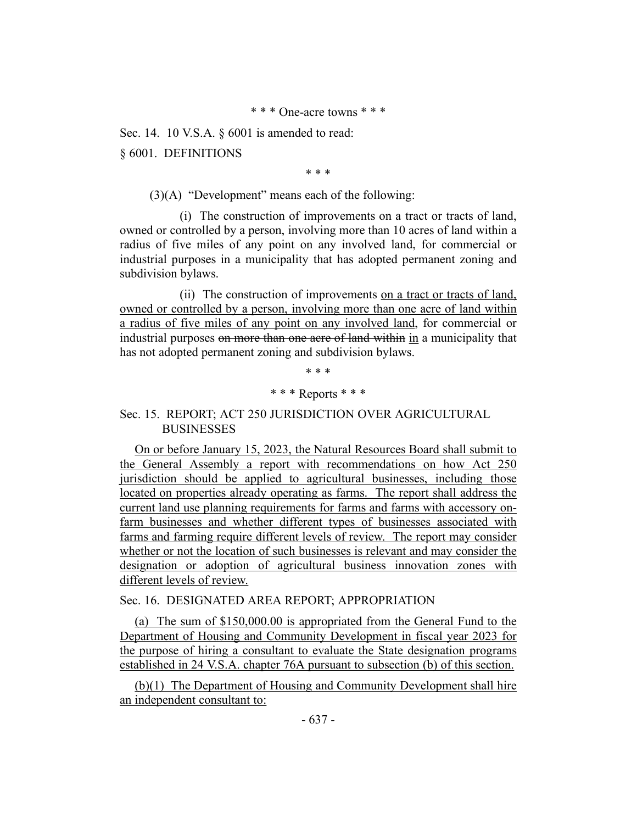Sec. 14. 10 V.S.A. § 6001 is amended to read:

§ 6001. DEFINITIONS

\* \* \*

(3)(A) "Development" means each of the following:

(i) The construction of improvements on a tract or tracts of land, owned or controlled by a person, involving more than 10 acres of land within a radius of five miles of any point on any involved land, for commercial or industrial purposes in a municipality that has adopted permanent zoning and subdivision bylaws.

(ii) The construction of improvements on a tract or tracts of land, owned or controlled by a person, involving more than one acre of land within a radius of five miles of any point on any involved land, for commercial or industrial purposes on more than one acre of land within in a municipality that has not adopted permanent zoning and subdivision bylaws.

> \* \* \* \* \* \* Reports \* \* \*

# Sec. 15. REPORT; ACT 250 JURISDICTION OVER AGRICULTURAL **BUSINESSES**

On or before January 15, 2023, the Natural Resources Board shall submit to the General Assembly a report with recommendations on how Act 250 jurisdiction should be applied to agricultural businesses, including those located on properties already operating as farms. The report shall address the current land use planning requirements for farms and farms with accessory onfarm businesses and whether different types of businesses associated with farms and farming require different levels of review. The report may consider whether or not the location of such businesses is relevant and may consider the designation or adoption of agricultural business innovation zones with different levels of review.

# Sec. 16. DESIGNATED AREA REPORT; APPROPRIATION

(a) The sum of \$150,000.00 is appropriated from the General Fund to the Department of Housing and Community Development in fiscal year 2023 for the purpose of hiring a consultant to evaluate the State designation programs established in 24 V.S.A. chapter 76A pursuant to subsection (b) of this section.

(b)(1) The Department of Housing and Community Development shall hire an independent consultant to: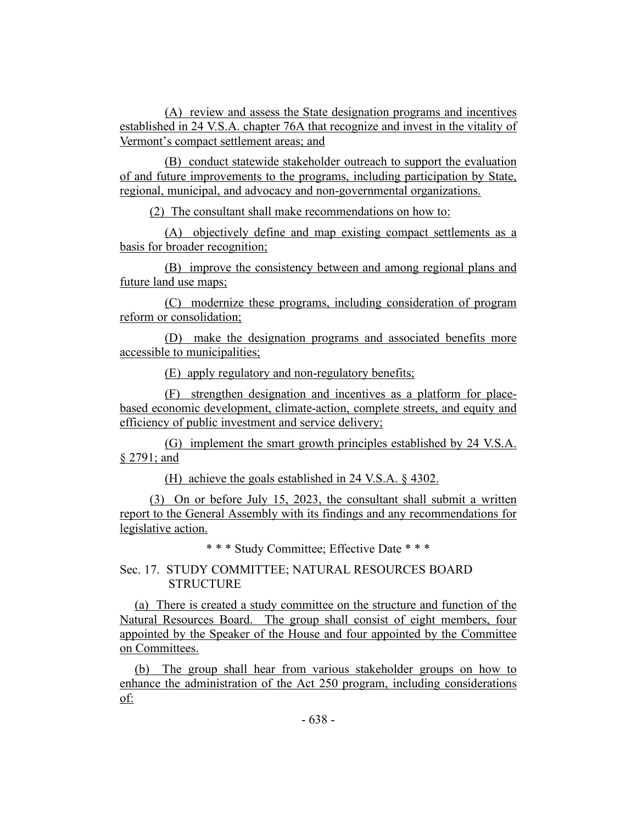(A) review and assess the State designation programs and incentives established in 24 V.S.A. chapter 76A that recognize and invest in the vitality of Vermont's compact settlement areas; and

(B) conduct statewide stakeholder outreach to support the evaluation of and future improvements to the programs, including participation by State, regional, municipal, and advocacy and non-governmental organizations.

(2) The consultant shall make recommendations on how to:

(A) objectively define and map existing compact settlements as a basis for broader recognition;

(B) improve the consistency between and among regional plans and future land use maps;

(C) modernize these programs, including consideration of program reform or consolidation;

(D) make the designation programs and associated benefits more accessible to municipalities;

(E) apply regulatory and non-regulatory benefits;

(F) strengthen designation and incentives as a platform for placebased economic development, climate-action, complete streets, and equity and efficiency of public investment and service delivery;

(G) implement the smart growth principles established by 24 V.S.A. § 2791; and

(H) achieve the goals established in 24 V.S.A. § 4302.

(3) On or before July 15, 2023, the consultant shall submit a written report to the General Assembly with its findings and any recommendations for legislative action.

\* \* \* Study Committee; Effective Date \* \* \*

Sec. 17. STUDY COMMITTEE; NATURAL RESOURCES BOARD **STRUCTURE** 

(a) There is created a study committee on the structure and function of the Natural Resources Board. The group shall consist of eight members, four appointed by the Speaker of the House and four appointed by the Committee on Committees.

(b) The group shall hear from various stakeholder groups on how to enhance the administration of the Act 250 program, including considerations of: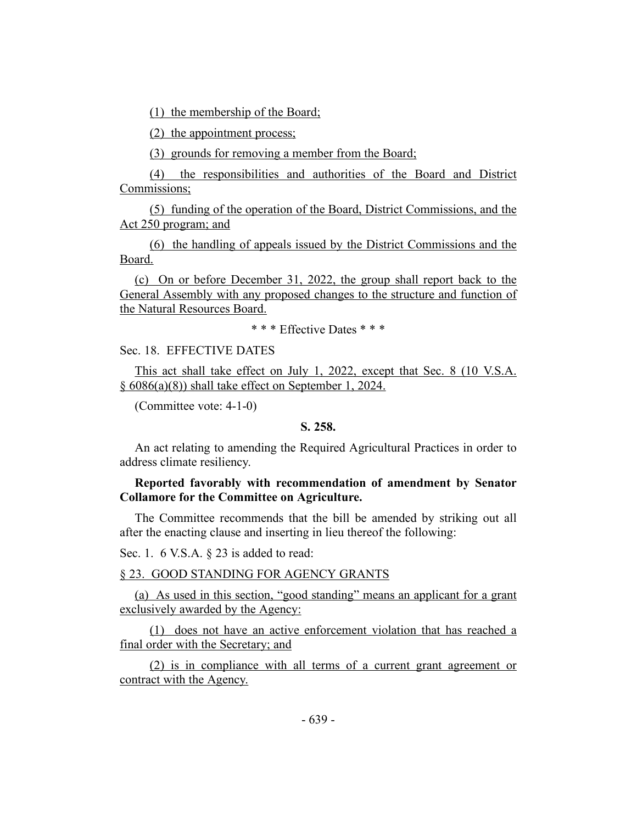(1) the membership of the Board;

(2) the appointment process;

(3) grounds for removing a member from the Board;

(4) the responsibilities and authorities of the Board and District Commissions;

(5) funding of the operation of the Board, District Commissions, and the Act 250 program; and

(6) the handling of appeals issued by the District Commissions and the Board.

(c) On or before December 31, 2022, the group shall report back to the General Assembly with any proposed changes to the structure and function of the Natural Resources Board.

\* \* \* Effective Dates \* \* \*

Sec. 18. EFFECTIVE DATES

This act shall take effect on July 1, 2022, except that Sec. 8 (10 V.S.A. § 6086(a)(8)) shall take effect on September 1, 2024.

(Committee vote: 4-1-0)

### **S. 258.**

An act relating to amending the Required Agricultural Practices in order to address climate resiliency.

# **Reported favorably with recommendation of amendment by Senator Collamore for the Committee on Agriculture.**

The Committee recommends that the bill be amended by striking out all after the enacting clause and inserting in lieu thereof the following:

Sec. 1. 6 V.S.A. § 23 is added to read:

# § 23. GOOD STANDING FOR AGENCY GRANTS

(a) As used in this section, "good standing" means an applicant for a grant exclusively awarded by the Agency:

(1) does not have an active enforcement violation that has reached a final order with the Secretary; and

(2) is in compliance with all terms of a current grant agreement or contract with the Agency.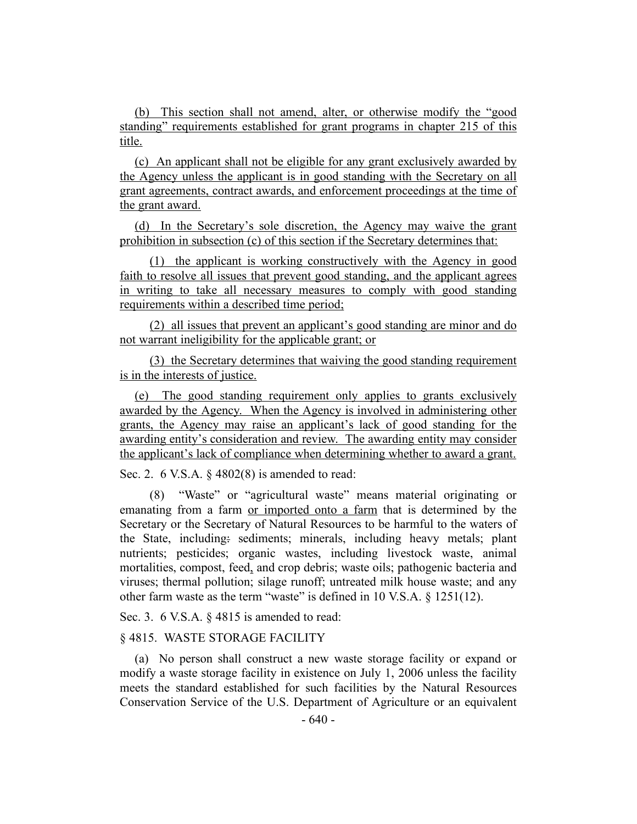(b) This section shall not amend, alter, or otherwise modify the "good standing" requirements established for grant programs in chapter 215 of this title.

(c) An applicant shall not be eligible for any grant exclusively awarded by the Agency unless the applicant is in good standing with the Secretary on all grant agreements, contract awards, and enforcement proceedings at the time of the grant award.

(d) In the Secretary's sole discretion, the Agency may waive the grant prohibition in subsection (c) of this section if the Secretary determines that:

(1) the applicant is working constructively with the Agency in good faith to resolve all issues that prevent good standing, and the applicant agrees in writing to take all necessary measures to comply with good standing requirements within a described time period;

(2) all issues that prevent an applicant's good standing are minor and do not warrant ineligibility for the applicable grant; or

(3) the Secretary determines that waiving the good standing requirement is in the interests of justice.

(e) The good standing requirement only applies to grants exclusively awarded by the Agency. When the Agency is involved in administering other grants, the Agency may raise an applicant's lack of good standing for the awarding entity's consideration and review. The awarding entity may consider the applicant's lack of compliance when determining whether to award a grant.

Sec. 2. 6 V.S.A. § 4802(8) is amended to read:

(8) "Waste" or "agricultural waste" means material originating or emanating from a farm or imported onto a farm that is determined by the Secretary or the Secretary of Natural Resources to be harmful to the waters of the State, including: sediments; minerals, including heavy metals; plant nutrients; pesticides; organic wastes, including livestock waste, animal mortalities, compost, feed, and crop debris; waste oils; pathogenic bacteria and viruses; thermal pollution; silage runoff; untreated milk house waste; and any other farm waste as the term "waste" is defined in 10 V.S.A. § 1251(12).

Sec. 3. 6 V.S.A. § 4815 is amended to read:

## § 4815. WASTE STORAGE FACILITY

(a) No person shall construct a new waste storage facility or expand or modify a waste storage facility in existence on July 1, 2006 unless the facility meets the standard established for such facilities by the Natural Resources Conservation Service of the U.S. Department of Agriculture or an equivalent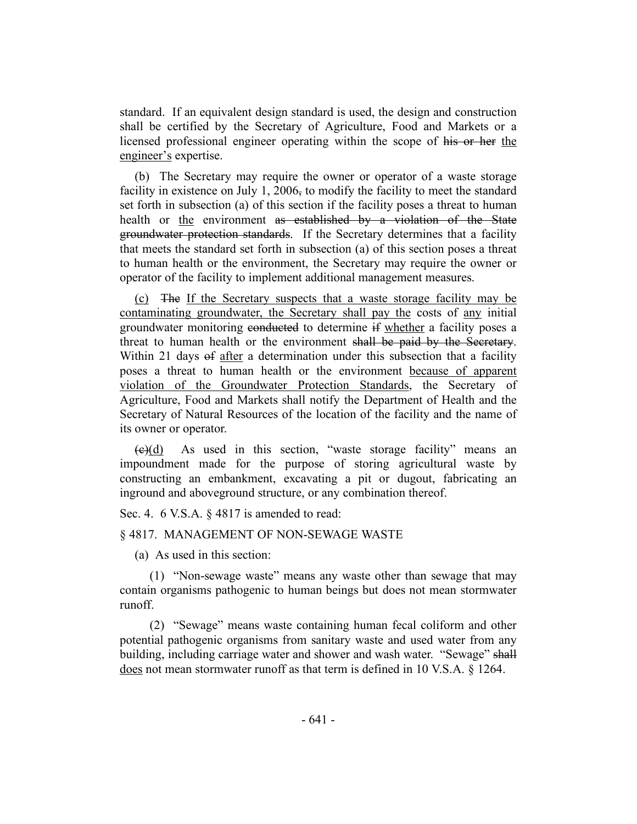standard. If an equivalent design standard is used, the design and construction shall be certified by the Secretary of Agriculture, Food and Markets or a licensed professional engineer operating within the scope of his or her the engineer's expertise.

(b) The Secretary may require the owner or operator of a waste storage facility in existence on July 1, 2006, to modify the facility to meet the standard set forth in subsection (a) of this section if the facility poses a threat to human health or the environment as established by a violation of the State groundwater protection standards. If the Secretary determines that a facility that meets the standard set forth in subsection (a) of this section poses a threat to human health or the environment, the Secretary may require the owner or operator of the facility to implement additional management measures.

(c) The If the Secretary suspects that a waste storage facility may be contaminating groundwater, the Secretary shall pay the costs of any initial groundwater monitoring conducted to determine if whether a facility poses a threat to human health or the environment shall be paid by the Secretary. Within 21 days of after a determination under this subsection that a facility poses a threat to human health or the environment because of apparent violation of the Groundwater Protection Standards, the Secretary of Agriculture, Food and Markets shall notify the Department of Health and the Secretary of Natural Resources of the location of the facility and the name of its owner or operator.

 $(e)(d)$  As used in this section, "waste storage facility" means an impoundment made for the purpose of storing agricultural waste by constructing an embankment, excavating a pit or dugout, fabricating an inground and aboveground structure, or any combination thereof.

Sec. 4. 6 V.S.A. § 4817 is amended to read:

#### § 4817. MANAGEMENT OF NON-SEWAGE WASTE

(a) As used in this section:

(1) "Non-sewage waste" means any waste other than sewage that may contain organisms pathogenic to human beings but does not mean stormwater runoff.

(2) "Sewage" means waste containing human fecal coliform and other potential pathogenic organisms from sanitary waste and used water from any building, including carriage water and shower and wash water. "Sewage" shall does not mean stormwater runoff as that term is defined in 10 V.S.A. § 1264.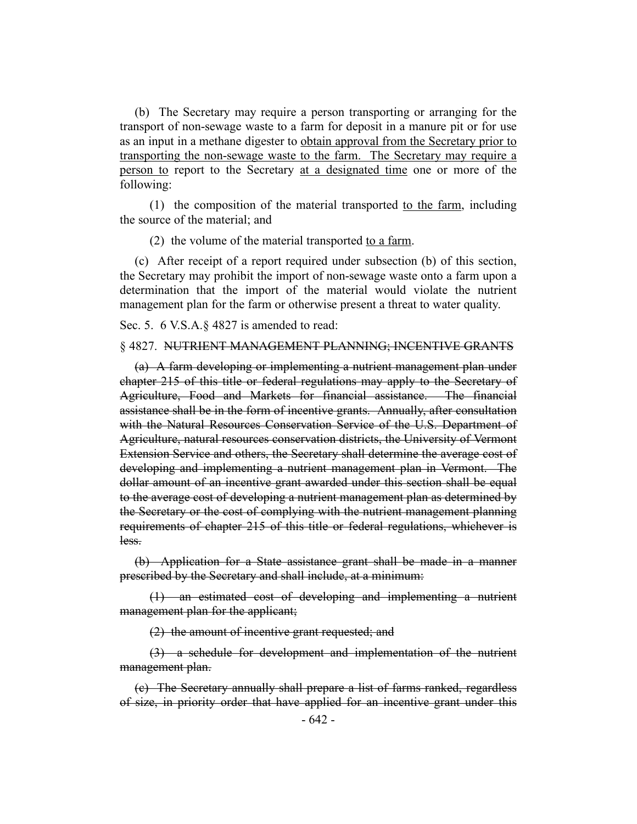(b) The Secretary may require a person transporting or arranging for the transport of non-sewage waste to a farm for deposit in a manure pit or for use as an input in a methane digester to obtain approval from the Secretary prior to transporting the non-sewage waste to the farm. The Secretary may require a person to report to the Secretary at a designated time one or more of the following:

(1) the composition of the material transported to the farm, including the source of the material; and

(2) the volume of the material transported to a farm.

(c) After receipt of a report required under subsection (b) of this section, the Secretary may prohibit the import of non-sewage waste onto a farm upon a determination that the import of the material would violate the nutrient management plan for the farm or otherwise present a threat to water quality.

Sec. 5. 6 V.S.A.§ 4827 is amended to read:

#### § 4827. NUTRIENT MANAGEMENT PLANNING; INCENTIVE GRANTS

(a) A farm developing or implementing a nutrient management plan under chapter 215 of this title or federal regulations may apply to the Secretary of Agriculture, Food and Markets for financial assistance. The financial assistance shall be in the form of incentive grants. Annually, after consultation with the Natural Resources Conservation Service of the U.S. Department of Agriculture, natural resources conservation districts, the University of Vermont Extension Service and others, the Secretary shall determine the average cost of developing and implementing a nutrient management plan in Vermont. The dollar amount of an incentive grant awarded under this section shall be equal to the average cost of developing a nutrient management plan as determined by the Secretary or the cost of complying with the nutrient management planning requirements of chapter 215 of this title or federal regulations, whichever is less.

(b) Application for a State assistance grant shall be made in a manner prescribed by the Secretary and shall include, at a minimum:

(1) an estimated cost of developing and implementing a nutrient management plan for the applicant;

(2) the amount of incentive grant requested; and

(3) a schedule for development and implementation of the nutrient management plan.

(c) The Secretary annually shall prepare a list of farms ranked, regardless of size, in priority order that have applied for an incentive grant under this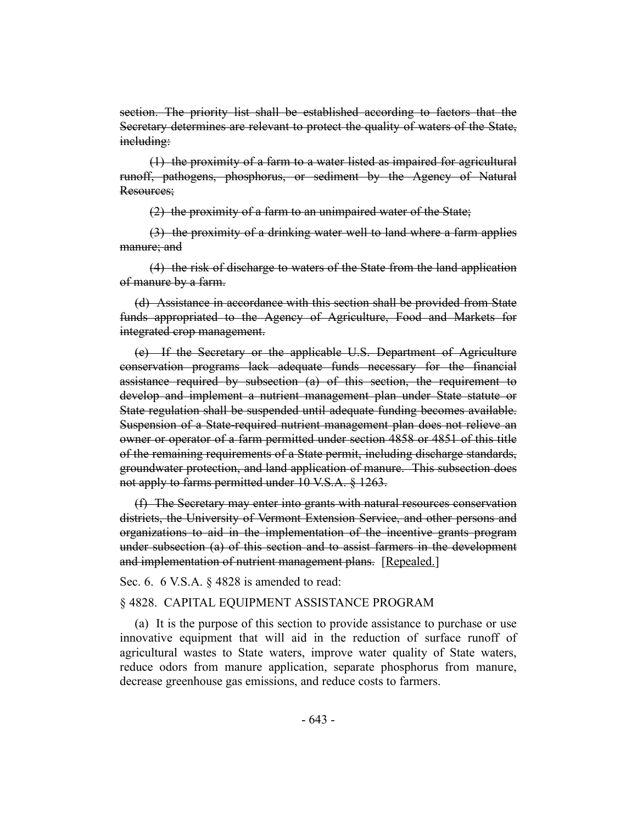section. The priority list shall be established according to factors that the Secretary determines are relevant to protect the quality of waters of the State, including:

(1) the proximity of a farm to a water listed as impaired for agricultural runoff, pathogens, phosphorus, or sediment by the Agency of Natural Resources;

(2) the proximity of a farm to an unimpaired water of the State;

(3) the proximity of a drinking water well to land where a farm applies manure; and

(4) the risk of discharge to waters of the State from the land application of manure by a farm.

(d) Assistance in accordance with this section shall be provided from State funds appropriated to the Agency of Agriculture, Food and Markets for integrated crop management.

(e) If the Secretary or the applicable U.S. Department of Agriculture conservation programs lack adequate funds necessary for the financial assistance required by subsection (a) of this section, the requirement to develop and implement a nutrient management plan under State statute or State regulation shall be suspended until adequate funding becomes available. Suspension of a State-required nutrient management plan does not relieve an owner or operator of a farm permitted under section 4858 or 4851 of this title of the remaining requirements of a State permit, including discharge standards, groundwater protection, and land application of manure. This subsection does not apply to farms permitted under 10 V.S.A. § 1263.

(f) The Secretary may enter into grants with natural resources conservation districts, the University of Vermont Extension Service, and other persons and organizations to aid in the implementation of the incentive grants program under subsection (a) of this section and to assist farmers in the development and implementation of nutrient management plans. [Repealed.]

Sec. 6. 6 V.S.A. § 4828 is amended to read:

## § 4828. CAPITAL EQUIPMENT ASSISTANCE PROGRAM

(a) It is the purpose of this section to provide assistance to purchase or use innovative equipment that will aid in the reduction of surface runoff of agricultural wastes to State waters, improve water quality of State waters, reduce odors from manure application, separate phosphorus from manure, decrease greenhouse gas emissions, and reduce costs to farmers.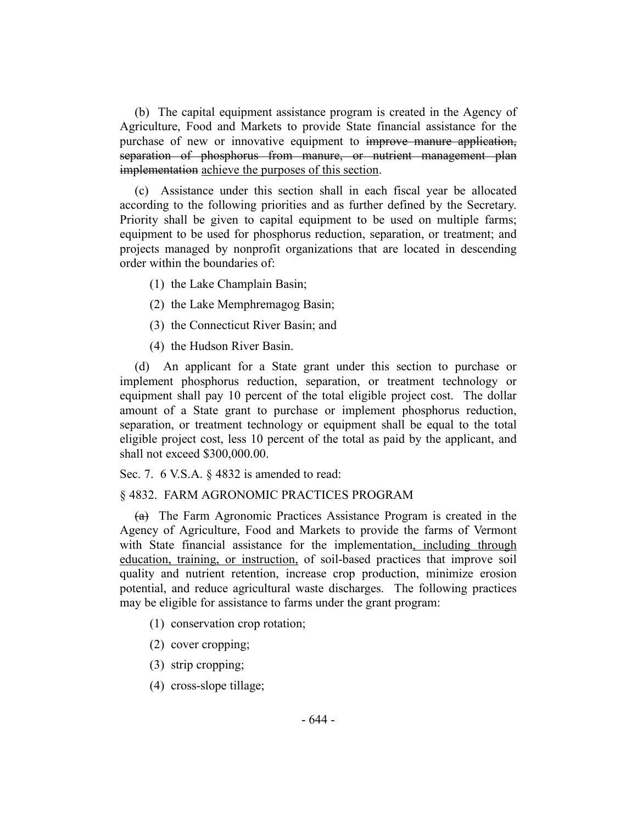(b) The capital equipment assistance program is created in the Agency of Agriculture, Food and Markets to provide State financial assistance for the purchase of new or innovative equipment to improve manure application, separation of phosphorus from manure, or nutrient management plan implementation achieve the purposes of this section.

(c) Assistance under this section shall in each fiscal year be allocated according to the following priorities and as further defined by the Secretary. Priority shall be given to capital equipment to be used on multiple farms; equipment to be used for phosphorus reduction, separation, or treatment; and projects managed by nonprofit organizations that are located in descending order within the boundaries of:

- (1) the Lake Champlain Basin;
- (2) the Lake Memphremagog Basin;
- (3) the Connecticut River Basin; and
- (4) the Hudson River Basin.

(d) An applicant for a State grant under this section to purchase or implement phosphorus reduction, separation, or treatment technology or equipment shall pay 10 percent of the total eligible project cost. The dollar amount of a State grant to purchase or implement phosphorus reduction, separation, or treatment technology or equipment shall be equal to the total eligible project cost, less 10 percent of the total as paid by the applicant, and shall not exceed \$300,000.00.

Sec. 7. 6 V.S.A. § 4832 is amended to read:

#### § 4832. FARM AGRONOMIC PRACTICES PROGRAM

(a) The Farm Agronomic Practices Assistance Program is created in the Agency of Agriculture, Food and Markets to provide the farms of Vermont with State financial assistance for the implementation, including through education, training, or instruction, of soil-based practices that improve soil quality and nutrient retention, increase crop production, minimize erosion potential, and reduce agricultural waste discharges. The following practices may be eligible for assistance to farms under the grant program:

- (1) conservation crop rotation;
- (2) cover cropping;
- (3) strip cropping;
- (4) cross-slope tillage;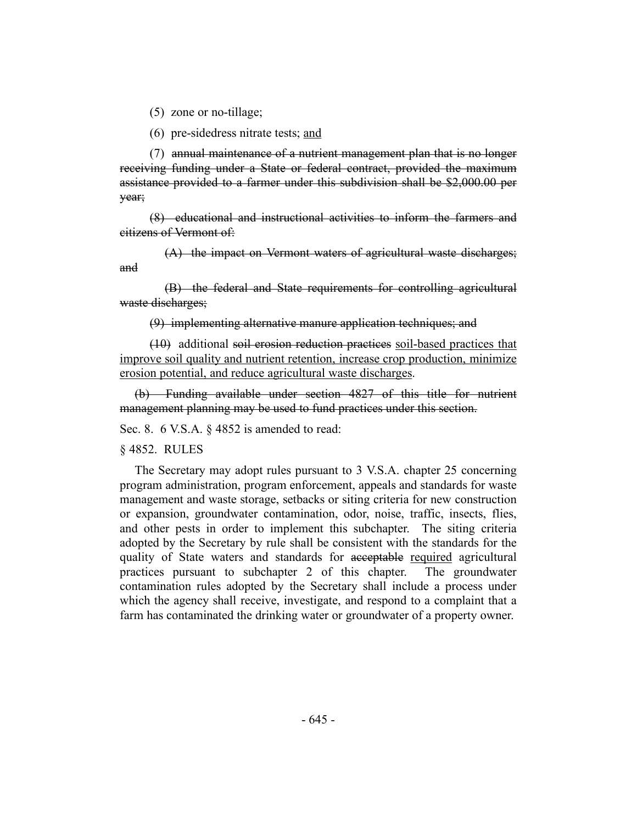(5) zone or no-tillage;

(6) pre-sidedress nitrate tests; and

(7) annual maintenance of a nutrient management plan that is no longer receiving funding under a State or federal contract, provided the maximum assistance provided to a farmer under this subdivision shall be \$2,000.00 per year;

(8) educational and instructional activities to inform the farmers and citizens of Vermont of:

(A) the impact on Vermont waters of agricultural waste discharges; and

(B) the federal and State requirements for controlling agricultural waste discharges;

(9) implementing alternative manure application techniques; and

(10) additional soil erosion reduction practices soil-based practices that improve soil quality and nutrient retention, increase crop production, minimize erosion potential, and reduce agricultural waste discharges.

(b) Funding available under section 4827 of this title for nutrient management planning may be used to fund practices under this section.

Sec. 8. 6 V.S.A. § 4852 is amended to read:

§ 4852. RULES

The Secretary may adopt rules pursuant to 3 V.S.A. chapter 25 concerning program administration, program enforcement, appeals and standards for waste management and waste storage, setbacks or siting criteria for new construction or expansion, groundwater contamination, odor, noise, traffic, insects, flies, and other pests in order to implement this subchapter. The siting criteria adopted by the Secretary by rule shall be consistent with the standards for the quality of State waters and standards for acceptable required agricultural practices pursuant to subchapter 2 of this chapter. The groundwater contamination rules adopted by the Secretary shall include a process under which the agency shall receive, investigate, and respond to a complaint that a farm has contaminated the drinking water or groundwater of a property owner.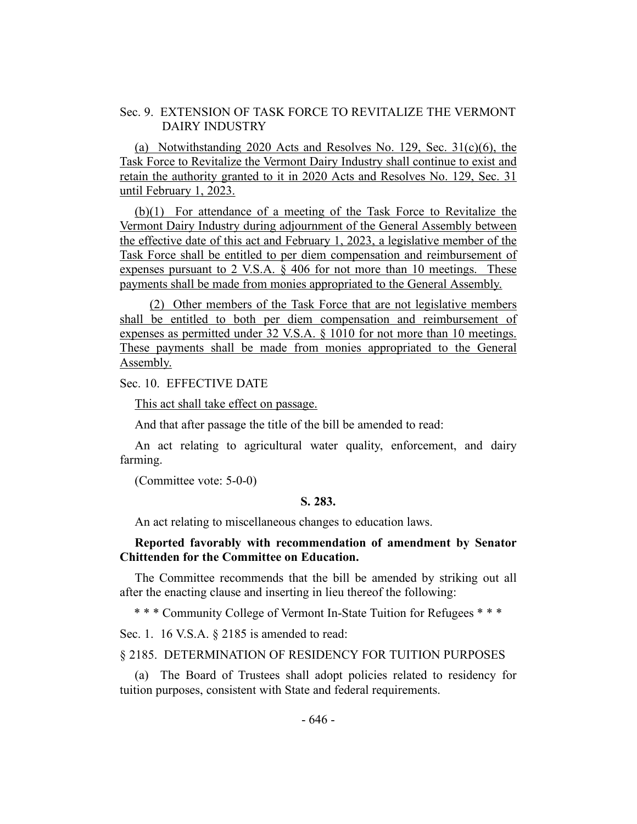## Sec. 9. EXTENSION OF TASK FORCE TO REVITALIZE THE VERMONT DAIRY INDUSTRY

(a) Notwithstanding 2020 Acts and Resolves No. 129, Sec.  $31(c)(6)$ , the Task Force to Revitalize the Vermont Dairy Industry shall continue to exist and retain the authority granted to it in 2020 Acts and Resolves No. 129, Sec. 31 until February 1, 2023.

(b)(1) For attendance of a meeting of the Task Force to Revitalize the Vermont Dairy Industry during adjournment of the General Assembly between the effective date of this act and February 1, 2023, a legislative member of the Task Force shall be entitled to per diem compensation and reimbursement of expenses pursuant to 2 V.S.A. § 406 for not more than 10 meetings. These payments shall be made from monies appropriated to the General Assembly.

(2) Other members of the Task Force that are not legislative members shall be entitled to both per diem compensation and reimbursement of expenses as permitted under 32 V.S.A. § 1010 for not more than 10 meetings. These payments shall be made from monies appropriated to the General Assembly.

### Sec. 10. EFFECTIVE DATE

This act shall take effect on passage.

And that after passage the title of the bill be amended to read:

An act relating to agricultural water quality, enforcement, and dairy farming.

(Committee vote: 5-0-0)

### **S. 283.**

An act relating to miscellaneous changes to education laws.

## **Reported favorably with recommendation of amendment by Senator Chittenden for the Committee on Education.**

The Committee recommends that the bill be amended by striking out all after the enacting clause and inserting in lieu thereof the following:

\* \* \* Community College of Vermont In-State Tuition for Refugees \* \* \*

Sec. 1. 16 V.S.A. § 2185 is amended to read:

## § 2185. DETERMINATION OF RESIDENCY FOR TUITION PURPOSES

(a) The Board of Trustees shall adopt policies related to residency for tuition purposes, consistent with State and federal requirements.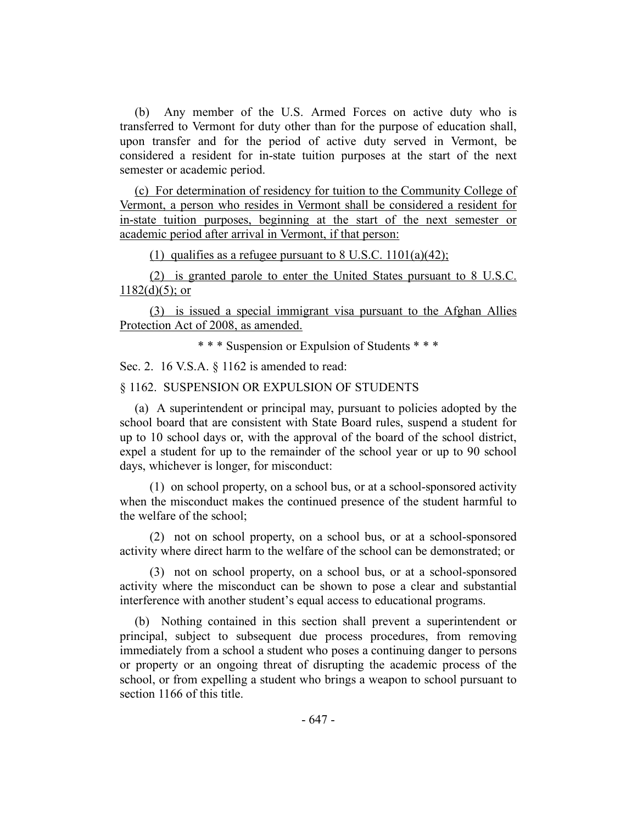(b) Any member of the U.S. Armed Forces on active duty who is transferred to Vermont for duty other than for the purpose of education shall, upon transfer and for the period of active duty served in Vermont, be considered a resident for in-state tuition purposes at the start of the next semester or academic period.

(c) For determination of residency for tuition to the Community College of Vermont, a person who resides in Vermont shall be considered a resident for in-state tuition purposes, beginning at the start of the next semester or academic period after arrival in Vermont, if that person:

(1) qualifies as a refugee pursuant to  $8 \text{ U.S.C. } 1101(a)(42)$ ;

(2) is granted parole to enter the United States pursuant to 8 U.S.C.  $1182(d)(5)$ ; or

(3) is issued a special immigrant visa pursuant to the Afghan Allies Protection Act of 2008, as amended.

\* \* \* Suspension or Expulsion of Students \* \* \*

Sec. 2. 16 V.S.A. § 1162 is amended to read:

§ 1162. SUSPENSION OR EXPULSION OF STUDENTS

(a) A superintendent or principal may, pursuant to policies adopted by the school board that are consistent with State Board rules, suspend a student for up to 10 school days or, with the approval of the board of the school district, expel a student for up to the remainder of the school year or up to 90 school days, whichever is longer, for misconduct:

(1) on school property, on a school bus, or at a school-sponsored activity when the misconduct makes the continued presence of the student harmful to the welfare of the school;

(2) not on school property, on a school bus, or at a school-sponsored activity where direct harm to the welfare of the school can be demonstrated; or

(3) not on school property, on a school bus, or at a school-sponsored activity where the misconduct can be shown to pose a clear and substantial interference with another student's equal access to educational programs.

(b) Nothing contained in this section shall prevent a superintendent or principal, subject to subsequent due process procedures, from removing immediately from a school a student who poses a continuing danger to persons or property or an ongoing threat of disrupting the academic process of the school, or from expelling a student who brings a weapon to school pursuant to section 1166 of this title.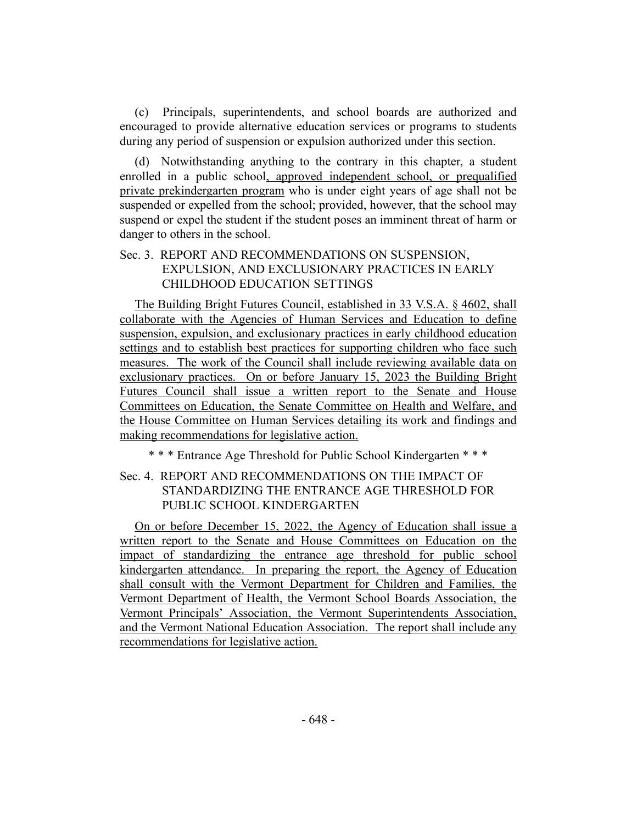(c) Principals, superintendents, and school boards are authorized and encouraged to provide alternative education services or programs to students during any period of suspension or expulsion authorized under this section.

(d) Notwithstanding anything to the contrary in this chapter, a student enrolled in a public school, approved independent school, or prequalified private prekindergarten program who is under eight years of age shall not be suspended or expelled from the school; provided, however, that the school may suspend or expel the student if the student poses an imminent threat of harm or danger to others in the school.

# Sec. 3. REPORT AND RECOMMENDATIONS ON SUSPENSION, EXPULSION, AND EXCLUSIONARY PRACTICES IN EARLY CHILDHOOD EDUCATION SETTINGS

The Building Bright Futures Council, established in 33 V.S.A. § 4602, shall collaborate with the Agencies of Human Services and Education to define suspension, expulsion, and exclusionary practices in early childhood education settings and to establish best practices for supporting children who face such measures. The work of the Council shall include reviewing available data on exclusionary practices. On or before January 15, 2023 the Building Bright Futures Council shall issue a written report to the Senate and House Committees on Education, the Senate Committee on Health and Welfare, and the House Committee on Human Services detailing its work and findings and making recommendations for legislative action.

\* \* \* Entrance Age Threshold for Public School Kindergarten \* \* \*

# Sec. 4. REPORT AND RECOMMENDATIONS ON THE IMPACT OF STANDARDIZING THE ENTRANCE AGE THRESHOLD FOR PUBLIC SCHOOL KINDERGARTEN

On or before December 15, 2022, the Agency of Education shall issue a written report to the Senate and House Committees on Education on the impact of standardizing the entrance age threshold for public school kindergarten attendance. In preparing the report, the Agency of Education shall consult with the Vermont Department for Children and Families, the Vermont Department of Health, the Vermont School Boards Association, the Vermont Principals' Association, the Vermont Superintendents Association, and the Vermont National Education Association. The report shall include any recommendations for legislative action.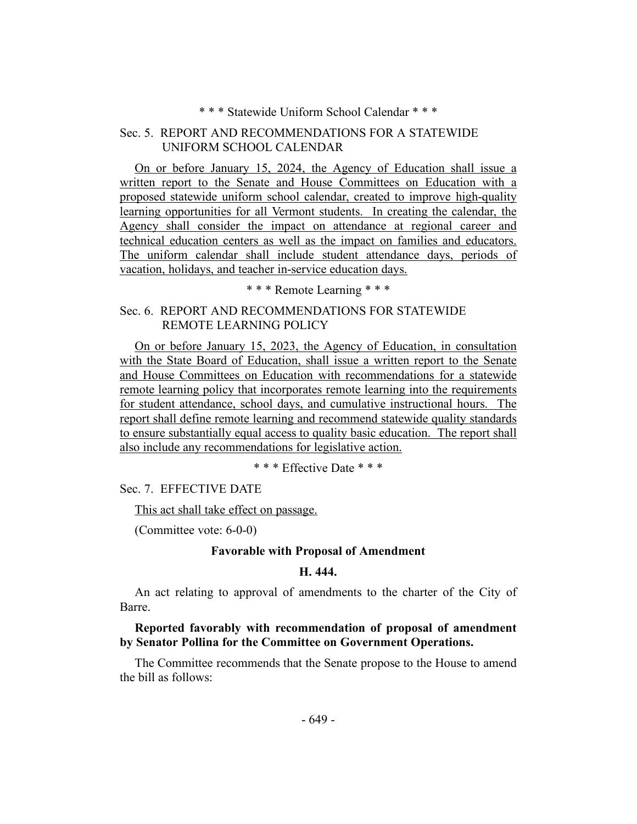## \* \* \* Statewide Uniform School Calendar \* \* \*

# Sec. 5. REPORT AND RECOMMENDATIONS FOR A STATEWIDE UNIFORM SCHOOL CALENDAR

On or before January 15, 2024, the Agency of Education shall issue a written report to the Senate and House Committees on Education with a proposed statewide uniform school calendar, created to improve high-quality learning opportunities for all Vermont students. In creating the calendar, the Agency shall consider the impact on attendance at regional career and technical education centers as well as the impact on families and educators. The uniform calendar shall include student attendance days, periods of vacation, holidays, and teacher in-service education days.

\* \* \* Remote Learning \* \* \*

# Sec. 6. REPORT AND RECOMMENDATIONS FOR STATEWIDE REMOTE LEARNING POLICY

On or before January 15, 2023, the Agency of Education, in consultation with the State Board of Education, shall issue a written report to the Senate and House Committees on Education with recommendations for a statewide remote learning policy that incorporates remote learning into the requirements for student attendance, school days, and cumulative instructional hours. The report shall define remote learning and recommend statewide quality standards to ensure substantially equal access to quality basic education. The report shall also include any recommendations for legislative action.

\* \* \* Effective Date \* \* \*

Sec. 7. EFFECTIVE DATE

This act shall take effect on passage.

(Committee vote: 6-0-0)

## **Favorable with Proposal of Amendment**

### **H. 444.**

An act relating to approval of amendments to the charter of the City of Barre.

**Reported favorably with recommendation of proposal of amendment by Senator Pollina for the Committee on Government Operations.**

The Committee recommends that the Senate propose to the House to amend the bill as follows: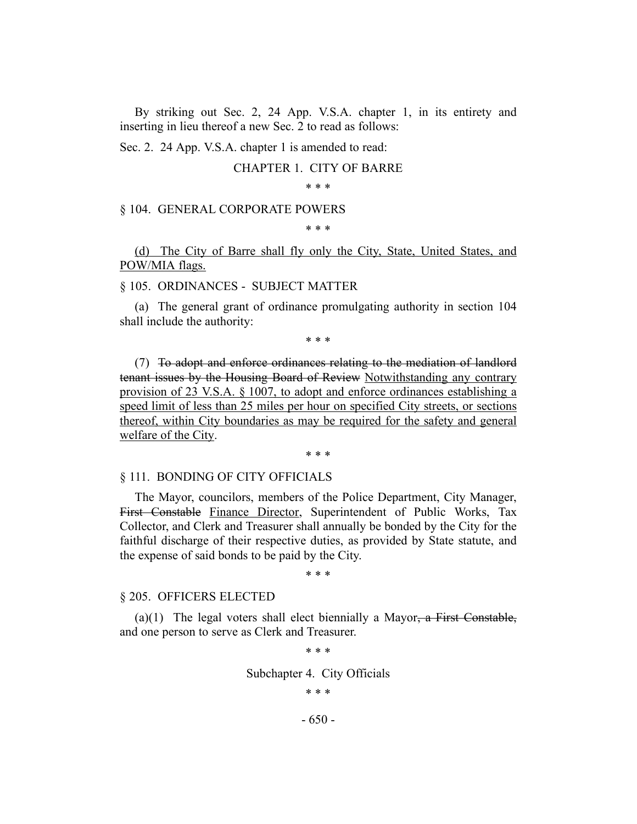By striking out Sec. 2, 24 App. V.S.A. chapter 1, in its entirety and inserting in lieu thereof a new Sec. 2 to read as follows:

Sec. 2. 24 App. V.S.A. chapter 1 is amended to read:

#### CHAPTER 1. CITY OF BARRE

\* \* \*

#### § 104. GENERAL CORPORATE POWERS

#### \* \* \*

(d) The City of Barre shall fly only the City, State, United States, and POW/MIA flags.

### § 105. ORDINANCES - SUBJECT MATTER

(a) The general grant of ordinance promulgating authority in section 104 shall include the authority:

\* \* \*

(7) To adopt and enforce ordinances relating to the mediation of landlord tenant issues by the Housing Board of Review Notwithstanding any contrary provision of 23 V.S.A. § 1007, to adopt and enforce ordinances establishing a speed limit of less than 25 miles per hour on specified City streets, or sections thereof, within City boundaries as may be required for the safety and general welfare of the City.

\* \* \*

#### § 111. BONDING OF CITY OFFICIALS

The Mayor, councilors, members of the Police Department, City Manager, First Constable Finance Director, Superintendent of Public Works, Tax Collector, and Clerk and Treasurer shall annually be bonded by the City for the faithful discharge of their respective duties, as provided by State statute, and the expense of said bonds to be paid by the City.

\* \* \*

#### § 205. OFFICERS ELECTED

(a)(1) The legal voters shall elect biennially a Mayor, a First Constable, and one person to serve as Clerk and Treasurer.

\* \* \*

Subchapter 4. City Officials

\* \* \*

- 650 -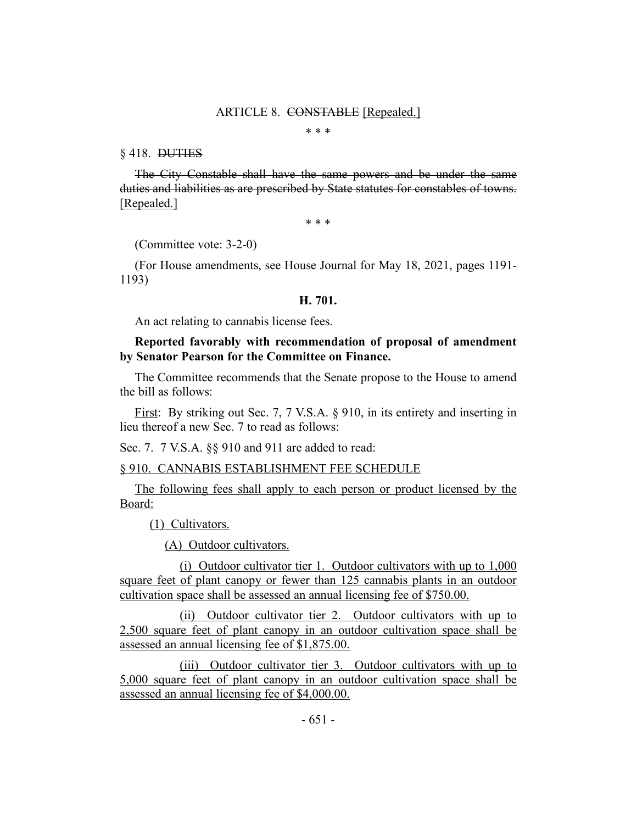#### ARTICLE 8. CONSTABLE [Repealed.]

\* \* \*

#### § 418. DUTIES

The City Constable shall have the same powers and be under the same duties and liabilities as are prescribed by State statutes for constables of towns. [Repealed.]

\* \* \*

(Committee vote: 3-2-0)

(For House amendments, see House Journal for May 18, 2021, pages 1191- 1193)

#### **H. 701.**

An act relating to cannabis license fees.

## **Reported favorably with recommendation of proposal of amendment by Senator Pearson for the Committee on Finance.**

The Committee recommends that the Senate propose to the House to amend the bill as follows:

First: By striking out Sec. 7, 7 V.S.A. § 910, in its entirety and inserting in lieu thereof a new Sec. 7 to read as follows:

Sec. 7. 7 V.S.A. §§ 910 and 911 are added to read:

#### § 910. CANNABIS ESTABLISHMENT FEE SCHEDULE

The following fees shall apply to each person or product licensed by the Board:

(1) Cultivators.

(A) Outdoor cultivators.

(i) Outdoor cultivator tier 1. Outdoor cultivators with up to 1,000 square feet of plant canopy or fewer than 125 cannabis plants in an outdoor cultivation space shall be assessed an annual licensing fee of \$750.00.

(ii) Outdoor cultivator tier 2. Outdoor cultivators with up to 2,500 square feet of plant canopy in an outdoor cultivation space shall be assessed an annual licensing fee of \$1,875.00.

(iii) Outdoor cultivator tier 3. Outdoor cultivators with up to 5,000 square feet of plant canopy in an outdoor cultivation space shall be assessed an annual licensing fee of \$4,000.00.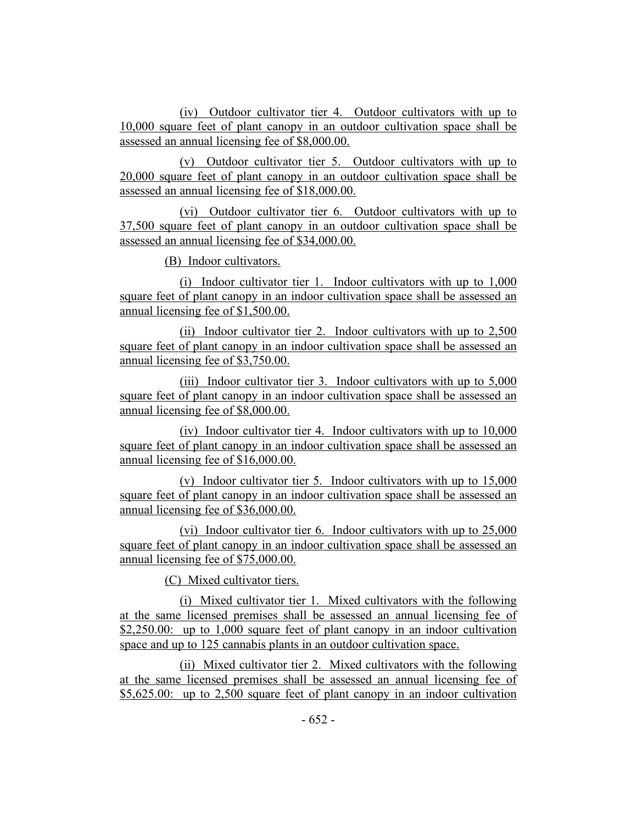(iv) Outdoor cultivator tier 4. Outdoor cultivators with up to 10,000 square feet of plant canopy in an outdoor cultivation space shall be assessed an annual licensing fee of \$8,000.00.

(v) Outdoor cultivator tier 5. Outdoor cultivators with up to 20,000 square feet of plant canopy in an outdoor cultivation space shall be assessed an annual licensing fee of \$18,000.00.

(vi) Outdoor cultivator tier 6. Outdoor cultivators with up to 37,500 square feet of plant canopy in an outdoor cultivation space shall be assessed an annual licensing fee of \$34,000.00.

(B) Indoor cultivators.

(i) Indoor cultivator tier 1. Indoor cultivators with up to 1,000 square feet of plant canopy in an indoor cultivation space shall be assessed an annual licensing fee of \$1,500.00.

(ii) Indoor cultivator tier 2. Indoor cultivators with up to 2,500 square feet of plant canopy in an indoor cultivation space shall be assessed an annual licensing fee of \$3,750.00.

(iii) Indoor cultivator tier 3. Indoor cultivators with up to 5,000 square feet of plant canopy in an indoor cultivation space shall be assessed an annual licensing fee of \$8,000.00.

(iv) Indoor cultivator tier 4. Indoor cultivators with up to 10,000 square feet of plant canopy in an indoor cultivation space shall be assessed an annual licensing fee of \$16,000.00.

(v) Indoor cultivator tier 5. Indoor cultivators with up to 15,000 square feet of plant canopy in an indoor cultivation space shall be assessed an annual licensing fee of \$36,000.00.

(vi) Indoor cultivator tier 6. Indoor cultivators with up to 25,000 square feet of plant canopy in an indoor cultivation space shall be assessed an annual licensing fee of \$75,000.00.

(C) Mixed cultivator tiers.

(i) Mixed cultivator tier 1. Mixed cultivators with the following at the same licensed premises shall be assessed an annual licensing fee of \$2,250.00: up to 1,000 square feet of plant canopy in an indoor cultivation space and up to 125 cannabis plants in an outdoor cultivation space.

(ii) Mixed cultivator tier 2. Mixed cultivators with the following at the same licensed premises shall be assessed an annual licensing fee of \$5,625.00: up to 2,500 square feet of plant canopy in an indoor cultivation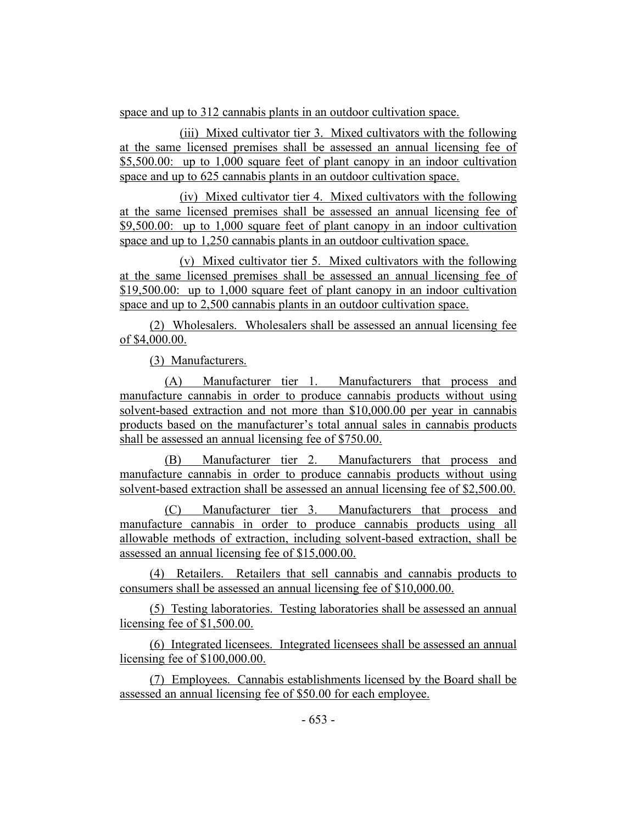space and up to 312 cannabis plants in an outdoor cultivation space.

(iii) Mixed cultivator tier 3. Mixed cultivators with the following at the same licensed premises shall be assessed an annual licensing fee of \$5,500.00: up to 1,000 square feet of plant canopy in an indoor cultivation space and up to 625 cannabis plants in an outdoor cultivation space.

(iv) Mixed cultivator tier 4. Mixed cultivators with the following at the same licensed premises shall be assessed an annual licensing fee of \$9,500.00: up to 1,000 square feet of plant canopy in an indoor cultivation space and up to 1,250 cannabis plants in an outdoor cultivation space.

(v) Mixed cultivator tier 5. Mixed cultivators with the following at the same licensed premises shall be assessed an annual licensing fee of \$19,500.00: up to 1,000 square feet of plant canopy in an indoor cultivation space and up to 2,500 cannabis plants in an outdoor cultivation space.

(2) Wholesalers. Wholesalers shall be assessed an annual licensing fee of \$4,000.00.

(3) Manufacturers.

(A) Manufacturer tier 1. Manufacturers that process and manufacture cannabis in order to produce cannabis products without using solvent-based extraction and not more than \$10,000.00 per year in cannabis products based on the manufacturer's total annual sales in cannabis products shall be assessed an annual licensing fee of \$750.00.

(B) Manufacturer tier 2. Manufacturers that process and manufacture cannabis in order to produce cannabis products without using solvent-based extraction shall be assessed an annual licensing fee of \$2,500.00.

(C) Manufacturer tier 3. Manufacturers that process and manufacture cannabis in order to produce cannabis products using all allowable methods of extraction, including solvent-based extraction, shall be assessed an annual licensing fee of \$15,000.00.

(4) Retailers. Retailers that sell cannabis and cannabis products to consumers shall be assessed an annual licensing fee of \$10,000.00.

(5) Testing laboratories. Testing laboratories shall be assessed an annual licensing fee of \$1,500.00.

(6) Integrated licensees. Integrated licensees shall be assessed an annual licensing fee of \$100,000.00.

(7) Employees. Cannabis establishments licensed by the Board shall be assessed an annual licensing fee of \$50.00 for each employee.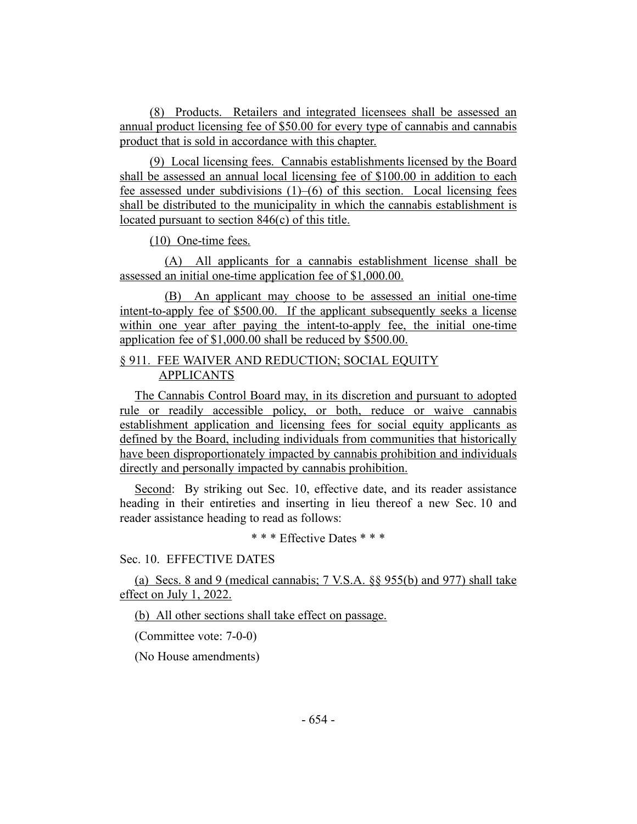(8) Products. Retailers and integrated licensees shall be assessed an annual product licensing fee of \$50.00 for every type of cannabis and cannabis product that is sold in accordance with this chapter.

(9) Local licensing fees. Cannabis establishments licensed by the Board shall be assessed an annual local licensing fee of \$100.00 in addition to each fee assessed under subdivisions  $(1)$ – $(6)$  of this section. Local licensing fees shall be distributed to the municipality in which the cannabis establishment is located pursuant to section 846(c) of this title.

(10) One-time fees.

(A) All applicants for a cannabis establishment license shall be assessed an initial one-time application fee of \$1,000.00.

(B) An applicant may choose to be assessed an initial one-time intent-to-apply fee of \$500.00. If the applicant subsequently seeks a license within one year after paying the intent-to-apply fee, the initial one-time application fee of \$1,000.00 shall be reduced by \$500.00.

# § 911. FEE WAIVER AND REDUCTION; SOCIAL EQUITY APPLICANTS

The Cannabis Control Board may, in its discretion and pursuant to adopted rule or readily accessible policy, or both, reduce or waive cannabis establishment application and licensing fees for social equity applicants as defined by the Board, including individuals from communities that historically have been disproportionately impacted by cannabis prohibition and individuals directly and personally impacted by cannabis prohibition.

Second: By striking out Sec. 10, effective date, and its reader assistance heading in their entireties and inserting in lieu thereof a new Sec. 10 and reader assistance heading to read as follows:

\* \* \* Effective Dates \* \* \*

Sec. 10. EFFECTIVE DATES

(a) Secs. 8 and 9 (medical cannabis; 7 V.S.A. §§ 955(b) and 977) shall take effect on July 1, 2022.

(b) All other sections shall take effect on passage.

(Committee vote: 7-0-0)

(No House amendments)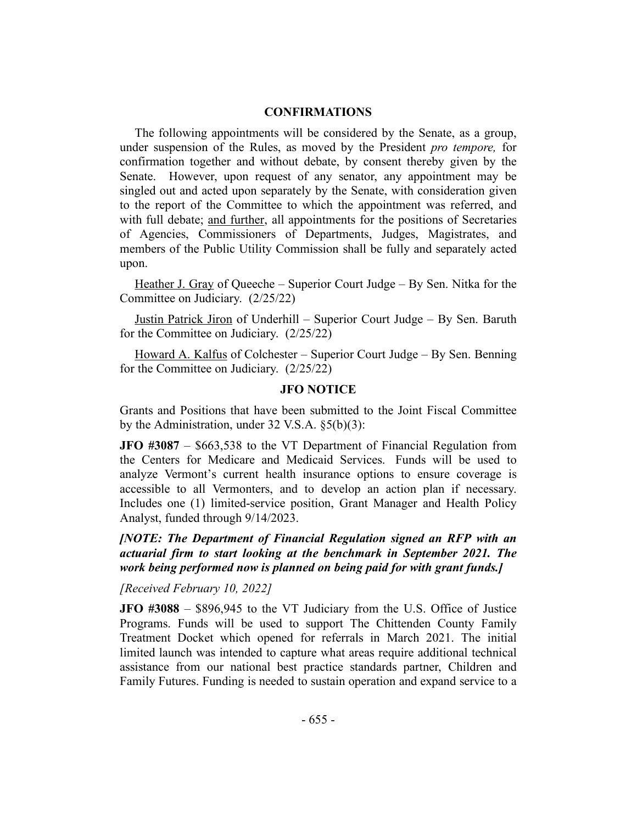### **CONFIRMATIONS**

The following appointments will be considered by the Senate, as a group, under suspension of the Rules, as moved by the President *pro tempore,* for confirmation together and without debate, by consent thereby given by the Senate. However, upon request of any senator, any appointment may be singled out and acted upon separately by the Senate, with consideration given to the report of the Committee to which the appointment was referred, and with full debate; and further, all appointments for the positions of Secretaries of Agencies, Commissioners of Departments, Judges, Magistrates, and members of the Public Utility Commission shall be fully and separately acted upon.

Heather J. Gray of Queeche – Superior Court Judge – By Sen. Nitka for the Committee on Judiciary. (2/25/22)

Justin Patrick Jiron of Underhill – Superior Court Judge – By Sen. Baruth for the Committee on Judiciary. (2/25/22)

Howard A. Kalfus of Colchester – Superior Court Judge – By Sen. Benning for the Committee on Judiciary. (2/25/22)

## **JFO NOTICE**

Grants and Positions that have been submitted to the Joint Fiscal Committee by the Administration, under 32 V.S.A. §5(b)(3):

**JFO #3087** – \$663,538 to the VT Department of Financial Regulation from the Centers for Medicare and Medicaid Services. Funds will be used to analyze Vermont's current health insurance options to ensure coverage is accessible to all Vermonters, and to develop an action plan if necessary. Includes one (1) limited-service position, Grant Manager and Health Policy Analyst, funded through 9/14/2023.

*[NOTE: The Department of Financial Regulation signed an RFP with an actuarial firm to start looking at the benchmark in September 2021. The work being performed now is planned on being paid for with grant funds.]*

*[Received February 10, 2022]*

**JFO #3088** – \$896,945 to the VT Judiciary from the U.S. Office of Justice Programs. Funds will be used to support The Chittenden County Family Treatment Docket which opened for referrals in March 2021. The initial limited launch was intended to capture what areas require additional technical assistance from our national best practice standards partner, Children and Family Futures. Funding is needed to sustain operation and expand service to a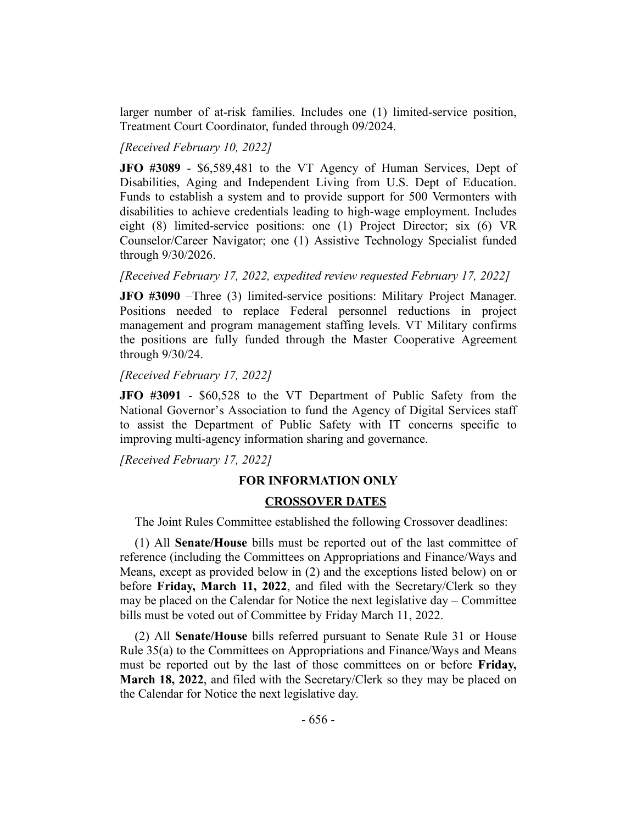larger number of at-risk families. Includes one (1) limited-service position, Treatment Court Coordinator, funded through 09/2024.

*[Received February 10, 2022]*

**JFO #3089** - \$6,589,481 to the VT Agency of Human Services, Dept of Disabilities, Aging and Independent Living from U.S. Dept of Education. Funds to establish a system and to provide support for 500 Vermonters with disabilities to achieve credentials leading to high-wage employment. Includes eight (8) limited-service positions: one (1) Project Director; six (6) VR Counselor/Career Navigator; one (1) Assistive Technology Specialist funded through 9/30/2026.

*[Received February 17, 2022, expedited review requested February 17, 2022]*

**JFO #3090** –Three (3) limited-service positions: Military Project Manager. Positions needed to replace Federal personnel reductions in project management and program management staffing levels. VT Military confirms the positions are fully funded through the Master Cooperative Agreement through 9/30/24.

*[Received February 17, 2022]*

**JFO #3091** - \$60,528 to the VT Department of Public Safety from the National Governor's Association to fund the Agency of Digital Services staff to assist the Department of Public Safety with IT concerns specific to improving multi-agency information sharing and governance.

*[Received February 17, 2022]*

### **FOR INFORMATION ONLY**

#### **CROSSOVER DATES**

The Joint Rules Committee established the following Crossover deadlines:

(1) All **Senate/House** bills must be reported out of the last committee of reference (including the Committees on Appropriations and Finance/Ways and Means, except as provided below in (2) and the exceptions listed below) on or before **Friday, March 11, 2022**, and filed with the Secretary/Clerk so they may be placed on the Calendar for Notice the next legislative day – Committee bills must be voted out of Committee by Friday March 11, 2022.

(2) All **Senate/House** bills referred pursuant to Senate Rule 31 or House Rule 35(a) to the Committees on Appropriations and Finance/Ways and Means must be reported out by the last of those committees on or before **Friday, March 18, 2022**, and filed with the Secretary/Clerk so they may be placed on the Calendar for Notice the next legislative day.